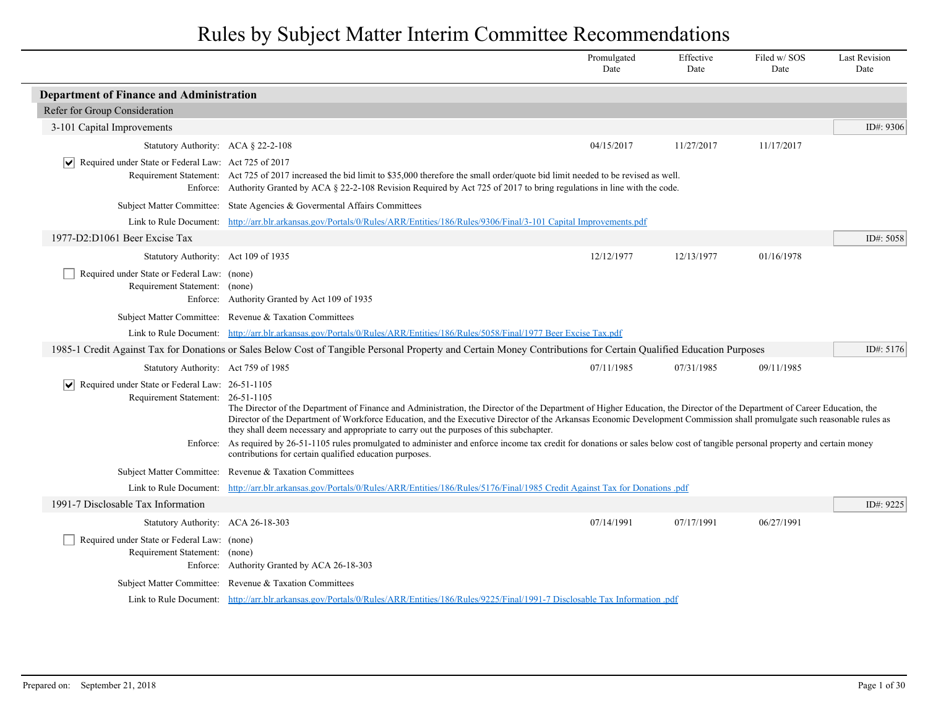|                                                                                                             |                                                                                                                                                                                                                                                                                                                                                                                                                                                                                                                                                                                                                                                                                                  | Promulgated<br>Date | Effective<br>Date | Filed w/SOS<br>Date | <b>Last Revision</b><br>Date |
|-------------------------------------------------------------------------------------------------------------|--------------------------------------------------------------------------------------------------------------------------------------------------------------------------------------------------------------------------------------------------------------------------------------------------------------------------------------------------------------------------------------------------------------------------------------------------------------------------------------------------------------------------------------------------------------------------------------------------------------------------------------------------------------------------------------------------|---------------------|-------------------|---------------------|------------------------------|
| <b>Department of Finance and Administration</b>                                                             |                                                                                                                                                                                                                                                                                                                                                                                                                                                                                                                                                                                                                                                                                                  |                     |                   |                     |                              |
| Refer for Group Consideration                                                                               |                                                                                                                                                                                                                                                                                                                                                                                                                                                                                                                                                                                                                                                                                                  |                     |                   |                     |                              |
| 3-101 Capital Improvements                                                                                  |                                                                                                                                                                                                                                                                                                                                                                                                                                                                                                                                                                                                                                                                                                  |                     |                   |                     | ID#: 9306                    |
| Statutory Authority: ACA § 22-2-108                                                                         |                                                                                                                                                                                                                                                                                                                                                                                                                                                                                                                                                                                                                                                                                                  | 04/15/2017          | 11/27/2017        | 11/17/2017          |                              |
| Required under State or Federal Law: Act 725 of 2017<br>∣V∣                                                 | Requirement Statement: Act 725 of 2017 increased the bid limit to \$35,000 therefore the small order/quote bid limit needed to be revised as well.<br>Enforce: Authority Granted by ACA § 22-2-108 Revision Required by Act 725 of 2017 to bring regulations in line with the code.                                                                                                                                                                                                                                                                                                                                                                                                              |                     |                   |                     |                              |
|                                                                                                             | Subject Matter Committee: State Agencies & Governental Affairs Committees                                                                                                                                                                                                                                                                                                                                                                                                                                                                                                                                                                                                                        |                     |                   |                     |                              |
| Link to Rule Document:                                                                                      | http://arr.blr.arkansas.gov/Portals/0/Rules/ARR/Entities/186/Rules/9306/Final/3-101 Capital Improvements.pdf                                                                                                                                                                                                                                                                                                                                                                                                                                                                                                                                                                                     |                     |                   |                     |                              |
| 1977-D2:D1061 Beer Excise Tax                                                                               |                                                                                                                                                                                                                                                                                                                                                                                                                                                                                                                                                                                                                                                                                                  |                     |                   |                     | ID#: 5058                    |
| Statutory Authority: Act 109 of 1935                                                                        |                                                                                                                                                                                                                                                                                                                                                                                                                                                                                                                                                                                                                                                                                                  | 12/12/1977          | 12/13/1977        | 01/16/1978          |                              |
| Required under State or Federal Law: (none)<br>Requirement Statement: (none)                                | Enforce: Authority Granted by Act 109 of 1935                                                                                                                                                                                                                                                                                                                                                                                                                                                                                                                                                                                                                                                    |                     |                   |                     |                              |
|                                                                                                             | Subject Matter Committee: Revenue & Taxation Committees                                                                                                                                                                                                                                                                                                                                                                                                                                                                                                                                                                                                                                          |                     |                   |                     |                              |
|                                                                                                             | Link to Rule Document: http://arr.blr.arkansas.gov/Portals/0/Rules/ARR/Entities/186/Rules/5058/Final/1977 Beer Excise Tax.pdf                                                                                                                                                                                                                                                                                                                                                                                                                                                                                                                                                                    |                     |                   |                     |                              |
|                                                                                                             | 1985-1 Credit Against Tax for Donations or Sales Below Cost of Tangible Personal Property and Certain Money Contributions for Certain Qualified Education Purposes                                                                                                                                                                                                                                                                                                                                                                                                                                                                                                                               |                     |                   |                     | ID#: $5176$                  |
| Statutory Authority: Act 759 of 1985                                                                        |                                                                                                                                                                                                                                                                                                                                                                                                                                                                                                                                                                                                                                                                                                  | 07/11/1985          | 07/31/1985        | 09/11/1985          |                              |
| Required under State or Federal Law: 26-51-1105<br>$ \bm{\mathsf{v}} $<br>Requirement Statement: 26-51-1105 | The Director of the Department of Finance and Administration, the Director of the Department of Higher Education, the Director of the Department of Career Education, the<br>Director of the Department of Workforce Education, and the Executive Director of the Arkansas Economic Development Commission shall promulgate such reasonable rules as<br>they shall deem necessary and appropriate to carry out the purposes of this subchapter.<br>Enforce: As required by 26-51-1105 rules promulgated to administer and enforce income tax credit for donations or sales below cost of tangible personal property and certain money<br>contributions for certain qualified education purposes. |                     |                   |                     |                              |
|                                                                                                             | Subject Matter Committee: Revenue & Taxation Committees                                                                                                                                                                                                                                                                                                                                                                                                                                                                                                                                                                                                                                          |                     |                   |                     |                              |
| Link to Rule Document:                                                                                      | http://arr.blr.arkansas.gov/Portals/0/Rules/ARR/Entities/186/Rules/5176/Final/1985 Credit Against Tax for Donations .pdf                                                                                                                                                                                                                                                                                                                                                                                                                                                                                                                                                                         |                     |                   |                     |                              |
| 1991-7 Disclosable Tax Information                                                                          |                                                                                                                                                                                                                                                                                                                                                                                                                                                                                                                                                                                                                                                                                                  |                     |                   |                     | ID#: 9225                    |
| Statutory Authority: ACA 26-18-303                                                                          |                                                                                                                                                                                                                                                                                                                                                                                                                                                                                                                                                                                                                                                                                                  | 07/14/1991          | 07/17/1991        | 06/27/1991          |                              |
| Required under State or Federal Law: (none)<br>Requirement Statement: (none)                                | Enforce: Authority Granted by ACA 26-18-303                                                                                                                                                                                                                                                                                                                                                                                                                                                                                                                                                                                                                                                      |                     |                   |                     |                              |
|                                                                                                             | Subject Matter Committee: Revenue & Taxation Committees                                                                                                                                                                                                                                                                                                                                                                                                                                                                                                                                                                                                                                          |                     |                   |                     |                              |
|                                                                                                             | Link to Rule Document: http://arr.blr.arkansas.gov/Portals/0/Rules/ARR/Entities/186/Rules/9225/Final/1991-7 Disclosable Tax Information .pdf                                                                                                                                                                                                                                                                                                                                                                                                                                                                                                                                                     |                     |                   |                     |                              |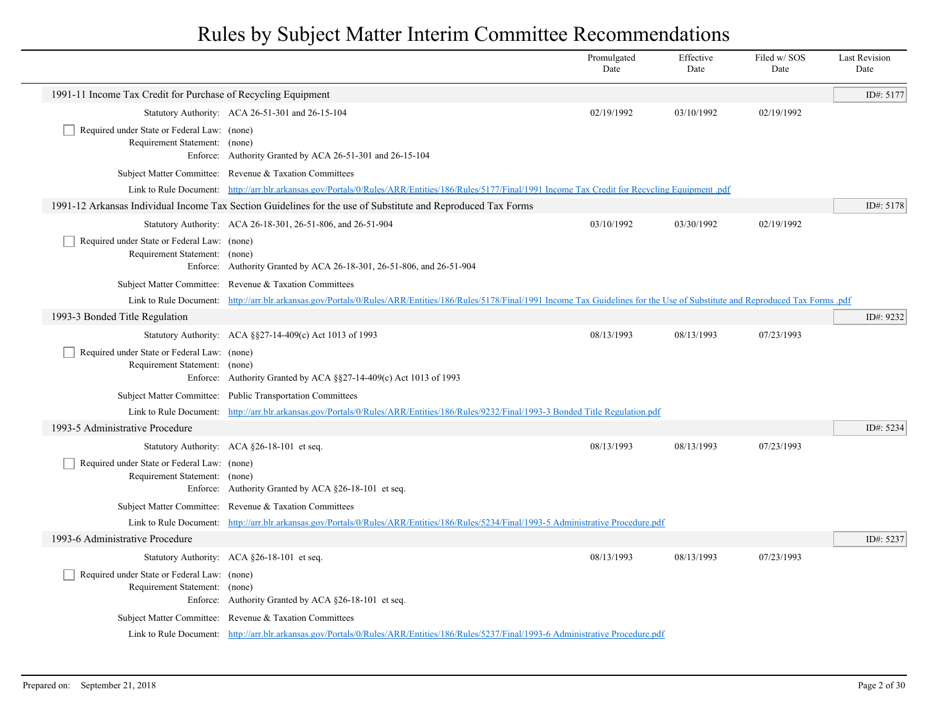|                                                                                          |                                                                                                                                                                                         | Promulgated<br>Date | Effective<br>Date | Filed w/SOS<br>Date | <b>Last Revision</b><br>Date |
|------------------------------------------------------------------------------------------|-----------------------------------------------------------------------------------------------------------------------------------------------------------------------------------------|---------------------|-------------------|---------------------|------------------------------|
| 1991-11 Income Tax Credit for Purchase of Recycling Equipment                            |                                                                                                                                                                                         |                     |                   |                     | ID#: 5177                    |
|                                                                                          | Statutory Authority: ACA 26-51-301 and 26-15-104                                                                                                                                        | 02/19/1992          | 03/10/1992        | 02/19/1992          |                              |
| Required under State or Federal Law: (none)<br>Requirement Statement: (none)             | Enforce: Authority Granted by ACA 26-51-301 and 26-15-104                                                                                                                               |                     |                   |                     |                              |
|                                                                                          | Subject Matter Committee: Revenue & Taxation Committees                                                                                                                                 |                     |                   |                     |                              |
|                                                                                          | Link to Rule Document: http://arr.blr.arkansas.gov/Portals/0/Rules/ARR/Entities/186/Rules/5177/Final/1991 Income Tax Credit for Recycling Equipment .pdf                                |                     |                   |                     |                              |
|                                                                                          | 1991-12 Arkansas Individual Income Tax Section Guidelines for the use of Substitute and Reproduced Tax Forms                                                                            |                     |                   |                     | ID#: 5178                    |
|                                                                                          | Statutory Authority: ACA 26-18-301, 26-51-806, and 26-51-904                                                                                                                            | 03/10/1992          | 03/30/1992        | 02/19/1992          |                              |
| Required under State or Federal Law: (none)<br>Requirement Statement: (none)             | Enforce: Authority Granted by ACA 26-18-301, 26-51-806, and 26-51-904                                                                                                                   |                     |                   |                     |                              |
|                                                                                          | Subject Matter Committee: Revenue & Taxation Committees                                                                                                                                 |                     |                   |                     |                              |
|                                                                                          | Link to Rule Document: http://arr.blr.arkansas.gov/Portals/0/Rules/ARR/Entities/186/Rules/5178/Final/1991 Income Tax Guidelines for the Use of Substitute and Reproduced Tax Forms .pdf |                     |                   |                     |                              |
| 1993-3 Bonded Title Regulation                                                           |                                                                                                                                                                                         |                     |                   |                     | ID#: 9232                    |
|                                                                                          | Statutory Authority: ACA §§27-14-409(c) Act 1013 of 1993                                                                                                                                | 08/13/1993          | 08/13/1993        | 07/23/1993          |                              |
| Required under State or Federal Law: (none)<br>Requirement Statement: (none)             | Enforce: Authority Granted by ACA §§27-14-409(c) Act 1013 of 1993                                                                                                                       |                     |                   |                     |                              |
|                                                                                          | Subject Matter Committee: Public Transportation Committees                                                                                                                              |                     |                   |                     |                              |
|                                                                                          | Link to Rule Document: http://arr.blr.arkansas.gov/Portals/0/Rules/ARR/Entities/186/Rules/9232/Final/1993-3 Bonded Title Regulation.pdf                                                 |                     |                   |                     |                              |
| 1993-5 Administrative Procedure                                                          |                                                                                                                                                                                         |                     |                   |                     | ID#: 5234                    |
|                                                                                          | Statutory Authority: ACA §26-18-101 et seq.                                                                                                                                             | 08/13/1993          | 08/13/1993        | 07/23/1993          |                              |
| Required under State or Federal Law: (none)<br>Requirement Statement: (none)             | Enforce: Authority Granted by ACA §26-18-101 et seq.                                                                                                                                    |                     |                   |                     |                              |
|                                                                                          | Subject Matter Committee: Revenue & Taxation Committees                                                                                                                                 |                     |                   |                     |                              |
| Link to Rule Document:                                                                   | http://arr.blr.arkansas.gov/Portals/0/Rules/ARR/Entities/186/Rules/5234/Final/1993-5 Administrative Procedure.pdf                                                                       |                     |                   |                     |                              |
| 1993-6 Administrative Procedure                                                          |                                                                                                                                                                                         |                     |                   |                     | ID#: 5237                    |
|                                                                                          | Statutory Authority: ACA §26-18-101 et seq.                                                                                                                                             | 08/13/1993          | 08/13/1993        | 07/23/1993          |                              |
| Required under State or Federal Law: (none)<br>Requirement Statement: (none)<br>Enforce: | Authority Granted by ACA §26-18-101 et seq.                                                                                                                                             |                     |                   |                     |                              |
|                                                                                          | Subject Matter Committee: Revenue & Taxation Committees                                                                                                                                 |                     |                   |                     |                              |
|                                                                                          | Link to Rule Document: http://arr.blr.arkansas.gov/Portals/0/Rules/ARR/Entities/186/Rules/5237/Final/1993-6 Administrative Procedure.pdf                                                |                     |                   |                     |                              |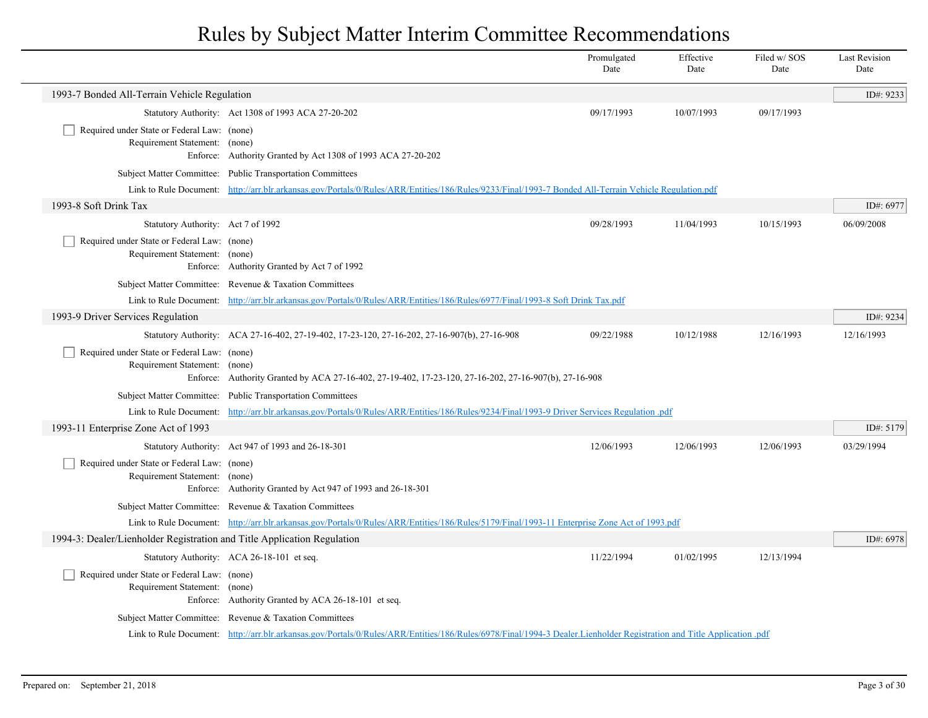|                                                                              |                                                                                                                                                                       | Promulgated<br>Date | Effective<br>Date | Filed w/ SOS<br>Date | <b>Last Revision</b><br>Date |
|------------------------------------------------------------------------------|-----------------------------------------------------------------------------------------------------------------------------------------------------------------------|---------------------|-------------------|----------------------|------------------------------|
| 1993-7 Bonded All-Terrain Vehicle Regulation                                 |                                                                                                                                                                       |                     |                   |                      | ID#: 9233                    |
|                                                                              | Statutory Authority: Act 1308 of 1993 ACA 27-20-202                                                                                                                   | 09/17/1993          | 10/07/1993        | 09/17/1993           |                              |
| Required under State or Federal Law: (none)<br>Requirement Statement: (none) | Enforce: Authority Granted by Act 1308 of 1993 ACA 27-20-202                                                                                                          |                     |                   |                      |                              |
|                                                                              | Subject Matter Committee: Public Transportation Committees                                                                                                            |                     |                   |                      |                              |
|                                                                              | Link to Rule Document: http://arr.blr.arkansas.gov/Portals/0/Rules/ARR/Entities/186/Rules/9233/Final/1993-7 Bonded All-Terrain Vehicle Regulation.pdf                 |                     |                   |                      |                              |
| 1993-8 Soft Drink Tax                                                        |                                                                                                                                                                       |                     |                   |                      | ID#: 6977                    |
| Statutory Authority: Act 7 of 1992                                           |                                                                                                                                                                       | 09/28/1993          | 11/04/1993        | 10/15/1993           | 06/09/2008                   |
| Required under State or Federal Law: (none)<br>Requirement Statement: (none) | Enforce: Authority Granted by Act 7 of 1992                                                                                                                           |                     |                   |                      |                              |
|                                                                              | Subject Matter Committee: Revenue & Taxation Committees                                                                                                               |                     |                   |                      |                              |
|                                                                              | Link to Rule Document: http://arr.blr.arkansas.gov/Portals/0/Rules/ARR/Entities/186/Rules/6977/Final/1993-8 Soft Drink Tax.pdf                                        |                     |                   |                      |                              |
| 1993-9 Driver Services Regulation                                            |                                                                                                                                                                       |                     |                   |                      | ID#: 9234                    |
|                                                                              | Statutory Authority: ACA 27-16-402, 27-19-402, 17-23-120, 27-16-202, 27-16-907(b), 27-16-908                                                                          | 09/22/1988          | 10/12/1988        | 12/16/1993           | 12/16/1993                   |
| Required under State or Federal Law: (none)<br>Requirement Statement: (none) | Enforce: Authority Granted by ACA 27-16-402, 27-19-402, 17-23-120, 27-16-202, 27-16-907(b), 27-16-908                                                                 |                     |                   |                      |                              |
|                                                                              | Subject Matter Committee: Public Transportation Committees                                                                                                            |                     |                   |                      |                              |
|                                                                              | Link to Rule Document: http://arr.blr.arkansas.gov/Portals/0/Rules/ARR/Entities/186/Rules/9234/Final/1993-9 Driver Services Regulation .pdf                           |                     |                   |                      |                              |
| 1993-11 Enterprise Zone Act of 1993                                          |                                                                                                                                                                       |                     |                   |                      | ID#: 5179                    |
|                                                                              | Statutory Authority: Act 947 of 1993 and 26-18-301                                                                                                                    | 12/06/1993          | 12/06/1993        | 12/06/1993           | 03/29/1994                   |
| Required under State or Federal Law: (none)<br>Requirement Statement: (none) | Enforce: Authority Granted by Act 947 of 1993 and 26-18-301                                                                                                           |                     |                   |                      |                              |
|                                                                              | Subject Matter Committee: Revenue & Taxation Committees                                                                                                               |                     |                   |                      |                              |
|                                                                              | Link to Rule Document: http://arr.blr.arkansas.gov/Portals/0/Rules/ARR/Entities/186/Rules/5179/Final/1993-11 Enterprise Zone Act of 1993.pdf                          |                     |                   |                      |                              |
| 1994-3: Dealer/Lienholder Registration and Title Application Regulation      |                                                                                                                                                                       |                     |                   |                      | ID#: 6978                    |
|                                                                              | Statutory Authority: ACA 26-18-101 et seq.                                                                                                                            | 11/22/1994          | 01/02/1995        | 12/13/1994           |                              |
| Required under State or Federal Law: (none)<br>Requirement Statement: (none) | Enforce: Authority Granted by ACA 26-18-101 et seq.                                                                                                                   |                     |                   |                      |                              |
|                                                                              | Subject Matter Committee: Revenue & Taxation Committees                                                                                                               |                     |                   |                      |                              |
|                                                                              | Link to Rule Document: http://arr.blr.arkansas.gov/Portals/0/Rules/ARR/Entities/186/Rules/6978/Final/1994-3 Dealer.Lienholder Registration and Title Application .pdf |                     |                   |                      |                              |
|                                                                              |                                                                                                                                                                       |                     |                   |                      |                              |

 $\overline{\phantom{a}}$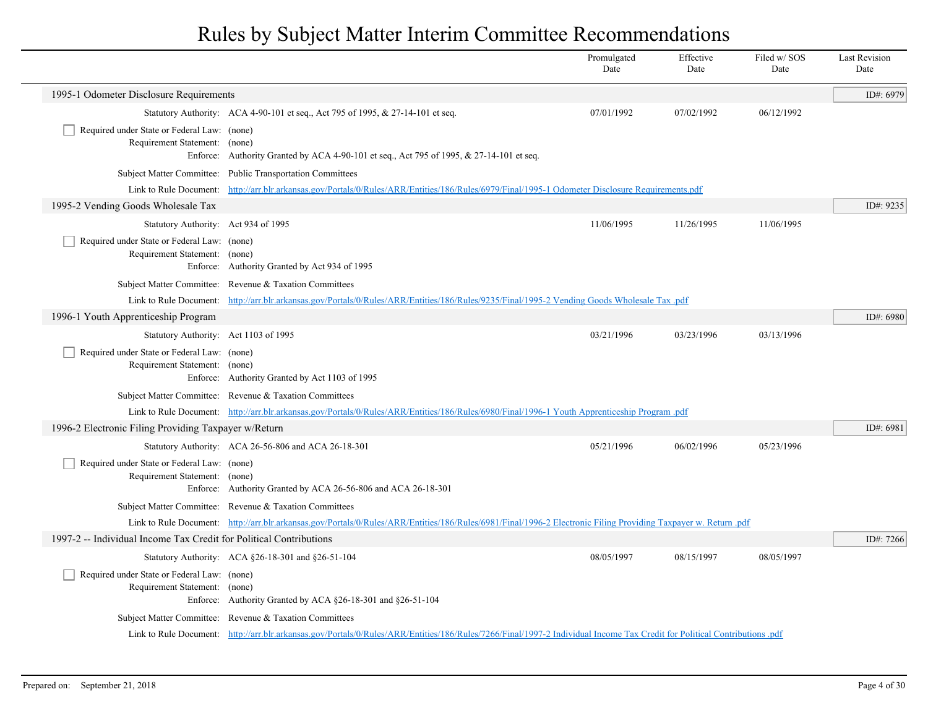|                                                                              |                                                                                                                                                                           | Promulgated<br>Date | Effective<br>Date | Filed w/SOS<br>Date | <b>Last Revision</b><br>Date |
|------------------------------------------------------------------------------|---------------------------------------------------------------------------------------------------------------------------------------------------------------------------|---------------------|-------------------|---------------------|------------------------------|
| 1995-1 Odometer Disclosure Requirements                                      |                                                                                                                                                                           |                     |                   |                     | ID#: 6979                    |
|                                                                              | Statutory Authority: ACA 4-90-101 et seq., Act 795 of 1995, & 27-14-101 et seq.                                                                                           | 07/01/1992          | 07/02/1992        | 06/12/1992          |                              |
| Required under State or Federal Law: (none)<br>Requirement Statement: (none) | Enforce: Authority Granted by ACA 4-90-101 et seq., Act 795 of 1995, $& 27-14-101$ et seq.                                                                                |                     |                   |                     |                              |
|                                                                              | Subject Matter Committee: Public Transportation Committees                                                                                                                |                     |                   |                     |                              |
|                                                                              | Link to Rule Document: http://arr.blr.arkansas.gov/Portals/0/Rules/ARR/Entities/186/Rules/6979/Final/1995-1 Odometer Disclosure Requirements.pdf                          |                     |                   |                     |                              |
| 1995-2 Vending Goods Wholesale Tax                                           |                                                                                                                                                                           |                     |                   |                     | ID#: 9235                    |
| Statutory Authority: Act 934 of 1995                                         |                                                                                                                                                                           | 11/06/1995          | 11/26/1995        | 11/06/1995          |                              |
| Required under State or Federal Law: (none)<br>Requirement Statement: (none) | Enforce: Authority Granted by Act 934 of 1995                                                                                                                             |                     |                   |                     |                              |
|                                                                              | Subject Matter Committee: Revenue & Taxation Committees                                                                                                                   |                     |                   |                     |                              |
|                                                                              | Link to Rule Document: http://arr.blr.arkansas.gov/Portals/0/Rules/ARR/Entities/186/Rules/9235/Final/1995-2 Vending Goods Wholesale Tax.pdf                               |                     |                   |                     |                              |
| 1996-1 Youth Apprenticeship Program                                          |                                                                                                                                                                           |                     |                   |                     | ID#: 6980                    |
| Statutory Authority: Act 1103 of 1995                                        |                                                                                                                                                                           | 03/21/1996          | 03/23/1996        | 03/13/1996          |                              |
| Required under State or Federal Law: (none)<br>Requirement Statement: (none) | Enforce: Authority Granted by Act 1103 of 1995                                                                                                                            |                     |                   |                     |                              |
|                                                                              | Subject Matter Committee: Revenue & Taxation Committees                                                                                                                   |                     |                   |                     |                              |
|                                                                              | Link to Rule Document: http://arr.blr.arkansas.gov/Portals/0/Rules/ARR/Entities/186/Rules/6980/Final/1996-1 Youth Apprenticeship Program.pdf                              |                     |                   |                     |                              |
| 1996-2 Electronic Filing Providing Taxpayer w/Return                         |                                                                                                                                                                           |                     |                   |                     | ID#: 6981                    |
|                                                                              | Statutory Authority: ACA 26-56-806 and ACA 26-18-301                                                                                                                      | 05/21/1996          | 06/02/1996        | 05/23/1996          |                              |
| Required under State or Federal Law: (none)<br>Requirement Statement: (none) | Enforce: Authority Granted by ACA 26-56-806 and ACA 26-18-301                                                                                                             |                     |                   |                     |                              |
|                                                                              | Subject Matter Committee: Revenue & Taxation Committees                                                                                                                   |                     |                   |                     |                              |
|                                                                              | Link to Rule Document: http://arr.blr.arkansas.gov/Portals/0/Rules/ARR/Entities/186/Rules/6981/Final/1996-2 Electronic Filing Providing Taxpayer w. Return .pdf           |                     |                   |                     |                              |
| 1997-2 -- Individual Income Tax Credit for Political Contributions           |                                                                                                                                                                           |                     |                   |                     | ID#: 7266                    |
|                                                                              | Statutory Authority: ACA §26-18-301 and §26-51-104                                                                                                                        | 08/05/1997          | 08/15/1997        | 08/05/1997          |                              |
| Required under State or Federal Law: (none)<br>Requirement Statement: (none) | Enforce: Authority Granted by ACA §26-18-301 and §26-51-104                                                                                                               |                     |                   |                     |                              |
|                                                                              | Subject Matter Committee: Revenue & Taxation Committees                                                                                                                   |                     |                   |                     |                              |
|                                                                              | Link to Rule Document: http://arr.blr.arkansas.gov/Portals/0/Rules/ARR/Entities/186/Rules/7266/Final/1997-2 Individual Income Tax Credit for Political Contributions .pdf |                     |                   |                     |                              |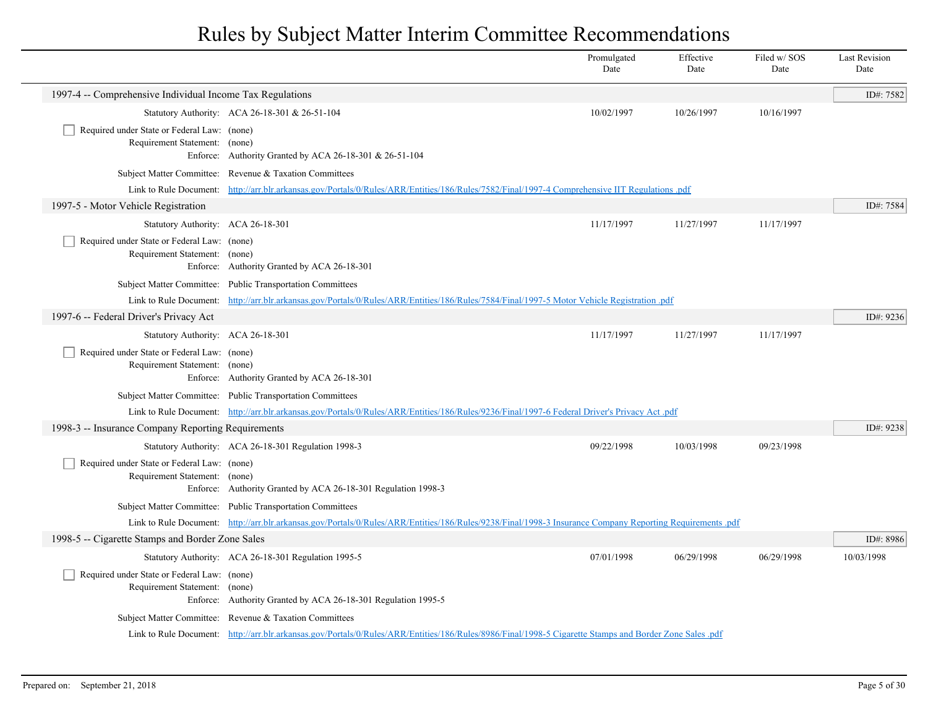|                                                                                   |                                                                                                                                                           | Promulgated<br>Date | Effective<br>Date | Filed w/ SOS<br>Date | <b>Last Revision</b><br>Date |
|-----------------------------------------------------------------------------------|-----------------------------------------------------------------------------------------------------------------------------------------------------------|---------------------|-------------------|----------------------|------------------------------|
| 1997-4 -- Comprehensive Individual Income Tax Regulations                         |                                                                                                                                                           |                     |                   |                      | ID#: 7582                    |
|                                                                                   | Statutory Authority: ACA 26-18-301 & 26-51-104                                                                                                            | 10/02/1997          | 10/26/1997        | 10/16/1997           |                              |
| Required under State or Federal Law: (none)<br>Requirement Statement: (none)      | Enforce: Authority Granted by ACA 26-18-301 & 26-51-104                                                                                                   |                     |                   |                      |                              |
|                                                                                   | Subject Matter Committee: Revenue & Taxation Committees                                                                                                   |                     |                   |                      |                              |
|                                                                                   | Link to Rule Document: http://arr.blr.arkansas.gov/Portals/0/Rules/ARR/Entities/186/Rules/7582/Final/1997-4 Comprehensive IIT Regulations .pdf            |                     |                   |                      |                              |
| 1997-5 - Motor Vehicle Registration                                               |                                                                                                                                                           |                     |                   |                      | ID#: 7584                    |
| Statutory Authority: ACA 26-18-301                                                |                                                                                                                                                           | 11/17/1997          | 11/27/1997        | 11/17/1997           |                              |
| Required under State or Federal Law: (none)<br>Requirement Statement: (none)      | Enforce: Authority Granted by ACA 26-18-301                                                                                                               |                     |                   |                      |                              |
|                                                                                   | Subject Matter Committee: Public Transportation Committees                                                                                                |                     |                   |                      |                              |
|                                                                                   | Link to Rule Document: http://arr.blr.arkansas.gov/Portals/0/Rules/ARR/Entities/186/Rules/7584/Final/1997-5 Motor Vehicle Registration .pdf               |                     |                   |                      |                              |
| 1997-6 -- Federal Driver's Privacy Act                                            |                                                                                                                                                           |                     |                   |                      | ID#: 9236                    |
| Statutory Authority: ACA 26-18-301<br>Required under State or Federal Law: (none) |                                                                                                                                                           | 11/17/1997          | 11/27/1997        | 11/17/1997           |                              |
| Requirement Statement: (none)                                                     | Enforce: Authority Granted by ACA 26-18-301                                                                                                               |                     |                   |                      |                              |
|                                                                                   | Subject Matter Committee: Public Transportation Committees                                                                                                |                     |                   |                      |                              |
|                                                                                   | Link to Rule Document: http://arr.blr.arkansas.gov/Portals/0/Rules/ARR/Entities/186/Rules/9236/Final/1997-6 Federal Driver's Privacy Act.pdf              |                     |                   |                      |                              |
| 1998-3 -- Insurance Company Reporting Requirements                                |                                                                                                                                                           |                     |                   |                      | ID#: 9238                    |
|                                                                                   | Statutory Authority: ACA 26-18-301 Regulation 1998-3                                                                                                      | 09/22/1998          | 10/03/1998        | 09/23/1998           |                              |
| Required under State or Federal Law: (none)<br>Requirement Statement: (none)      | Enforce: Authority Granted by ACA 26-18-301 Regulation 1998-3                                                                                             |                     |                   |                      |                              |
|                                                                                   | Subject Matter Committee: Public Transportation Committees                                                                                                |                     |                   |                      |                              |
|                                                                                   | Link to Rule Document: http://arr.blr.arkansas.gov/Portals/0/Rules/ARR/Entities/186/Rules/9238/Final/1998-3 Insurance Company Reporting Requirements .pdf |                     |                   |                      |                              |
| 1998-5 -- Cigarette Stamps and Border Zone Sales                                  |                                                                                                                                                           |                     |                   |                      | ID#: 8986                    |
|                                                                                   | Statutory Authority: ACA 26-18-301 Regulation 1995-5                                                                                                      | 07/01/1998          | 06/29/1998        | 06/29/1998           | 10/03/1998                   |
| Required under State or Federal Law: (none)<br>Requirement Statement: (none)      | Enforce: Authority Granted by ACA 26-18-301 Regulation 1995-5                                                                                             |                     |                   |                      |                              |
|                                                                                   | Subject Matter Committee: Revenue & Taxation Committees                                                                                                   |                     |                   |                      |                              |
|                                                                                   | Link to Rule Document: http://arr.blr.arkansas.gov/Portals/0/Rules/ARR/Entities/186/Rules/8986/Final/1998-5 Cigarette Stamps and Border Zone Sales.pdf    |                     |                   |                      |                              |
|                                                                                   |                                                                                                                                                           |                     |                   |                      |                              |

 $\overline{\phantom{0}}$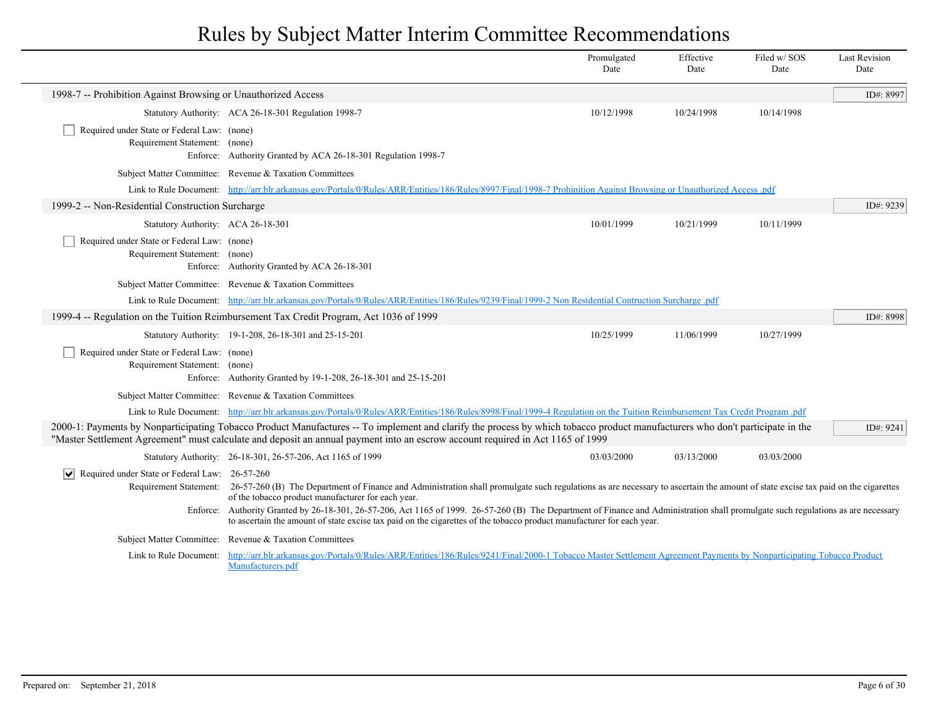|                                                                              |                                                                                                                                                                                                                                                                                                                 | Promulgated<br>Date | Effective<br>Date | Filed w/SOS<br>Date | <b>Last Revision</b><br>Date |
|------------------------------------------------------------------------------|-----------------------------------------------------------------------------------------------------------------------------------------------------------------------------------------------------------------------------------------------------------------------------------------------------------------|---------------------|-------------------|---------------------|------------------------------|
| 1998-7 -- Prohibition Against Browsing or Unauthorized Access                |                                                                                                                                                                                                                                                                                                                 |                     |                   |                     | ID#: 8997                    |
|                                                                              | Statutory Authority: ACA 26-18-301 Regulation 1998-7                                                                                                                                                                                                                                                            | 10/12/1998          | 10/24/1998        | 10/14/1998          |                              |
| Required under State or Federal Law: (none)<br>Requirement Statement: (none) | Enforce: Authority Granted by ACA 26-18-301 Regulation 1998-7                                                                                                                                                                                                                                                   |                     |                   |                     |                              |
|                                                                              | Subject Matter Committee: Revenue & Taxation Committees                                                                                                                                                                                                                                                         |                     |                   |                     |                              |
|                                                                              | Link to Rule Document: http://arr.blr.arkansas.gov/Portals/0/Rules/ARR/Entities/186/Rules/8997/Final/1998-7 Prohinition Against Browsing or Unauthorized Access .pdf                                                                                                                                            |                     |                   |                     |                              |
| 1999-2 -- Non-Residential Construction Surcharge                             |                                                                                                                                                                                                                                                                                                                 |                     |                   |                     | ID#: 9239                    |
| Statutory Authority: ACA 26-18-301                                           |                                                                                                                                                                                                                                                                                                                 | 10/01/1999          | 10/21/1999        | 10/11/1999          |                              |
| Required under State or Federal Law: (none)<br>Requirement Statement: (none) | Enforce: Authority Granted by ACA 26-18-301                                                                                                                                                                                                                                                                     |                     |                   |                     |                              |
|                                                                              | Subject Matter Committee: Revenue & Taxation Committees                                                                                                                                                                                                                                                         |                     |                   |                     |                              |
|                                                                              | Link to Rule Document: http://arr.blr.arkansas.gov/Portals/0/Rules/ARR/Entities/186/Rules/9239/Final/1999-2 Non Residential Contruction Surcharge .pdf                                                                                                                                                          |                     |                   |                     |                              |
|                                                                              | 1999-4 -- Regulation on the Tuition Reimbursement Tax Credit Program, Act 1036 of 1999                                                                                                                                                                                                                          |                     |                   |                     | ID#: 8998                    |
|                                                                              | Statutory Authority: 19-1-208, 26-18-301 and 25-15-201                                                                                                                                                                                                                                                          | 10/25/1999          | 11/06/1999        | 10/27/1999          |                              |
| Required under State or Federal Law: (none)<br>Requirement Statement: (none) | Enforce: Authority Granted by 19-1-208, 26-18-301 and 25-15-201                                                                                                                                                                                                                                                 |                     |                   |                     |                              |
|                                                                              | Subject Matter Committee: Revenue & Taxation Committees                                                                                                                                                                                                                                                         |                     |                   |                     |                              |
|                                                                              | Link to Rule Document: http://arr.blr.arkansas.gov/Portals/0/Rules/ARR/Entities/186/Rules/8998/Final/1999-4 Regulation on the Tuition Reimbursement Tax Credit Program .pdf                                                                                                                                     |                     |                   |                     |                              |
|                                                                              | 2000-1: Payments by Nonparticipating Tobacco Product Manufactures -- To implement and clarify the process by which tobacco product manufacturers who don't participate in the<br>"Master Settlement Agreement" must calculate and deposit an annual payment into an escrow account required in Act 1165 of 1999 |                     |                   |                     | ID#: 9241                    |
|                                                                              | Statutory Authority: 26-18-301, 26-57-206, Act 1165 of 1999                                                                                                                                                                                                                                                     | 03/03/2000          | 03/13/2000        | 03/03/2000          |                              |
| Required under State or Federal Law: 26-57-260                               | Requirement Statement: 26-57-260 (B) The Department of Finance and Administration shall promulgate such regulations as are necessary to ascertain the amount of state excise tax paid on the cigarettes<br>of the tobacco product manufacturer for each year.                                                   |                     |                   |                     |                              |
|                                                                              | Enforce: Authority Granted by 26-18-301, 26-57-206, Act 1165 of 1999. 26-57-260 (B) The Department of Finance and Administration shall promulgate such regulations as are necessary<br>to ascertain the amount of state excise tax paid on the cigarettes of the tobacco product manufacturer for each year.    |                     |                   |                     |                              |
|                                                                              | Subject Matter Committee: Revenue & Taxation Committees                                                                                                                                                                                                                                                         |                     |                   |                     |                              |
| Link to Rule Document:                                                       | http://arr.blr.arkansas.gov/Portals/0/Rules/ARR/Entities/186/Rules/9241/Final/2000-1 Tobacco Master Settlement Agreement Payments by Nonparticipating Tobacco Product<br>Manufacturers.pdf                                                                                                                      |                     |                   |                     |                              |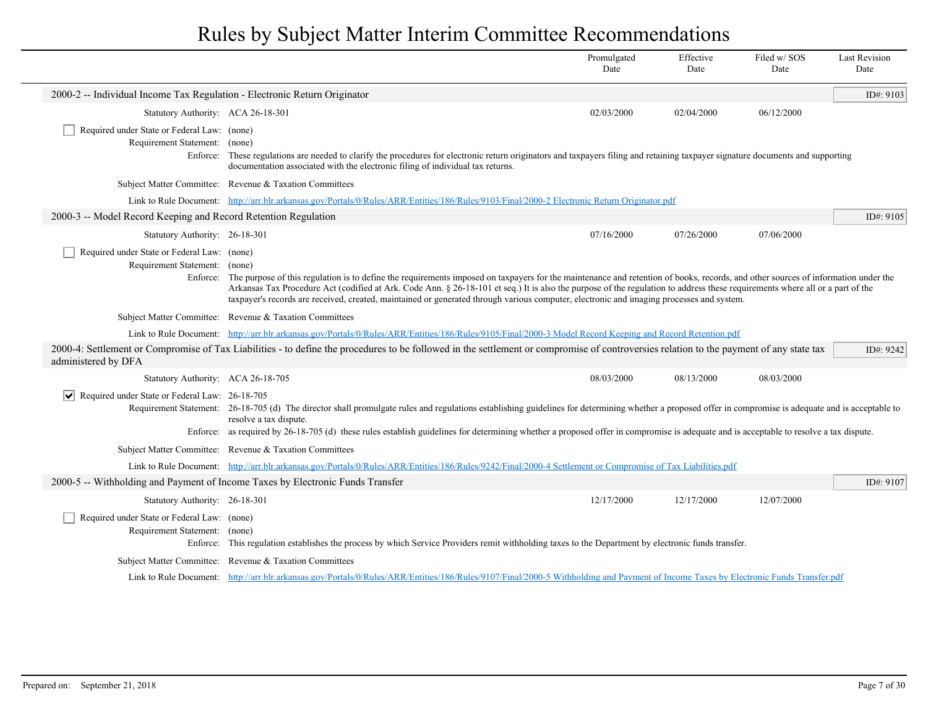|                                                                                          |                                                                                                                                                                                                                                                                                                                                                                                                                                                                                                                | Promulgated<br>Date | Effective<br>Date | Filed w/ SOS<br>Date | <b>Last Revision</b><br>Date |
|------------------------------------------------------------------------------------------|----------------------------------------------------------------------------------------------------------------------------------------------------------------------------------------------------------------------------------------------------------------------------------------------------------------------------------------------------------------------------------------------------------------------------------------------------------------------------------------------------------------|---------------------|-------------------|----------------------|------------------------------|
| 2000-2 -- Individual Income Tax Regulation - Electronic Return Originator                |                                                                                                                                                                                                                                                                                                                                                                                                                                                                                                                |                     |                   |                      | ID#: 9103                    |
| Statutory Authority: ACA 26-18-301                                                       |                                                                                                                                                                                                                                                                                                                                                                                                                                                                                                                | 02/03/2000          | 02/04/2000        | 06/12/2000           |                              |
| Required under State or Federal Law: (none)                                              |                                                                                                                                                                                                                                                                                                                                                                                                                                                                                                                |                     |                   |                      |                              |
| Requirement Statement:<br>Enforce:                                                       | (none)<br>These regulations are needed to clarify the procedures for electronic return originators and taxpayers filing and retaining taxpayer signature documents and supporting<br>documentation associated with the electronic filing of individual tax returns.                                                                                                                                                                                                                                            |                     |                   |                      |                              |
|                                                                                          | Subject Matter Committee: Revenue & Taxation Committees                                                                                                                                                                                                                                                                                                                                                                                                                                                        |                     |                   |                      |                              |
| Link to Rule Document:                                                                   | http://arr.blr.arkansas.gov/Portals/0/Rules/ARR/Entities/186/Rules/9103/Final/2000-2 Electronic Return Originator.pdf                                                                                                                                                                                                                                                                                                                                                                                          |                     |                   |                      |                              |
| 2000-3 -- Model Record Keeping and Record Retention Regulation                           |                                                                                                                                                                                                                                                                                                                                                                                                                                                                                                                |                     |                   |                      | ID#: $9105$                  |
| Statutory Authority: 26-18-301                                                           |                                                                                                                                                                                                                                                                                                                                                                                                                                                                                                                | 07/16/2000          | 07/26/2000        | 07/06/2000           |                              |
| Required under State or Federal Law: (none)<br>Requirement Statement: (none)<br>Enforce: | The purpose of this regulation is to define the requirements imposed on taxpayers for the maintenance and retention of books, records, and other sources of information under the<br>Arkansas Tax Procedure Act (codified at Ark. Code Ann. § 26-18-101 et seq.) It is also the purpose of the regulation to address these requirements where all or a part of the<br>taxpayer's records are received, created, maintained or generated through various computer, electronic and imaging processes and system. |                     |                   |                      |                              |
|                                                                                          | Subject Matter Committee: Revenue & Taxation Committees                                                                                                                                                                                                                                                                                                                                                                                                                                                        |                     |                   |                      |                              |
|                                                                                          | Link to Rule Document: http://arr.blr.arkansas.gov/Portals/0/Rules/ARR/Entities/186/Rules/9105/Final/2000-3 Model Record Keeping and Record Retention.pdf                                                                                                                                                                                                                                                                                                                                                      |                     |                   |                      |                              |
| administered by DFA                                                                      | 2000-4: Settlement or Compromise of Tax Liabilities - to define the procedures to be followed in the settlement or compromise of controversies relation to the payment of any state tax                                                                                                                                                                                                                                                                                                                        |                     |                   |                      | ID#: 9242                    |
| Statutory Authority: ACA 26-18-705                                                       |                                                                                                                                                                                                                                                                                                                                                                                                                                                                                                                | 08/03/2000          | 08/13/2000        | 08/03/2000           |                              |
| Required under State or Federal Law: 26-18-705<br>∣V∣                                    | Requirement Statement: 26-18-705 (d) The director shall promulgate rules and regulations establishing guidelines for determining whether a proposed offer in compromise is adequate and is acceptable to<br>resolve a tax dispute.<br>Enforce: as required by 26-18-705 (d) these rules establish guidelines for determining whether a proposed offer in compromise is adequate and is acceptable to resolve a tax dispute.                                                                                    |                     |                   |                      |                              |
|                                                                                          | Subject Matter Committee: Revenue & Taxation Committees                                                                                                                                                                                                                                                                                                                                                                                                                                                        |                     |                   |                      |                              |
|                                                                                          | Link to Rule Document: http://arr.blr.arkansas.gov/Portals/0/Rules/ARR/Entities/186/Rules/9242/Final/2000-4 Settlement or Compromise of Tax Liabilities.pdf                                                                                                                                                                                                                                                                                                                                                    |                     |                   |                      |                              |
|                                                                                          | 2000-5 -- Withholding and Payment of Income Taxes by Electronic Funds Transfer                                                                                                                                                                                                                                                                                                                                                                                                                                 |                     |                   |                      | ID#: 9107                    |
| Statutory Authority: 26-18-301                                                           |                                                                                                                                                                                                                                                                                                                                                                                                                                                                                                                | 12/17/2000          | 12/17/2000        | 12/07/2000           |                              |
| Required under State or Federal Law: (none)<br>Requirement Statement: (none)<br>Enforce: | This regulation establishes the process by which Service Providers remit withholding taxes to the Department by electronic funds transfer.                                                                                                                                                                                                                                                                                                                                                                     |                     |                   |                      |                              |
|                                                                                          | Subject Matter Committee: Revenue & Taxation Committees                                                                                                                                                                                                                                                                                                                                                                                                                                                        |                     |                   |                      |                              |
|                                                                                          | Link to Rule Document: http://arr.blr.arkansas.gov/Portals/0/Rules/ARR/Entities/186/Rules/9107/Final/2000-5 Withholding and Payment of Income Taxes by Electronic Funds Transfer.pdf                                                                                                                                                                                                                                                                                                                           |                     |                   |                      |                              |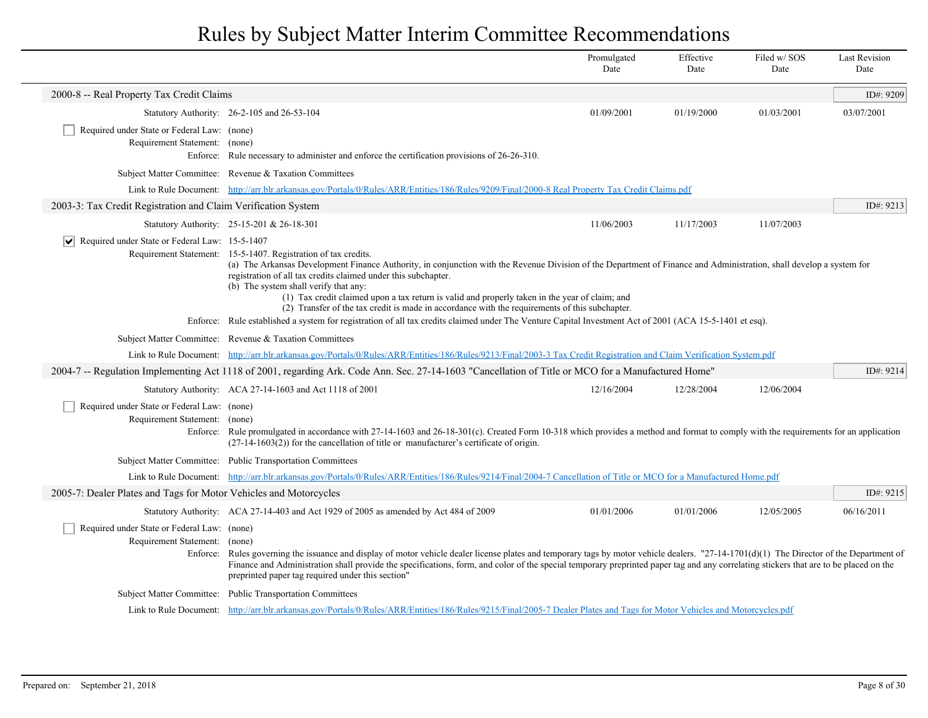|                                                                              |                                                                                                                                                                                                                                                                                                                                                                                                                                                                                                                                                                                                                                                                                                                  | Promulgated<br>Date | Effective<br>Date | Filed w/SOS<br>Date | <b>Last Revision</b><br>Date |  |
|------------------------------------------------------------------------------|------------------------------------------------------------------------------------------------------------------------------------------------------------------------------------------------------------------------------------------------------------------------------------------------------------------------------------------------------------------------------------------------------------------------------------------------------------------------------------------------------------------------------------------------------------------------------------------------------------------------------------------------------------------------------------------------------------------|---------------------|-------------------|---------------------|------------------------------|--|
| 2000-8 -- Real Property Tax Credit Claims                                    |                                                                                                                                                                                                                                                                                                                                                                                                                                                                                                                                                                                                                                                                                                                  |                     |                   |                     | ID#: 9209                    |  |
|                                                                              | Statutory Authority: 26-2-105 and 26-53-104                                                                                                                                                                                                                                                                                                                                                                                                                                                                                                                                                                                                                                                                      | 01/09/2001          | 01/19/2000        | 01/03/2001          | 03/07/2001                   |  |
| Required under State or Federal Law: (none)<br>Requirement Statement: (none) | Enforce: Rule necessary to administer and enforce the certification provisions of 26-26-310.                                                                                                                                                                                                                                                                                                                                                                                                                                                                                                                                                                                                                     |                     |                   |                     |                              |  |
|                                                                              | Subject Matter Committee: Revenue & Taxation Committees                                                                                                                                                                                                                                                                                                                                                                                                                                                                                                                                                                                                                                                          |                     |                   |                     |                              |  |
|                                                                              | Link to Rule Document: http://arr.blr.arkansas.gov/Portals/0/Rules/ARR/Entities/186/Rules/9209/Final/2000-8 Real Property Tax Credit Claims.pdf                                                                                                                                                                                                                                                                                                                                                                                                                                                                                                                                                                  |                     |                   |                     |                              |  |
| 2003-3: Tax Credit Registration and Claim Verification System                |                                                                                                                                                                                                                                                                                                                                                                                                                                                                                                                                                                                                                                                                                                                  |                     |                   |                     | ID#: 9213                    |  |
|                                                                              | Statutory Authority: 25-15-201 & 26-18-301                                                                                                                                                                                                                                                                                                                                                                                                                                                                                                                                                                                                                                                                       | 11/06/2003          | 11/17/2003        | 11/07/2003          |                              |  |
| $\triangleright$ Required under State or Federal Law: 15-5-1407              | Requirement Statement: 15-5-1407. Registration of tax credits.<br>(a) The Arkansas Development Finance Authority, in conjunction with the Revenue Division of the Department of Finance and Administration, shall develop a system for<br>registration of all tax credits claimed under this subchapter.<br>(b) The system shall verify that any:<br>(1) Tax credit claimed upon a tax return is valid and properly taken in the year of claim; and<br>(2) Transfer of the tax credit is made in accordance with the requirements of this subchapter.<br>Enforce: Rule established a system for registration of all tax credits claimed under The Venture Capital Investment Act of 2001 (ACA 15-5-1401 et esq). |                     |                   |                     |                              |  |
|                                                                              | Subject Matter Committee: Revenue & Taxation Committees                                                                                                                                                                                                                                                                                                                                                                                                                                                                                                                                                                                                                                                          |                     |                   |                     |                              |  |
|                                                                              | Link to Rule Document: http://arr.blr.arkansas.gov/Portals/0/Rules/ARR/Entities/186/Rules/9213/Final/2003-3 Tax Credit Registration and Claim Verification System.pdf                                                                                                                                                                                                                                                                                                                                                                                                                                                                                                                                            |                     |                   |                     |                              |  |
|                                                                              | 2004-7 -- Regulation Implementing Act 1118 of 2001, regarding Ark. Code Ann. Sec. 27-14-1603 "Cancellation of Title or MCO for a Manufactured Home"                                                                                                                                                                                                                                                                                                                                                                                                                                                                                                                                                              |                     |                   |                     | ID#: 9214                    |  |
|                                                                              | Statutory Authority: ACA 27-14-1603 and Act 1118 of 2001                                                                                                                                                                                                                                                                                                                                                                                                                                                                                                                                                                                                                                                         | 12/16/2004          | 12/28/2004        | 12/06/2004          |                              |  |
| Required under State or Federal Law: (none)<br>Requirement Statement: (none) | Enforce: Rule promulgated in accordance with 27-14-1603 and 26-18-301(c). Created Form 10-318 which provides a method and format to comply with the requirements for an application<br>$(27-14-1603(2))$ for the cancellation of title or manufacturer's certificate of origin.                                                                                                                                                                                                                                                                                                                                                                                                                                  |                     |                   |                     |                              |  |
|                                                                              | Subject Matter Committee: Public Transportation Committees                                                                                                                                                                                                                                                                                                                                                                                                                                                                                                                                                                                                                                                       |                     |                   |                     |                              |  |
|                                                                              | Link to Rule Document: http://arr.blr.arkansas.gov/Portals/0/Rules/ARR/Entities/186/Rules/9214/Final/2004-7 Cancellation of Title or MCO for a Manufactured Home.pdf                                                                                                                                                                                                                                                                                                                                                                                                                                                                                                                                             |                     |                   |                     |                              |  |
| 2005-7: Dealer Plates and Tags for Motor Vehicles and Motorcycles            |                                                                                                                                                                                                                                                                                                                                                                                                                                                                                                                                                                                                                                                                                                                  |                     |                   |                     | ID#: 9215                    |  |
|                                                                              | Statutory Authority: ACA 27-14-403 and Act 1929 of 2005 as amended by Act 484 of 2009                                                                                                                                                                                                                                                                                                                                                                                                                                                                                                                                                                                                                            | 01/01/2006          | 01/01/2006        | 12/05/2005          | 06/16/2011                   |  |
| Required under State or Federal Law: (none)<br>Requirement Statement:        | (none)<br>Enforce: Rules governing the issuance and display of motor vehicle dealer license plates and temporary tags by motor vehicle dealers. "27-14-1701(d)(1) The Director of the Department of<br>Finance and Administration shall provide the specifications, form, and color of the special temporary preprinted paper tag and any correlating stickers that are to be placed on the<br>preprinted paper tag required under this section"                                                                                                                                                                                                                                                                 |                     |                   |                     |                              |  |
| <b>Subject Matter Committee:</b>                                             | <b>Public Transportation Committees</b>                                                                                                                                                                                                                                                                                                                                                                                                                                                                                                                                                                                                                                                                          |                     |                   |                     |                              |  |
|                                                                              | Link to Rule Document: http://arr.blr.arkansas.gov/Portals/0/Rules/ARR/Entities/186/Rules/9215/Final/2005-7 Dealer Plates and Tags for Motor Vehicles and Motorcycles.pdf                                                                                                                                                                                                                                                                                                                                                                                                                                                                                                                                        |                     |                   |                     |                              |  |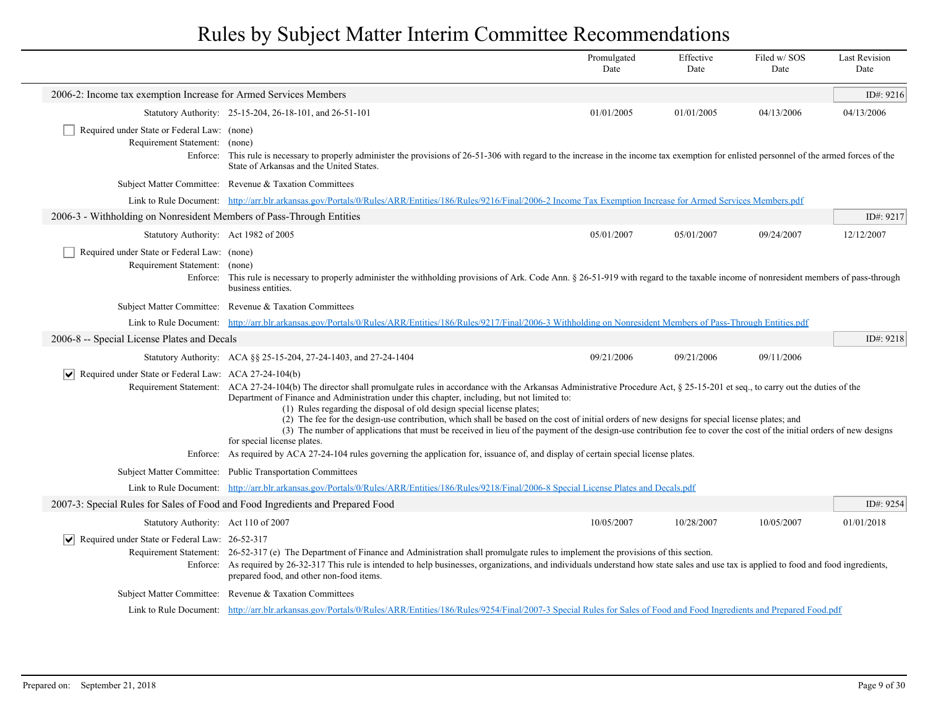|                                                                                          |                                                                                                                                                                                                                                                                                                                                                                                                                                                                                                                                                                                                                                                                                                                                                                                                                                                                            | Promulgated<br>Date | Effective<br>Date | Filed w/SOS<br>Date | <b>Last Revision</b><br>Date |
|------------------------------------------------------------------------------------------|----------------------------------------------------------------------------------------------------------------------------------------------------------------------------------------------------------------------------------------------------------------------------------------------------------------------------------------------------------------------------------------------------------------------------------------------------------------------------------------------------------------------------------------------------------------------------------------------------------------------------------------------------------------------------------------------------------------------------------------------------------------------------------------------------------------------------------------------------------------------------|---------------------|-------------------|---------------------|------------------------------|
| 2006-2: Income tax exemption Increase for Armed Services Members                         |                                                                                                                                                                                                                                                                                                                                                                                                                                                                                                                                                                                                                                                                                                                                                                                                                                                                            |                     |                   |                     | ID#: 9216                    |
|                                                                                          | Statutory Authority: 25-15-204, 26-18-101, and 26-51-101                                                                                                                                                                                                                                                                                                                                                                                                                                                                                                                                                                                                                                                                                                                                                                                                                   | 01/01/2005          | 01/01/2005        | 04/13/2006          | 04/13/2006                   |
| Required under State or Federal Law: (none)<br>Requirement Statement: (none)<br>Enforce: | This rule is necessary to properly administer the provisions of 26-51-306 with regard to the increase in the income tax exemption for enlisted personnel of the armed forces of the<br>State of Arkansas and the United States.                                                                                                                                                                                                                                                                                                                                                                                                                                                                                                                                                                                                                                            |                     |                   |                     |                              |
|                                                                                          | Subject Matter Committee: Revenue & Taxation Committees                                                                                                                                                                                                                                                                                                                                                                                                                                                                                                                                                                                                                                                                                                                                                                                                                    |                     |                   |                     |                              |
|                                                                                          | Link to Rule Document: http://arr.blr.arkansas.gov/Portals/0/Rules/ARR/Entities/186/Rules/9216/Final/2006-2 Income Tax Exemption Increase for Armed Services Members.pdf                                                                                                                                                                                                                                                                                                                                                                                                                                                                                                                                                                                                                                                                                                   |                     |                   |                     |                              |
| 2006-3 - Withholding on Nonresident Members of Pass-Through Entities                     |                                                                                                                                                                                                                                                                                                                                                                                                                                                                                                                                                                                                                                                                                                                                                                                                                                                                            |                     |                   |                     | ID#: 9217                    |
| Statutory Authority: Act 1982 of 2005                                                    |                                                                                                                                                                                                                                                                                                                                                                                                                                                                                                                                                                                                                                                                                                                                                                                                                                                                            | 05/01/2007          | 05/01/2007        | 09/24/2007          | 12/12/2007                   |
| Required under State or Federal Law: (none)<br>Requirement Statement: (none)             | Enforce: This rule is necessary to properly administer the withholding provisions of Ark. Code Ann. § 26-51-919 with regard to the taxable income of nonresident members of pass-through<br>business entities.                                                                                                                                                                                                                                                                                                                                                                                                                                                                                                                                                                                                                                                             |                     |                   |                     |                              |
|                                                                                          | Subject Matter Committee: Revenue & Taxation Committees                                                                                                                                                                                                                                                                                                                                                                                                                                                                                                                                                                                                                                                                                                                                                                                                                    |                     |                   |                     |                              |
|                                                                                          | Link to Rule Document: http://arr.blr.arkansas.gov/Portals/0/Rules/ARR/Entities/186/Rules/9217/Final/2006-3 Withholding on Nonresident Members of Pass-Through Entities.pdf                                                                                                                                                                                                                                                                                                                                                                                                                                                                                                                                                                                                                                                                                                |                     |                   |                     |                              |
| 2006-8 -- Special License Plates and Decals                                              |                                                                                                                                                                                                                                                                                                                                                                                                                                                                                                                                                                                                                                                                                                                                                                                                                                                                            |                     |                   |                     | ID#: 9218                    |
|                                                                                          | Statutory Authority: ACA §§ 25-15-204, 27-24-1403, and 27-24-1404                                                                                                                                                                                                                                                                                                                                                                                                                                                                                                                                                                                                                                                                                                                                                                                                          | 09/21/2006          | 09/21/2006        | 09/11/2006          |                              |
| $ \bm{\mathsf{v}} $<br>Required under State or Federal Law: ACA 27-24-104(b)             | Requirement Statement: ACA 27-24-104(b) The director shall promulgate rules in accordance with the Arkansas Administrative Procedure Act, § 25-15-201 et seq., to carry out the duties of the<br>Department of Finance and Administration under this chapter, including, but not limited to:<br>(1) Rules regarding the disposal of old design special license plates;<br>(2) The fee for the design-use contribution, which shall be based on the cost of initial orders of new designs for special license plates; and<br>(3) The number of applications that must be received in lieu of the payment of the design-use contribution fee to cover the cost of the initial orders of new designs<br>for special license plates.<br>Enforce: As required by ACA 27-24-104 rules governing the application for, issuance of, and display of certain special license plates. |                     |                   |                     |                              |
|                                                                                          | Subject Matter Committee: Public Transportation Committees                                                                                                                                                                                                                                                                                                                                                                                                                                                                                                                                                                                                                                                                                                                                                                                                                 |                     |                   |                     |                              |
|                                                                                          | Link to Rule Document: http://arr.blr.arkansas.gov/Portals/0/Rules/ARR/Entities/186/Rules/9218/Final/2006-8 Special License Plates and Decals.pdf                                                                                                                                                                                                                                                                                                                                                                                                                                                                                                                                                                                                                                                                                                                          |                     |                   |                     |                              |
| 2007-3: Special Rules for Sales of Food and Food Ingredients and Prepared Food           |                                                                                                                                                                                                                                                                                                                                                                                                                                                                                                                                                                                                                                                                                                                                                                                                                                                                            |                     |                   |                     | ID#: 9254                    |
| Statutory Authority: Act 110 of 2007                                                     |                                                                                                                                                                                                                                                                                                                                                                                                                                                                                                                                                                                                                                                                                                                                                                                                                                                                            | 10/05/2007          | 10/28/2007        | 10/05/2007          | 01/01/2018                   |
| Required under State or Federal Law: 26-52-317<br>$ \bm{\mathsf{v}} $                    | Requirement Statement: 26-52-317 (e) The Department of Finance and Administration shall promulgate rules to implement the provisions of this section.<br>Enforce: As required by 26-32-317 This rule is intended to help businesses, organizations, and individuals understand how state sales and use tax is applied to food and food ingredients,<br>prepared food, and other non-food items.                                                                                                                                                                                                                                                                                                                                                                                                                                                                            |                     |                   |                     |                              |
|                                                                                          | Subject Matter Committee: Revenue & Taxation Committees                                                                                                                                                                                                                                                                                                                                                                                                                                                                                                                                                                                                                                                                                                                                                                                                                    |                     |                   |                     |                              |
|                                                                                          | Link to Rule Document: http://arr.blr.arkansas.gov/Portals/0/Rules/ARR/Entities/186/Rules/9254/Final/2007-3 Special Rules for Sales of Food and Food Ingredients and Prepared Food.pdf                                                                                                                                                                                                                                                                                                                                                                                                                                                                                                                                                                                                                                                                                     |                     |                   |                     |                              |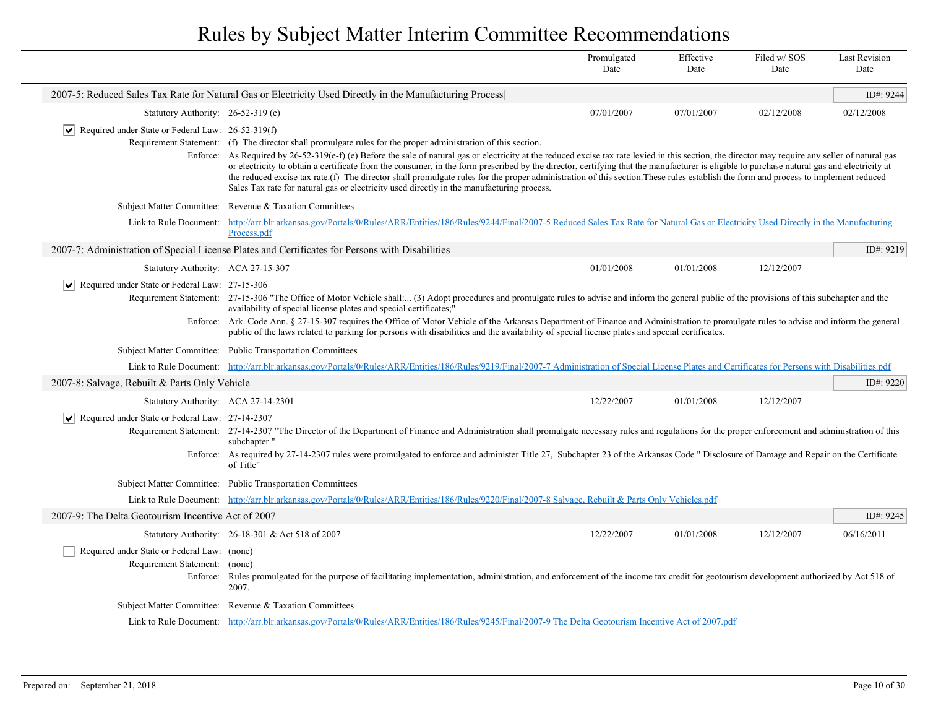|                                                                       |                                                                                                                                                                                                                                                                                                                                                                                                                                                                                                                                                                                                                                                                                                                                                                                                     | Promulgated<br>Date | Effective<br>Date | Filed w/SOS<br>Date | <b>Last Revision</b><br>Date |
|-----------------------------------------------------------------------|-----------------------------------------------------------------------------------------------------------------------------------------------------------------------------------------------------------------------------------------------------------------------------------------------------------------------------------------------------------------------------------------------------------------------------------------------------------------------------------------------------------------------------------------------------------------------------------------------------------------------------------------------------------------------------------------------------------------------------------------------------------------------------------------------------|---------------------|-------------------|---------------------|------------------------------|
|                                                                       | 2007-5: Reduced Sales Tax Rate for Natural Gas or Electricity Used Directly in the Manufacturing Process                                                                                                                                                                                                                                                                                                                                                                                                                                                                                                                                                                                                                                                                                            |                     |                   |                     | ID#: 9244                    |
| Statutory Authority: 26-52-319 (c)                                    |                                                                                                                                                                                                                                                                                                                                                                                                                                                                                                                                                                                                                                                                                                                                                                                                     | 07/01/2007          | 07/01/2007        | 02/12/2008          | 02/12/2008                   |
| $ \mathbf{v} $ Required under State or Federal Law: 26-52-319(f)      | Requirement Statement: (f) The director shall promulgate rules for the proper administration of this section.<br>Enforce: As Required by 26-52-319(e-f) (e) Before the sale of natural gas or electricity at the reduced excise tax rate levied in this section, the director may require any seller of natural gas<br>or electricity to obtain a certificate from the consumer, in the form prescribed by the director, certifying that the manufacturer is eligible to purchase natural gas and electricity at<br>the reduced excise tax rate.(f) The director shall promulgate rules for the proper administration of this section. These rules establish the form and process to implement reduced<br>Sales Tax rate for natural gas or electricity used directly in the manufacturing process. |                     |                   |                     |                              |
| <b>Subject Matter Committee:</b>                                      | Revenue & Taxation Committees                                                                                                                                                                                                                                                                                                                                                                                                                                                                                                                                                                                                                                                                                                                                                                       |                     |                   |                     |                              |
| Link to Rule Document:                                                | http://arr.blr.arkansas.gov/Portals/0/Rules/ARR/Entities/186/Rules/9244/Final/2007-5 Reduced Sales Tax Rate for Natural Gas or Electricity Used Directly in the Manufacturing<br>Process.pdf                                                                                                                                                                                                                                                                                                                                                                                                                                                                                                                                                                                                        |                     |                   |                     |                              |
|                                                                       | 2007-7: Administration of Special License Plates and Certificates for Persons with Disabilities                                                                                                                                                                                                                                                                                                                                                                                                                                                                                                                                                                                                                                                                                                     |                     |                   |                     | ID#: 9219                    |
| Statutory Authority: ACA 27-15-307                                    |                                                                                                                                                                                                                                                                                                                                                                                                                                                                                                                                                                                                                                                                                                                                                                                                     | 01/01/2008          | 01/01/2008        | 12/12/2007          |                              |
| $ \bm{\mathsf{v}} $<br>Required under State or Federal Law: 27-15-306 | Requirement Statement: 27-15-306 "The Office of Motor Vehicle shall: (3) Adopt procedures and promulgate rules to advise and inform the general public of the provisions of this subchapter and the<br>availability of special license plates and special certificates;"<br>Enforce: Ark. Code Ann. § 27-15-307 requires the Office of Motor Vehicle of the Arkansas Department of Finance and Administration to promulgate rules to advise and inform the general<br>public of the laws related to parking for persons with disabilities and the availability of special license plates and special certificates.                                                                                                                                                                                  |                     |                   |                     |                              |
|                                                                       | Subject Matter Committee: Public Transportation Committees                                                                                                                                                                                                                                                                                                                                                                                                                                                                                                                                                                                                                                                                                                                                          |                     |                   |                     |                              |
|                                                                       | Link to Rule Document: http://arr.blr.arkansas.gov/Portals/0/Rules/ARR/Entities/186/Rules/9219/Final/2007-7 Administration of Special License Plates and Certificates for Persons with Disabilities.pdf                                                                                                                                                                                                                                                                                                                                                                                                                                                                                                                                                                                             |                     |                   |                     |                              |
| 2007-8: Salvage, Rebuilt & Parts Only Vehicle                         |                                                                                                                                                                                                                                                                                                                                                                                                                                                                                                                                                                                                                                                                                                                                                                                                     |                     |                   |                     | ID#: 9220                    |
| Statutory Authority: ACA 27-14-2301                                   |                                                                                                                                                                                                                                                                                                                                                                                                                                                                                                                                                                                                                                                                                                                                                                                                     | 12/22/2007          | 01/01/2008        | 12/12/2007          |                              |
| $ \mathbf{v} $ Required under State or Federal Law: 27-14-2307        | Requirement Statement: 27-14-2307 "The Director of the Department of Finance and Administration shall promulgate necessary rules and regulations for the proper enforcement and administration of this<br>subchapter."<br>Enforce: As required by 27-14-2307 rules were promulgated to enforce and administer Title 27, Subchapter 23 of the Arkansas Code "Disclosure of Damage and Repair on the Certificate<br>of Title"                                                                                                                                                                                                                                                                                                                                                                         |                     |                   |                     |                              |
|                                                                       | Subject Matter Committee: Public Transportation Committees                                                                                                                                                                                                                                                                                                                                                                                                                                                                                                                                                                                                                                                                                                                                          |                     |                   |                     |                              |
|                                                                       | Link to Rule Document: http://arr.blr.arkansas.gov/Portals/0/Rules/ARR/Entities/186/Rules/9220/Final/2007-8 Salvage, Rebuilt & Parts Only Vehicles.pdf                                                                                                                                                                                                                                                                                                                                                                                                                                                                                                                                                                                                                                              |                     |                   |                     |                              |
| 2007-9: The Delta Geotourism Incentive Act of 2007                    |                                                                                                                                                                                                                                                                                                                                                                                                                                                                                                                                                                                                                                                                                                                                                                                                     |                     |                   |                     | ID#: $9245$                  |
|                                                                       | Statutory Authority: 26-18-301 & Act 518 of 2007                                                                                                                                                                                                                                                                                                                                                                                                                                                                                                                                                                                                                                                                                                                                                    | 12/22/2007          | 01/01/2008        | 12/12/2007          | 06/16/2011                   |
| Required under State or Federal Law: (none)<br>Requirement Statement: | (none)<br>Enforce: Rules promulgated for the purpose of facilitating implementation, administration, and enforcement of the income tax credit for geotourism development authorized by Act 518 of<br>2007.                                                                                                                                                                                                                                                                                                                                                                                                                                                                                                                                                                                          |                     |                   |                     |                              |
|                                                                       | Subject Matter Committee: Revenue & Taxation Committees                                                                                                                                                                                                                                                                                                                                                                                                                                                                                                                                                                                                                                                                                                                                             |                     |                   |                     |                              |
|                                                                       | Link to Rule Document: http://arr.blr.arkansas.gov/Portals/0/Rules/ARR/Entities/186/Rules/9245/Final/2007-9 The Delta Geotourism Incentive Act of 2007.pdf                                                                                                                                                                                                                                                                                                                                                                                                                                                                                                                                                                                                                                          |                     |                   |                     |                              |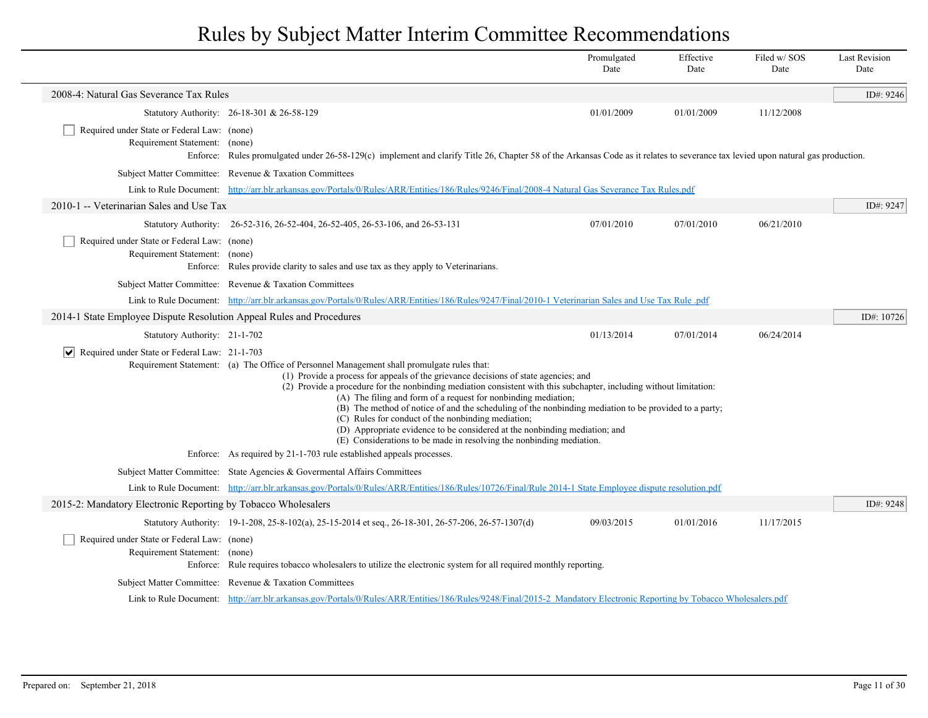|                                                                              |                                                                                                                                                                                                                                                                                                                                                                                                                                                                                                                                                                                                                                                                                                                                                                         | Promulgated<br>Date | Effective<br>Date | Filed w/SOS<br>Date | <b>Last Revision</b><br>Date |  |
|------------------------------------------------------------------------------|-------------------------------------------------------------------------------------------------------------------------------------------------------------------------------------------------------------------------------------------------------------------------------------------------------------------------------------------------------------------------------------------------------------------------------------------------------------------------------------------------------------------------------------------------------------------------------------------------------------------------------------------------------------------------------------------------------------------------------------------------------------------------|---------------------|-------------------|---------------------|------------------------------|--|
| 2008-4: Natural Gas Severance Tax Rules                                      |                                                                                                                                                                                                                                                                                                                                                                                                                                                                                                                                                                                                                                                                                                                                                                         |                     |                   |                     | ID#: $9246$                  |  |
|                                                                              | Statutory Authority: 26-18-301 & 26-58-129                                                                                                                                                                                                                                                                                                                                                                                                                                                                                                                                                                                                                                                                                                                              | 01/01/2009          | 01/01/2009        | 11/12/2008          |                              |  |
| Required under State or Federal Law: (none)<br>Requirement Statement: (none) | Enforce: Rules promulgated under 26-58-129(c) implement and clarify Title 26, Chapter 58 of the Arkansas Code as it relates to severance tax levied upon natural gas production.                                                                                                                                                                                                                                                                                                                                                                                                                                                                                                                                                                                        |                     |                   |                     |                              |  |
|                                                                              | Subject Matter Committee: Revenue & Taxation Committees                                                                                                                                                                                                                                                                                                                                                                                                                                                                                                                                                                                                                                                                                                                 |                     |                   |                     |                              |  |
|                                                                              | Link to Rule Document: http://arr.blr.arkansas.gov/Portals/0/Rules/ARR/Entities/186/Rules/9246/Final/2008-4 Natural Gas Severance Tax Rules.pdf                                                                                                                                                                                                                                                                                                                                                                                                                                                                                                                                                                                                                         |                     |                   |                     |                              |  |
| 2010-1 -- Veterinarian Sales and Use Tax                                     |                                                                                                                                                                                                                                                                                                                                                                                                                                                                                                                                                                                                                                                                                                                                                                         |                     |                   |                     | ID#: 9247                    |  |
|                                                                              | Statutory Authority: 26-52-316, 26-52-404, 26-52-405, 26-53-106, and 26-53-131                                                                                                                                                                                                                                                                                                                                                                                                                                                                                                                                                                                                                                                                                          | 07/01/2010          | 07/01/2010        | 06/21/2010          |                              |  |
| Required under State or Federal Law: (none)<br>Requirement Statement: (none) | Enforce: Rules provide clarity to sales and use tax as they apply to Veterinarians.                                                                                                                                                                                                                                                                                                                                                                                                                                                                                                                                                                                                                                                                                     |                     |                   |                     |                              |  |
|                                                                              | Subject Matter Committee: Revenue & Taxation Committees                                                                                                                                                                                                                                                                                                                                                                                                                                                                                                                                                                                                                                                                                                                 |                     |                   |                     |                              |  |
|                                                                              | Link to Rule Document: http://arr.blr.arkansas.gov/Portals/0/Rules/ARR/Entities/186/Rules/9247/Final/2010-1 Veterinarian Sales and Use Tax Rule .pdf                                                                                                                                                                                                                                                                                                                                                                                                                                                                                                                                                                                                                    |                     |                   |                     |                              |  |
| 2014-1 State Employee Dispute Resolution Appeal Rules and Procedures         |                                                                                                                                                                                                                                                                                                                                                                                                                                                                                                                                                                                                                                                                                                                                                                         |                     |                   |                     | ID#: 10726                   |  |
| Statutory Authority: 21-1-702                                                |                                                                                                                                                                                                                                                                                                                                                                                                                                                                                                                                                                                                                                                                                                                                                                         | 01/13/2014          | 07/01/2014        | 06/24/2014          |                              |  |
| $ \mathbf{v} $<br>Required under State or Federal Law: 21-1-703              |                                                                                                                                                                                                                                                                                                                                                                                                                                                                                                                                                                                                                                                                                                                                                                         |                     |                   |                     |                              |  |
|                                                                              | Requirement Statement: (a) The Office of Personnel Management shall promulgate rules that:<br>(1) Provide a process for appeals of the grievance decisions of state agencies; and<br>(2) Provide a procedure for the nonbinding mediation consistent with this subchapter, including without limitation:<br>(A) The filing and form of a request for nonbinding mediation;<br>(B) The method of notice of and the scheduling of the nonbinding mediation to be provided to a party;<br>(C) Rules for conduct of the nonbinding mediation;<br>(D) Appropriate evidence to be considered at the nonbinding mediation; and<br>(E) Considerations to be made in resolving the nonbinding mediation.<br>Enforce: As required by 21-1-703 rule established appeals processes. |                     |                   |                     |                              |  |
|                                                                              | Subject Matter Committee: State Agencies & Governental Affairs Committees                                                                                                                                                                                                                                                                                                                                                                                                                                                                                                                                                                                                                                                                                               |                     |                   |                     |                              |  |
|                                                                              | Link to Rule Document: http://arr.blr.arkansas.gov/Portals/0/Rules/ARR/Entities/186/Rules/10726/Final/Rule 2014-1 State Employee dispute resolution.pdf                                                                                                                                                                                                                                                                                                                                                                                                                                                                                                                                                                                                                 |                     |                   |                     |                              |  |
| 2015-2: Mandatory Electronic Reporting by Tobacco Wholesalers                |                                                                                                                                                                                                                                                                                                                                                                                                                                                                                                                                                                                                                                                                                                                                                                         |                     |                   |                     | ID#: 9248                    |  |
|                                                                              | Statutory Authority: 19-1-208, 25-8-102(a), 25-15-2014 et seq., 26-18-301, 26-57-206, 26-57-1307(d)                                                                                                                                                                                                                                                                                                                                                                                                                                                                                                                                                                                                                                                                     | 09/03/2015          | 01/01/2016        | 11/17/2015          |                              |  |
| Required under State or Federal Law: (none)<br>Requirement Statement: (none) | Enforce: Rule requires tobacco wholesalers to utilize the electronic system for all required monthly reporting.                                                                                                                                                                                                                                                                                                                                                                                                                                                                                                                                                                                                                                                         |                     |                   |                     |                              |  |
|                                                                              | Subject Matter Committee: Revenue & Taxation Committees                                                                                                                                                                                                                                                                                                                                                                                                                                                                                                                                                                                                                                                                                                                 |                     |                   |                     |                              |  |
|                                                                              | Link to Rule Document: http://arr.blr.arkansas.gov/Portals/0/Rules/ARR/Entities/186/Rules/9248/Final/2015-2 Mandatory Electronic Reporting by Tobacco Wholesalers.pdf                                                                                                                                                                                                                                                                                                                                                                                                                                                                                                                                                                                                   |                     |                   |                     |                              |  |

 $\overline{\phantom{a}}$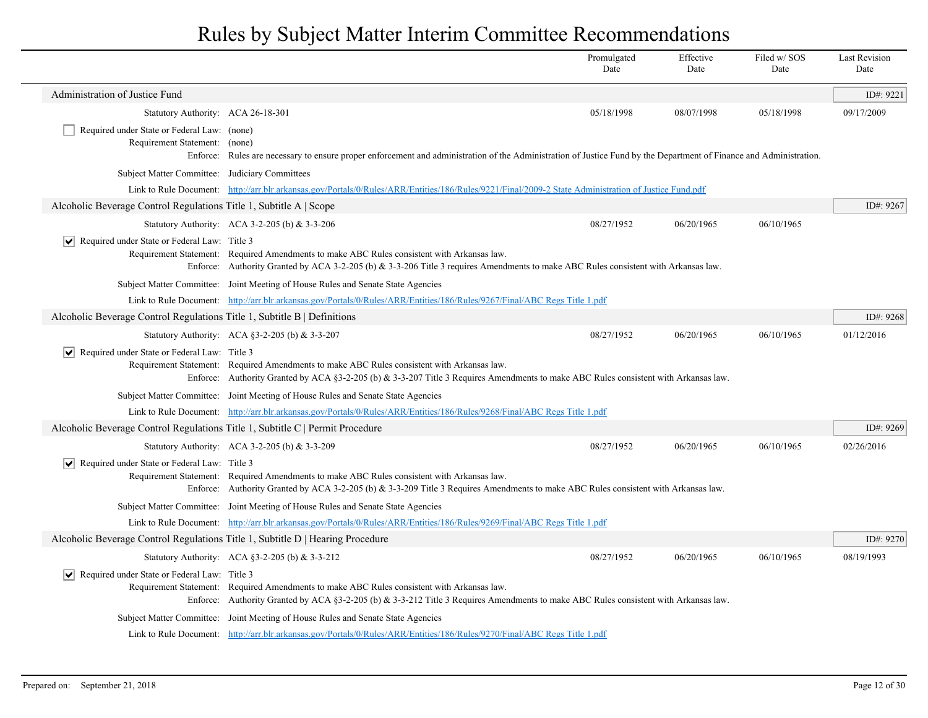|                                                                                |                                                                                                                                                                                                                                    | Promulgated<br>Date | Effective<br>Date | Filed w/SOS<br>Date | <b>Last Revision</b><br>Date |
|--------------------------------------------------------------------------------|------------------------------------------------------------------------------------------------------------------------------------------------------------------------------------------------------------------------------------|---------------------|-------------------|---------------------|------------------------------|
| Administration of Justice Fund                                                 |                                                                                                                                                                                                                                    |                     |                   |                     | ID#: 9221                    |
| Statutory Authority: ACA 26-18-301                                             |                                                                                                                                                                                                                                    | 05/18/1998          | 08/07/1998        | 05/18/1998          | 09/17/2009                   |
| Required under State or Federal Law: (none)<br>Requirement Statement: (none)   |                                                                                                                                                                                                                                    |                     |                   |                     |                              |
|                                                                                | Enforce: Rules are necessary to ensure proper enforcement and administration of the Administration of Justice Fund by the Department of Finance and Administration.                                                                |                     |                   |                     |                              |
| Subject Matter Committee: Judiciary Committees                                 | Link to Rule Document: http://arr.blr.arkansas.gov/Portals/0/Rules/ARR/Entities/186/Rules/9221/Final/2009-2 State Administration of Justice Fund.pdf                                                                               |                     |                   |                     |                              |
| Alcoholic Beverage Control Regulations Title 1, Subtitle A Scope               |                                                                                                                                                                                                                                    |                     |                   |                     | ID#: 9267                    |
|                                                                                | Statutory Authority: ACA 3-2-205 (b) & 3-3-206                                                                                                                                                                                     | 08/27/1952          | 06/20/1965        | 06/10/1965          |                              |
| $ \vee $ Required under State or Federal Law: Title 3                          |                                                                                                                                                                                                                                    |                     |                   |                     |                              |
|                                                                                | Requirement Statement: Required Amendments to make ABC Rules consistent with Arkansas law.<br>Enforce: Authority Granted by ACA 3-2-205 (b) & 3-3-206 Title 3 requires Amendments to make ABC Rules consistent with Arkansas law.  |                     |                   |                     |                              |
|                                                                                | Subject Matter Committee: Joint Meeting of House Rules and Senate State Agencies                                                                                                                                                   |                     |                   |                     |                              |
|                                                                                | Link to Rule Document: http://arr.blr.arkansas.gov/Portals/0/Rules/ARR/Entities/186/Rules/9267/Final/ABC Regs Title 1.pdf                                                                                                          |                     |                   |                     |                              |
| Alcoholic Beverage Control Regulations Title 1, Subtitle B   Definitions       |                                                                                                                                                                                                                                    |                     |                   |                     | ID#: 9268                    |
|                                                                                | Statutory Authority: ACA §3-2-205 (b) & 3-3-207                                                                                                                                                                                    | 08/27/1952          | 06/20/1965        | 06/10/1965          | 01/12/2016                   |
| $ \vee $ Required under State or Federal Law: Title 3                          | Requirement Statement: Required Amendments to make ABC Rules consistent with Arkansas law.<br>Enforce: Authority Granted by ACA §3-2-205 (b) & 3-3-207 Title 3 Requires Amendments to make ABC Rules consistent with Arkansas law. |                     |                   |                     |                              |
|                                                                                | Subject Matter Committee: Joint Meeting of House Rules and Senate State Agencies                                                                                                                                                   |                     |                   |                     |                              |
|                                                                                | Link to Rule Document: http://arr.blr.arkansas.gov/Portals/0/Rules/ARR/Entities/186/Rules/9268/Final/ABC Regs Title 1.pdf                                                                                                          |                     |                   |                     |                              |
| Alcoholic Beverage Control Regulations Title 1, Subtitle C   Permit Procedure  |                                                                                                                                                                                                                                    |                     |                   |                     | ID#: 9269                    |
|                                                                                | Statutory Authority: ACA 3-2-205 (b) & 3-3-209                                                                                                                                                                                     | 08/27/1952          | 06/20/1965        | 06/10/1965          | 02/26/2016                   |
| $ \vee $ Required under State or Federal Law: Title 3                          | Requirement Statement: Required Amendments to make ABC Rules consistent with Arkansas law.<br>Enforce: Authority Granted by ACA 3-2-205 (b) & 3-3-209 Title 3 Requires Amendments to make ABC Rules consistent with Arkansas law.  |                     |                   |                     |                              |
|                                                                                | Subject Matter Committee: Joint Meeting of House Rules and Senate State Agencies                                                                                                                                                   |                     |                   |                     |                              |
|                                                                                | Link to Rule Document: http://arr.blr.arkansas.gov/Portals/0/Rules/ARR/Entities/186/Rules/9269/Final/ABC Regs Title 1.pdf                                                                                                          |                     |                   |                     |                              |
| Alcoholic Beverage Control Regulations Title 1, Subtitle D   Hearing Procedure |                                                                                                                                                                                                                                    |                     |                   |                     | ID#: 9270                    |
|                                                                                | Statutory Authority: ACA $\S$ 3-2-205 (b) & 3-3-212                                                                                                                                                                                | 08/27/1952          | 06/20/1965        | 06/10/1965          | 08/19/1993                   |
| $\vee$ Required under State or Federal Law: Title 3                            | Requirement Statement: Required Amendments to make ABC Rules consistent with Arkansas law.<br>Enforce: Authority Granted by ACA §3-2-205 (b) & 3-3-212 Title 3 Requires Amendments to make ABC Rules consistent with Arkansas law. |                     |                   |                     |                              |
|                                                                                | Subject Matter Committee: Joint Meeting of House Rules and Senate State Agencies                                                                                                                                                   |                     |                   |                     |                              |
|                                                                                | Link to Rule Document: http://arr.blr.arkansas.gov/Portals/0/Rules/ARR/Entities/186/Rules/9270/Final/ABC Regs Title 1.pdf                                                                                                          |                     |                   |                     |                              |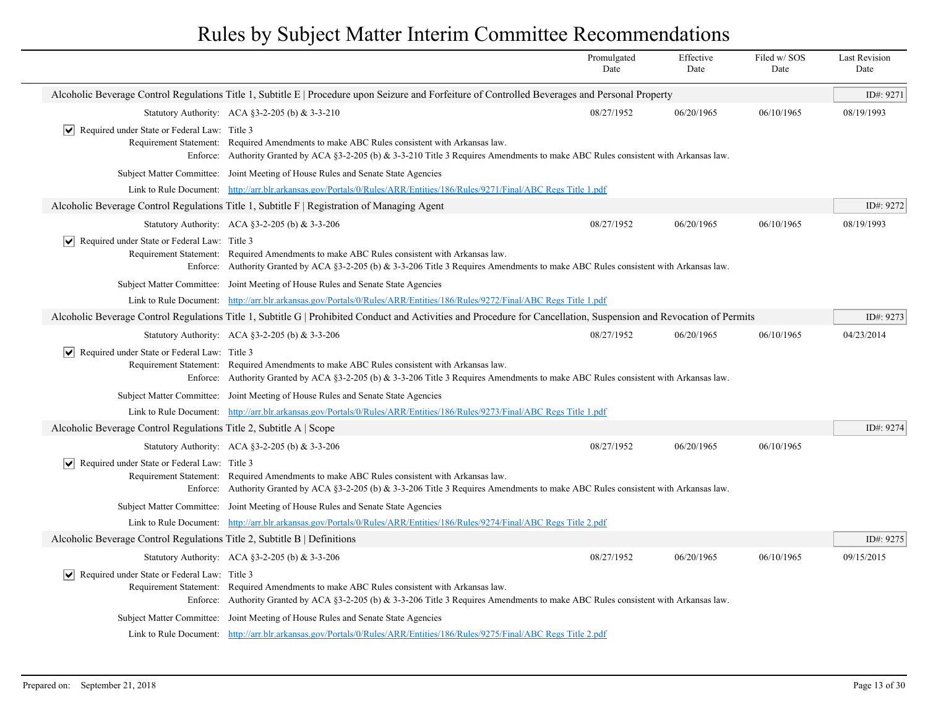|                                                                          |                                                                                                                                                                                                                                    | Promulgated<br>Date | Effective<br>Date | Filed w/SOS<br>Date | <b>Last Revision</b><br>Date |
|--------------------------------------------------------------------------|------------------------------------------------------------------------------------------------------------------------------------------------------------------------------------------------------------------------------------|---------------------|-------------------|---------------------|------------------------------|
|                                                                          | Alcoholic Beverage Control Regulations Title 1, Subtitle E   Procedure upon Seizure and Forfeiture of Controlled Beverages and Personal Property                                                                                   |                     |                   |                     | ID#: 9271                    |
|                                                                          | Statutory Authority: ACA §3-2-205 (b) & 3-3-210                                                                                                                                                                                    | 08/27/1952          | 06/20/1965        | 06/10/1965          | 08/19/1993                   |
| $ \bm{\mathsf{v}} $<br>Required under State or Federal Law: Title 3      | Requirement Statement: Required Amendments to make ABC Rules consistent with Arkansas law.<br>Enforce: Authority Granted by ACA §3-2-205 (b) & 3-3-210 Title 3 Requires Amendments to make ABC Rules consistent with Arkansas law. |                     |                   |                     |                              |
|                                                                          | Subject Matter Committee: Joint Meeting of House Rules and Senate State Agencies                                                                                                                                                   |                     |                   |                     |                              |
|                                                                          | Link to Rule Document: http://arr.blr.arkansas.gov/Portals/0/Rules/ARR/Entities/186/Rules/9271/Final/ABC Regs Title 1.pdf                                                                                                          |                     |                   |                     |                              |
|                                                                          | Alcoholic Beverage Control Regulations Title 1, Subtitle $F  $ Registration of Managing Agent                                                                                                                                      |                     |                   |                     | ID#: 9272                    |
|                                                                          | Statutory Authority: ACA §3-2-205 (b) & 3-3-206                                                                                                                                                                                    | 08/27/1952          | 06/20/1965        | 06/10/1965          | 08/19/1993                   |
| $ \vee $ Required under State or Federal Law: Title 3                    | Requirement Statement: Required Amendments to make ABC Rules consistent with Arkansas law.<br>Enforce: Authority Granted by ACA §3-2-205 (b) & 3-3-206 Title 3 Requires Amendments to make ABC Rules consistent with Arkansas law. |                     |                   |                     |                              |
|                                                                          | Subject Matter Committee: Joint Meeting of House Rules and Senate State Agencies                                                                                                                                                   |                     |                   |                     |                              |
|                                                                          | Link to Rule Document: http://arr.blr.arkansas.gov/Portals/0/Rules/ARR/Entities/186/Rules/9272/Final/ABC Regs Title 1.pdf                                                                                                          |                     |                   |                     |                              |
|                                                                          | Alcoholic Beverage Control Regulations Title 1, Subtitle G   Prohibited Conduct and Activities and Procedure for Cancellation, Suspension and Revocation of Permits                                                                |                     |                   |                     | ID#: 9273                    |
|                                                                          | Statutory Authority: ACA §3-2-205 (b) & 3-3-206                                                                                                                                                                                    | 08/27/1952          | 06/20/1965        | 06/10/1965          | 04/23/2014                   |
| Required under State or Federal Law: Title 3                             | Requirement Statement: Required Amendments to make ABC Rules consistent with Arkansas law.<br>Enforce: Authority Granted by ACA §3-2-205 (b) & 3-3-206 Title 3 Requires Amendments to make ABC Rules consistent with Arkansas law. |                     |                   |                     |                              |
|                                                                          | Subject Matter Committee: Joint Meeting of House Rules and Senate State Agencies                                                                                                                                                   |                     |                   |                     |                              |
|                                                                          | Link to Rule Document: http://arr.blr.arkansas.gov/Portals/0/Rules/ARR/Entities/186/Rules/9273/Final/ABC Regs Title 1.pdf                                                                                                          |                     |                   |                     |                              |
| Alcoholic Beverage Control Regulations Title 2, Subtitle A   Scope       |                                                                                                                                                                                                                                    |                     |                   |                     | ID#: 9274                    |
|                                                                          | Statutory Authority: ACA §3-2-205 (b) & 3-3-206                                                                                                                                                                                    | 08/27/1952          | 06/20/1965        | 06/10/1965          |                              |
| $ \mathbf{v} $ Required under State or Federal Law: Title 3              | Requirement Statement: Required Amendments to make ABC Rules consistent with Arkansas law.<br>Enforce: Authority Granted by ACA §3-2-205 (b) & 3-3-206 Title 3 Requires Amendments to make ABC Rules consistent with Arkansas law. |                     |                   |                     |                              |
|                                                                          | Subject Matter Committee: Joint Meeting of House Rules and Senate State Agencies                                                                                                                                                   |                     |                   |                     |                              |
|                                                                          | Link to Rule Document: http://arr.blr.arkansas.gov/Portals/0/Rules/ARR/Entities/186/Rules/9274/Final/ABC Regs Title 2.pdf                                                                                                          |                     |                   |                     |                              |
| Alcoholic Beverage Control Regulations Title 2, Subtitle B   Definitions |                                                                                                                                                                                                                                    |                     |                   |                     | ID#: 9275                    |
|                                                                          | Statutory Authority: ACA §3-2-205 (b) & 3-3-206                                                                                                                                                                                    | 08/27/1952          | 06/20/1965        | 06/10/1965          | 09/15/2015                   |
| $ \vee $ Required under State or Federal Law: Title 3                    | Requirement Statement: Required Amendments to make ABC Rules consistent with Arkansas law.<br>Enforce: Authority Granted by ACA §3-2-205 (b) & 3-3-206 Title 3 Requires Amendments to make ABC Rules consistent with Arkansas law. |                     |                   |                     |                              |
|                                                                          | Subject Matter Committee: Joint Meeting of House Rules and Senate State Agencies                                                                                                                                                   |                     |                   |                     |                              |
|                                                                          | Link to Rule Document: http://arr.blr.arkansas.gov/Portals/0/Rules/ARR/Entities/186/Rules/9275/Final/ABC Regs Title 2.pdf                                                                                                          |                     |                   |                     |                              |
|                                                                          |                                                                                                                                                                                                                                    |                     |                   |                     |                              |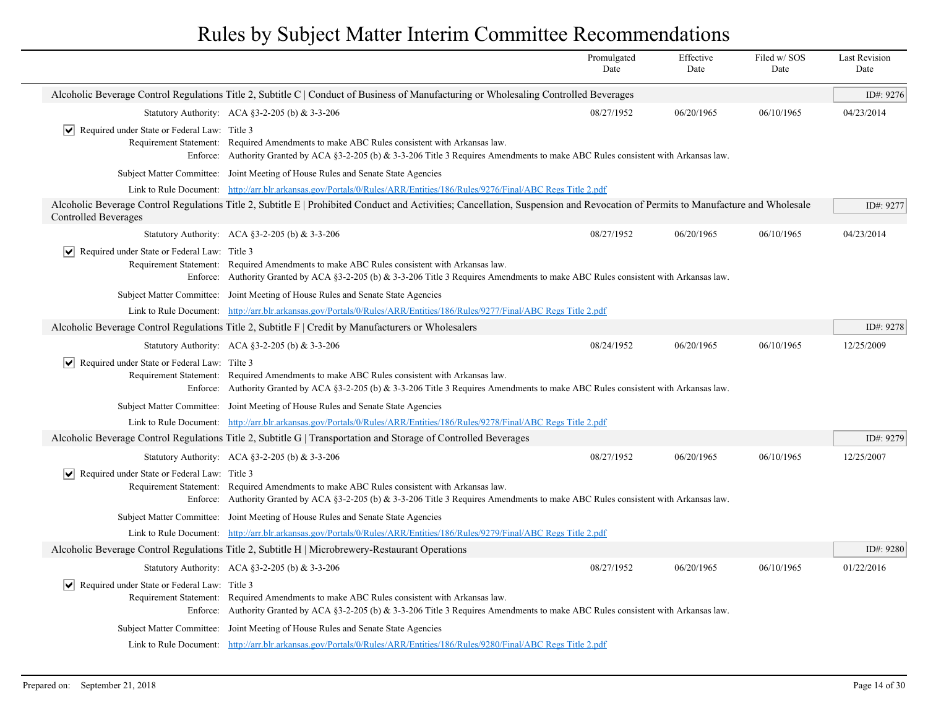|                                                               |                                                                                                                                                                                                                                    | Promulgated<br>Date | Effective<br>Date | Filed w/SOS<br>Date | <b>Last Revision</b><br>Date |
|---------------------------------------------------------------|------------------------------------------------------------------------------------------------------------------------------------------------------------------------------------------------------------------------------------|---------------------|-------------------|---------------------|------------------------------|
|                                                               | Alcoholic Beverage Control Regulations Title 2, Subtitle C   Conduct of Business of Manufacturing or Wholesaling Controlled Beverages                                                                                              |                     |                   |                     | ID#: 9276                    |
|                                                               | Statutory Authority: ACA §3-2-205 (b) & 3-3-206                                                                                                                                                                                    | 08/27/1952          | 06/20/1965        | 06/10/1965          | 04/23/2014                   |
| $ \mathbf{v} $ Required under State or Federal Law: Title 3   | Requirement Statement: Required Amendments to make ABC Rules consistent with Arkansas law.<br>Enforce: Authority Granted by ACA §3-2-205 (b) & 3-3-206 Title 3 Requires Amendments to make ABC Rules consistent with Arkansas law. |                     |                   |                     |                              |
|                                                               | Subject Matter Committee: Joint Meeting of House Rules and Senate State Agencies                                                                                                                                                   |                     |                   |                     |                              |
|                                                               | Link to Rule Document: http://arr.blr.arkansas.gov/Portals/0/Rules/ARR/Entities/186/Rules/9276/Final/ABC Regs Title 2.pdf                                                                                                          |                     |                   |                     |                              |
| <b>Controlled Beverages</b>                                   | Alcoholic Beverage Control Regulations Title 2, Subtitle E   Prohibited Conduct and Activities; Cancellation, Suspension and Revocation of Permits to Manufacture and Wholesale                                                    |                     |                   |                     | ID#: 9277                    |
|                                                               | Statutory Authority: ACA §3-2-205 (b) & 3-3-206                                                                                                                                                                                    | 08/27/1952          | 06/20/1965        | 06/10/1965          | 04/23/2014                   |
| Required under State or Federal Law: Title 3                  | Requirement Statement: Required Amendments to make ABC Rules consistent with Arkansas law.<br>Enforce: Authority Granted by ACA §3-2-205 (b) & 3-3-206 Title 3 Requires Amendments to make ABC Rules consistent with Arkansas law. |                     |                   |                     |                              |
|                                                               | Subject Matter Committee: Joint Meeting of House Rules and Senate State Agencies                                                                                                                                                   |                     |                   |                     |                              |
|                                                               | Link to Rule Document: http://arr.blr.arkansas.gov/Portals/0/Rules/ARR/Entities/186/Rules/9277/Final/ABC Regs Title 2.pdf                                                                                                          |                     |                   |                     |                              |
|                                                               | Alcoholic Beverage Control Regulations Title 2, Subtitle F   Credit by Manufacturers or Wholesalers                                                                                                                                |                     |                   |                     | ID#: 9278                    |
|                                                               | Statutory Authority: ACA §3-2-205 (b) & 3-3-206                                                                                                                                                                                    | 08/24/1952          | 06/20/1965        | 06/10/1965          | 12/25/2009                   |
| $ \vee $ Required under State or Federal Law: Tilte 3         | Requirement Statement: Required Amendments to make ABC Rules consistent with Arkansas law.<br>Enforce: Authority Granted by ACA §3-2-205 (b) & 3-3-206 Title 3 Requires Amendments to make ABC Rules consistent with Arkansas law. |                     |                   |                     |                              |
|                                                               | Subject Matter Committee: Joint Meeting of House Rules and Senate State Agencies                                                                                                                                                   |                     |                   |                     |                              |
|                                                               | Link to Rule Document: http://arr.blr.arkansas.gov/Portals/0/Rules/ARR/Entities/186/Rules/9278/Final/ABC Regs Title 2.pdf                                                                                                          |                     |                   |                     |                              |
|                                                               | Alcoholic Beverage Control Regulations Title 2, Subtitle G   Transportation and Storage of Controlled Beverages                                                                                                                    |                     |                   |                     | ID#: 9279                    |
|                                                               | Statutory Authority: ACA §3-2-205 (b) & 3-3-206                                                                                                                                                                                    | 08/27/1952          | 06/20/1965        | 06/10/1965          | 12/25/2007                   |
| $ \vee $ Required under State or Federal Law: Title 3         | Requirement Statement: Required Amendments to make ABC Rules consistent with Arkansas law.<br>Enforce: Authority Granted by ACA §3-2-205 (b) & 3-3-206 Title 3 Requires Amendments to make ABC Rules consistent with Arkansas law. |                     |                   |                     |                              |
|                                                               | Subject Matter Committee: Joint Meeting of House Rules and Senate State Agencies                                                                                                                                                   |                     |                   |                     |                              |
|                                                               | Link to Rule Document: http://arr.blr.arkansas.gov/Portals/0/Rules/ARR/Entities/186/Rules/9279/Final/ABC Regs Title 2.pdf                                                                                                          |                     |                   |                     |                              |
|                                                               | Alcoholic Beverage Control Regulations Title 2, Subtitle H   Microbrewery-Restaurant Operations                                                                                                                                    |                     |                   |                     | ID#: 9280                    |
|                                                               | Statutory Authority: ACA §3-2-205 (b) & 3-3-206                                                                                                                                                                                    | 08/27/1952          | 06/20/1965        | 06/10/1965          | 01/22/2016                   |
| $\triangleright$ Required under State or Federal Law: Title 3 | Requirement Statement: Required Amendments to make ABC Rules consistent with Arkansas law.<br>Enforce: Authority Granted by ACA §3-2-205 (b) & 3-3-206 Title 3 Requires Amendments to make ABC Rules consistent with Arkansas law. |                     |                   |                     |                              |
|                                                               | Subject Matter Committee: Joint Meeting of House Rules and Senate State Agencies                                                                                                                                                   |                     |                   |                     |                              |
|                                                               | Link to Rule Document: http://arr.blr.arkansas.gov/Portals/0/Rules/ARR/Entities/186/Rules/9280/Final/ABC Regs Title 2.pdf                                                                                                          |                     |                   |                     |                              |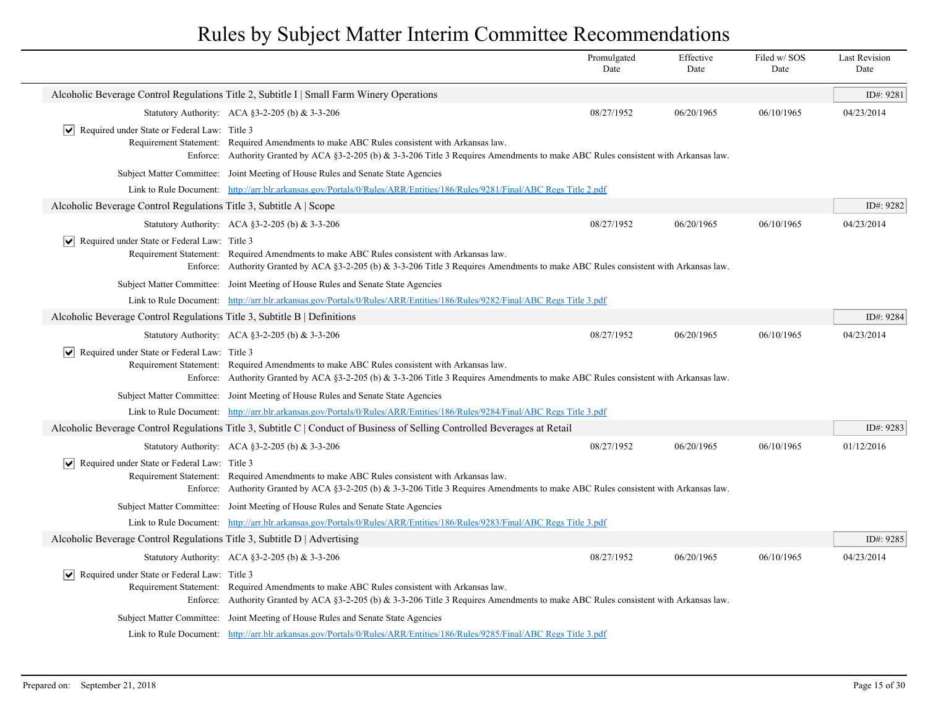|                                                                          |                                                                                                                                                                                                                                    | Promulgated<br>Date | Effective<br>Date | Filed w/ SOS<br>Date | <b>Last Revision</b><br>Date |
|--------------------------------------------------------------------------|------------------------------------------------------------------------------------------------------------------------------------------------------------------------------------------------------------------------------------|---------------------|-------------------|----------------------|------------------------------|
|                                                                          | Alcoholic Beverage Control Regulations Title 2, Subtitle I   Small Farm Winery Operations                                                                                                                                          |                     |                   |                      | ID#: 9281                    |
|                                                                          | Statutory Authority: ACA §3-2-205 (b) & 3-3-206                                                                                                                                                                                    | 08/27/1952          | 06/20/1965        | 06/10/1965           | 04/23/2014                   |
| $ \vee $ Required under State or Federal Law: Title 3                    | Requirement Statement: Required Amendments to make ABC Rules consistent with Arkansas law.<br>Enforce: Authority Granted by ACA §3-2-205 (b) & 3-3-206 Title 3 Requires Amendments to make ABC Rules consistent with Arkansas law. |                     |                   |                      |                              |
|                                                                          | Subject Matter Committee: Joint Meeting of House Rules and Senate State Agencies                                                                                                                                                   |                     |                   |                      |                              |
|                                                                          | Link to Rule Document: http://arr.blr.arkansas.gov/Portals/0/Rules/ARR/Entities/186/Rules/9281/Final/ABC Regs Title 2.pdf                                                                                                          |                     |                   |                      |                              |
| Alcoholic Beverage Control Regulations Title 3, Subtitle A   Scope       |                                                                                                                                                                                                                                    |                     |                   |                      | ID#: 9282                    |
|                                                                          | Statutory Authority: ACA §3-2-205 (b) & 3-3-206                                                                                                                                                                                    | 08/27/1952          | 06/20/1965        | 06/10/1965           | 04/23/2014                   |
| $ \mathbf{v} $ Required under State or Federal Law: Title 3              | Requirement Statement: Required Amendments to make ABC Rules consistent with Arkansas law.<br>Enforce: Authority Granted by ACA §3-2-205 (b) & 3-3-206 Title 3 Requires Amendments to make ABC Rules consistent with Arkansas law. |                     |                   |                      |                              |
|                                                                          | Subject Matter Committee: Joint Meeting of House Rules and Senate State Agencies                                                                                                                                                   |                     |                   |                      |                              |
|                                                                          | Link to Rule Document: http://arr.blr.arkansas.gov/Portals/0/Rules/ARR/Entities/186/Rules/9282/Final/ABC Regs Title 3.pdf                                                                                                          |                     |                   |                      |                              |
| Alcoholic Beverage Control Regulations Title 3, Subtitle B   Definitions |                                                                                                                                                                                                                                    |                     |                   |                      | ID#: 9284                    |
|                                                                          | Statutory Authority: ACA §3-2-205 (b) & 3-3-206                                                                                                                                                                                    | 08/27/1952          | 06/20/1965        | 06/10/1965           | 04/23/2014                   |
| $ \mathbf{v} $ Required under State or Federal Law: Title 3              | Requirement Statement: Required Amendments to make ABC Rules consistent with Arkansas law.<br>Enforce: Authority Granted by ACA §3-2-205 (b) & 3-3-206 Title 3 Requires Amendments to make ABC Rules consistent with Arkansas law. |                     |                   |                      |                              |
|                                                                          | Subject Matter Committee: Joint Meeting of House Rules and Senate State Agencies                                                                                                                                                   |                     |                   |                      |                              |
|                                                                          | Link to Rule Document: http://arr.blr.arkansas.gov/Portals/0/Rules/ARR/Entities/186/Rules/9284/Final/ABC Regs Title 3.pdf                                                                                                          |                     |                   |                      |                              |
|                                                                          | Alcoholic Beverage Control Regulations Title 3, Subtitle C   Conduct of Business of Selling Controlled Beverages at Retail                                                                                                         |                     |                   |                      | ID#: 9283                    |
|                                                                          | Statutory Authority: ACA §3-2-205 (b) & 3-3-206                                                                                                                                                                                    | 08/27/1952          | 06/20/1965        | 06/10/1965           | 01/12/2016                   |
| Required under State or Federal Law: Title 3                             | Requirement Statement: Required Amendments to make ABC Rules consistent with Arkansas law.<br>Enforce: Authority Granted by ACA §3-2-205 (b) & 3-3-206 Title 3 Requires Amendments to make ABC Rules consistent with Arkansas law. |                     |                   |                      |                              |
|                                                                          | Subject Matter Committee: Joint Meeting of House Rules and Senate State Agencies                                                                                                                                                   |                     |                   |                      |                              |
|                                                                          | Link to Rule Document: http://arr.blr.arkansas.gov/Portals/0/Rules/ARR/Entities/186/Rules/9283/Final/ABC Regs Title 3.pdf                                                                                                          |                     |                   |                      |                              |
| Alcoholic Beverage Control Regulations Title 3, Subtitle D   Advertising |                                                                                                                                                                                                                                    |                     |                   |                      | ID#: 9285                    |
|                                                                          | Statutory Authority: ACA §3-2-205 (b) & 3-3-206                                                                                                                                                                                    | 08/27/1952          | 06/20/1965        | 06/10/1965           | 04/23/2014                   |
| $ \mathbf{v} $ Required under State or Federal Law: Title 3              | Requirement Statement: Required Amendments to make ABC Rules consistent with Arkansas law.<br>Enforce: Authority Granted by ACA §3-2-205 (b) & 3-3-206 Title 3 Requires Amendments to make ABC Rules consistent with Arkansas law. |                     |                   |                      |                              |
|                                                                          | Subject Matter Committee: Joint Meeting of House Rules and Senate State Agencies                                                                                                                                                   |                     |                   |                      |                              |
|                                                                          | Link to Rule Document: http://arr.blr.arkansas.gov/Portals/0/Rules/ARR/Entities/186/Rules/9285/Final/ABC Regs Title 3.pdf                                                                                                          |                     |                   |                      |                              |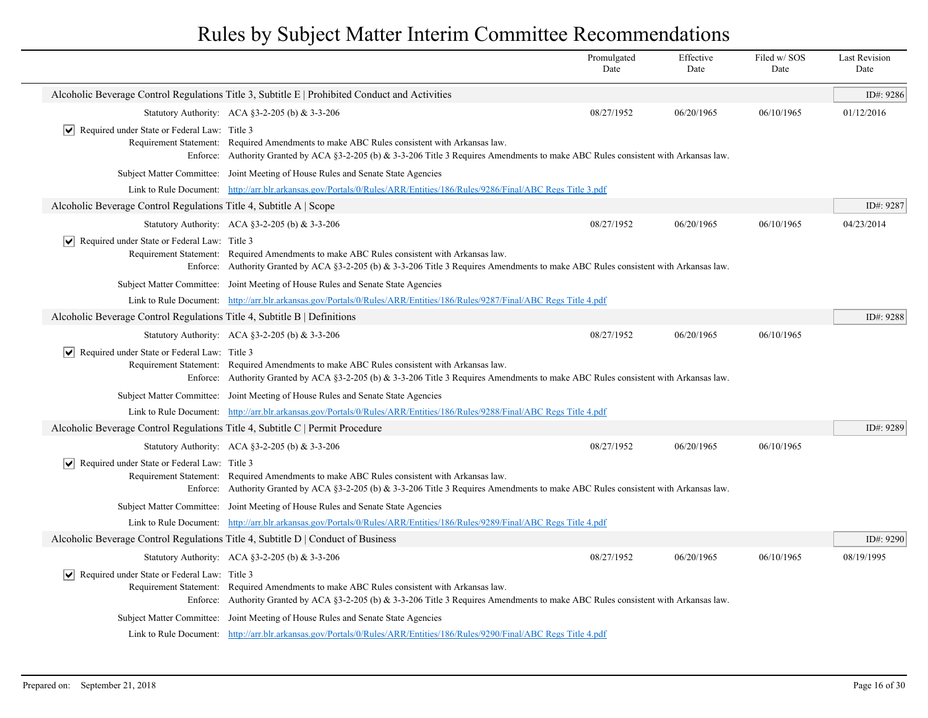|                                                                               |                                                                                                                                                                                                                                    | Promulgated<br>Date | Effective<br>Date | Filed w/SOS<br>Date | <b>Last Revision</b><br>Date |
|-------------------------------------------------------------------------------|------------------------------------------------------------------------------------------------------------------------------------------------------------------------------------------------------------------------------------|---------------------|-------------------|---------------------|------------------------------|
|                                                                               | Alcoholic Beverage Control Regulations Title 3, Subtitle E   Prohibited Conduct and Activities                                                                                                                                     |                     |                   |                     | ID#: 9286                    |
|                                                                               | Statutory Authority: ACA §3-2-205 (b) & 3-3-206                                                                                                                                                                                    | 08/27/1952          | 06/20/1965        | 06/10/1965          | 01/12/2016                   |
| $ \vee $ Required under State or Federal Law: Title 3                         | Requirement Statement: Required Amendments to make ABC Rules consistent with Arkansas law.<br>Enforce: Authority Granted by ACA §3-2-205 (b) & 3-3-206 Title 3 Requires Amendments to make ABC Rules consistent with Arkansas law. |                     |                   |                     |                              |
|                                                                               | Subject Matter Committee: Joint Meeting of House Rules and Senate State Agencies                                                                                                                                                   |                     |                   |                     |                              |
|                                                                               | Link to Rule Document: http://arr.blr.arkansas.gov/Portals/0/Rules/ARR/Entities/186/Rules/9286/Final/ABC Regs Title 3.pdf                                                                                                          |                     |                   |                     |                              |
| Alcoholic Beverage Control Regulations Title 4, Subtitle A   Scope            |                                                                                                                                                                                                                                    |                     |                   |                     | ID#: 9287                    |
|                                                                               | Statutory Authority: ACA §3-2-205 (b) & 3-3-206                                                                                                                                                                                    | 08/27/1952          | 06/20/1965        | 06/10/1965          | 04/23/2014                   |
| $\triangleright$ Required under State or Federal Law: Title 3                 | Requirement Statement: Required Amendments to make ABC Rules consistent with Arkansas law.<br>Enforce: Authority Granted by ACA §3-2-205 (b) & 3-3-206 Title 3 Requires Amendments to make ABC Rules consistent with Arkansas law. |                     |                   |                     |                              |
|                                                                               | Subject Matter Committee: Joint Meeting of House Rules and Senate State Agencies                                                                                                                                                   |                     |                   |                     |                              |
|                                                                               | Link to Rule Document: http://arr.blr.arkansas.gov/Portals/0/Rules/ARR/Entities/186/Rules/9287/Final/ABC Regs Title 4.pdf                                                                                                          |                     |                   |                     |                              |
| Alcoholic Beverage Control Regulations Title 4, Subtitle B   Definitions      |                                                                                                                                                                                                                                    |                     |                   |                     | ID#: 9288                    |
|                                                                               | Statutory Authority: ACA §3-2-205 (b) & 3-3-206                                                                                                                                                                                    | 08/27/1952          | 06/20/1965        | 06/10/1965          |                              |
| $\triangleright$ Required under State or Federal Law: Title 3                 | Requirement Statement: Required Amendments to make ABC Rules consistent with Arkansas law.<br>Enforce: Authority Granted by ACA §3-2-205 (b) & 3-3-206 Title 3 Requires Amendments to make ABC Rules consistent with Arkansas law. |                     |                   |                     |                              |
|                                                                               | Subject Matter Committee: Joint Meeting of House Rules and Senate State Agencies                                                                                                                                                   |                     |                   |                     |                              |
|                                                                               | Link to Rule Document: http://arr.blr.arkansas.gov/Portals/0/Rules/ARR/Entities/186/Rules/9288/Final/ABC Regs Title 4.pdf                                                                                                          |                     |                   |                     |                              |
| Alcoholic Beverage Control Regulations Title 4, Subtitle C   Permit Procedure |                                                                                                                                                                                                                                    |                     |                   |                     | ID#: 9289                    |
|                                                                               | Statutory Authority: ACA §3-2-205 (b) & 3-3-206                                                                                                                                                                                    | 08/27/1952          | 06/20/1965        | 06/10/1965          |                              |
| $\triangleright$ Required under State or Federal Law: Title 3                 | Requirement Statement: Required Amendments to make ABC Rules consistent with Arkansas law.<br>Enforce: Authority Granted by ACA §3-2-205 (b) & 3-3-206 Title 3 Requires Amendments to make ABC Rules consistent with Arkansas law. |                     |                   |                     |                              |
|                                                                               | Subject Matter Committee: Joint Meeting of House Rules and Senate State Agencies                                                                                                                                                   |                     |                   |                     |                              |
|                                                                               | Link to Rule Document: http://arr.blr.arkansas.gov/Portals/0/Rules/ARR/Entities/186/Rules/9289/Final/ABC Regs Title 4.pdf                                                                                                          |                     |                   |                     |                              |
|                                                                               | Alcoholic Beverage Control Regulations Title 4, Subtitle D   Conduct of Business                                                                                                                                                   |                     |                   |                     | ID#: 9290                    |
|                                                                               | Statutory Authority: ACA §3-2-205 (b) & 3-3-206                                                                                                                                                                                    | 08/27/1952          | 06/20/1965        | 06/10/1965          | 08/19/1995                   |
| $ \vee $ Required under State or Federal Law: Title 3<br>Enforce:             | Requirement Statement: Required Amendments to make ABC Rules consistent with Arkansas law.<br>Authority Granted by ACA §3-2-205 (b) & 3-3-206 Title 3 Requires Amendments to make ABC Rules consistent with Arkansas law.          |                     |                   |                     |                              |
|                                                                               | Subject Matter Committee: Joint Meeting of House Rules and Senate State Agencies                                                                                                                                                   |                     |                   |                     |                              |
|                                                                               | Link to Rule Document: http://arr.blr.arkansas.gov/Portals/0/Rules/ARR/Entities/186/Rules/9290/Final/ABC Regs Title 4.pdf                                                                                                          |                     |                   |                     |                              |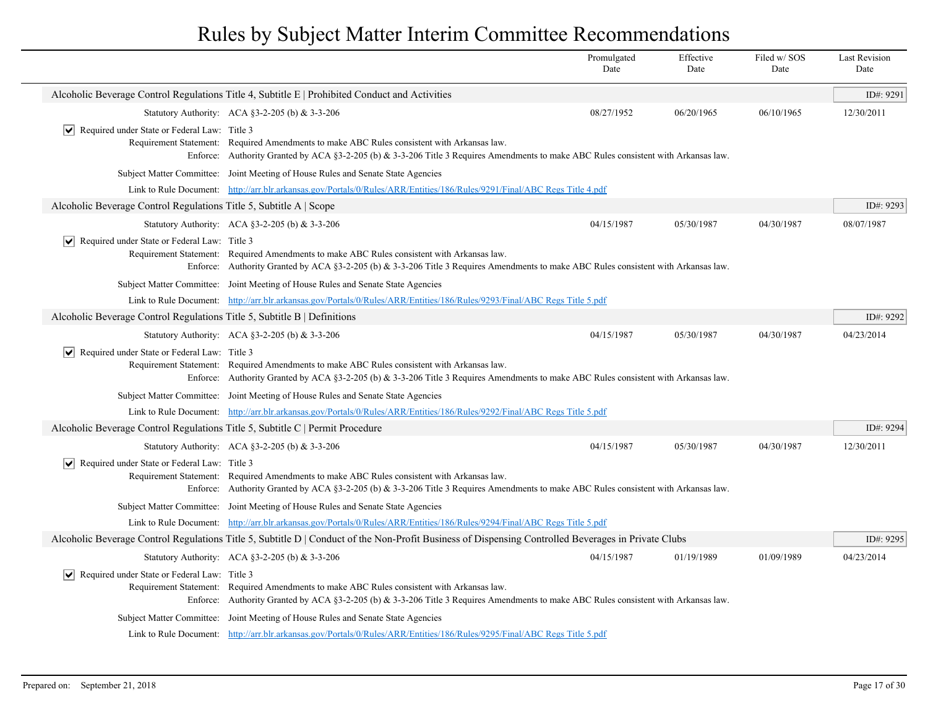|                                                                               |                                                                                                                                                                                                                                    | Promulgated<br>Date | Effective<br>Date | Filed w/SOS<br>Date | <b>Last Revision</b><br>Date |  |
|-------------------------------------------------------------------------------|------------------------------------------------------------------------------------------------------------------------------------------------------------------------------------------------------------------------------------|---------------------|-------------------|---------------------|------------------------------|--|
|                                                                               | Alcoholic Beverage Control Regulations Title 4, Subtitle E   Prohibited Conduct and Activities                                                                                                                                     |                     |                   |                     | ID#: 9291                    |  |
|                                                                               | Statutory Authority: ACA §3-2-205 (b) & 3-3-206                                                                                                                                                                                    | 08/27/1952          | 06/20/1965        | 06/10/1965          | 12/30/2011                   |  |
| ∣V∣<br>Required under State or Federal Law: Title 3                           | Requirement Statement: Required Amendments to make ABC Rules consistent with Arkansas law.<br>Enforce: Authority Granted by ACA §3-2-205 (b) & 3-3-206 Title 3 Requires Amendments to make ABC Rules consistent with Arkansas law. |                     |                   |                     |                              |  |
|                                                                               | Subject Matter Committee: Joint Meeting of House Rules and Senate State Agencies                                                                                                                                                   |                     |                   |                     |                              |  |
|                                                                               | Link to Rule Document: http://arr.blr.arkansas.gov/Portals/0/Rules/ARR/Entities/186/Rules/9291/Final/ABC Regs Title 4.pdf                                                                                                          |                     |                   |                     |                              |  |
| Alcoholic Beverage Control Regulations Title 5, Subtitle A   Scope            |                                                                                                                                                                                                                                    |                     |                   |                     | ID#: 9293                    |  |
|                                                                               | Statutory Authority: ACA §3-2-205 (b) & 3-3-206                                                                                                                                                                                    | 04/15/1987          | 05/30/1987        | 04/30/1987          | 08/07/1987                   |  |
| ∣V∣<br>Required under State or Federal Law: Title 3                           | Requirement Statement: Required Amendments to make ABC Rules consistent with Arkansas law.<br>Enforce: Authority Granted by ACA §3-2-205 (b) & 3-3-206 Title 3 Requires Amendments to make ABC Rules consistent with Arkansas law. |                     |                   |                     |                              |  |
|                                                                               | Subject Matter Committee: Joint Meeting of House Rules and Senate State Agencies                                                                                                                                                   |                     |                   |                     |                              |  |
|                                                                               | Link to Rule Document: http://arr.blr.arkansas.gov/Portals/0/Rules/ARR/Entities/186/Rules/9293/Final/ABC Regs Title 5.pdf                                                                                                          |                     |                   |                     |                              |  |
| Alcoholic Beverage Control Regulations Title 5, Subtitle B   Definitions      |                                                                                                                                                                                                                                    |                     |                   |                     | ID#: 9292                    |  |
|                                                                               | Statutory Authority: ACA §3-2-205 (b) & 3-3-206                                                                                                                                                                                    | 04/15/1987          | 05/30/1987        | 04/30/1987          | 04/23/2014                   |  |
| $ \mathbf{v} $ Required under State or Federal Law: Title 3                   | Requirement Statement: Required Amendments to make ABC Rules consistent with Arkansas law.<br>Enforce: Authority Granted by ACA §3-2-205 (b) & 3-3-206 Title 3 Requires Amendments to make ABC Rules consistent with Arkansas law. |                     |                   |                     |                              |  |
|                                                                               | Subject Matter Committee: Joint Meeting of House Rules and Senate State Agencies                                                                                                                                                   |                     |                   |                     |                              |  |
|                                                                               | Link to Rule Document: http://arr.blr.arkansas.gov/Portals/0/Rules/ARR/Entities/186/Rules/9292/Final/ABC Regs Title 5.pdf                                                                                                          |                     |                   |                     |                              |  |
| Alcoholic Beverage Control Regulations Title 5, Subtitle C   Permit Procedure |                                                                                                                                                                                                                                    |                     |                   |                     | ID#: 9294                    |  |
|                                                                               | Statutory Authority: ACA §3-2-205 (b) & 3-3-206                                                                                                                                                                                    | 04/15/1987          | 05/30/1987        | 04/30/1987          | 12/30/2011                   |  |
| $ \mathbf{v} $ Required under State or Federal Law: Title 3                   | Requirement Statement: Required Amendments to make ABC Rules consistent with Arkansas law.<br>Enforce: Authority Granted by ACA §3-2-205 (b) & 3-3-206 Title 3 Requires Amendments to make ABC Rules consistent with Arkansas law. |                     |                   |                     |                              |  |
|                                                                               | Subject Matter Committee: Joint Meeting of House Rules and Senate State Agencies                                                                                                                                                   |                     |                   |                     |                              |  |
|                                                                               | Link to Rule Document: http://arr.blr.arkansas.gov/Portals/0/Rules/ARR/Entities/186/Rules/9294/Final/ABC Regs Title 5.pdf                                                                                                          |                     |                   |                     |                              |  |
|                                                                               | Alcoholic Beverage Control Regulations Title 5, Subtitle D   Conduct of the Non-Profit Business of Dispensing Controlled Beverages in Private Clubs                                                                                |                     |                   |                     | ID#: 9295                    |  |
|                                                                               | Statutory Authority: ACA §3-2-205 (b) & 3-3-206                                                                                                                                                                                    | 04/15/1987          | 01/19/1989        | 01/09/1989          | 04/23/2014                   |  |
| Required under State or Federal Law: Title 3                                  | Requirement Statement: Required Amendments to make ABC Rules consistent with Arkansas law.<br>Enforce: Authority Granted by ACA §3-2-205 (b) & 3-3-206 Title 3 Requires Amendments to make ABC Rules consistent with Arkansas law. |                     |                   |                     |                              |  |
|                                                                               | Subject Matter Committee: Joint Meeting of House Rules and Senate State Agencies                                                                                                                                                   |                     |                   |                     |                              |  |
|                                                                               | Link to Rule Document: http://arr.blr.arkansas.gov/Portals/0/Rules/ARR/Entities/186/Rules/9295/Final/ABC Regs Title 5.pdf                                                                                                          |                     |                   |                     |                              |  |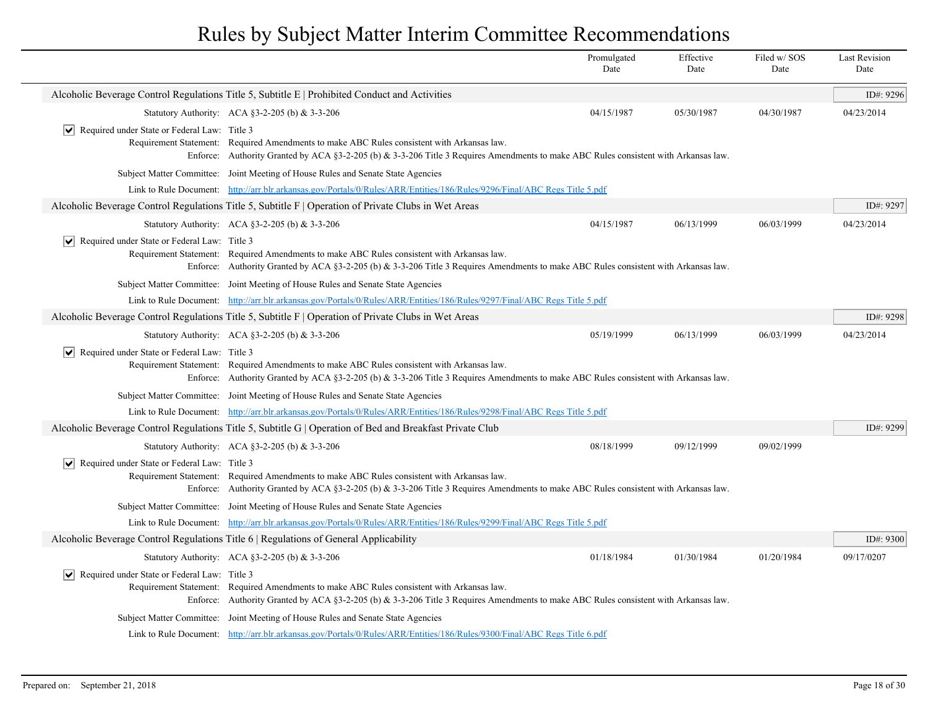|                                                               |                                                                                                                                                                                                                                                                                                        | Promulgated<br>Date | Effective<br>Date | Filed w/SOS<br>Date | <b>Last Revision</b><br>Date |  |
|---------------------------------------------------------------|--------------------------------------------------------------------------------------------------------------------------------------------------------------------------------------------------------------------------------------------------------------------------------------------------------|---------------------|-------------------|---------------------|------------------------------|--|
|                                                               | Alcoholic Beverage Control Regulations Title 5, Subtitle E   Prohibited Conduct and Activities                                                                                                                                                                                                         |                     |                   |                     | ID#: 9296                    |  |
|                                                               | Statutory Authority: ACA §3-2-205 (b) & 3-3-206                                                                                                                                                                                                                                                        | 04/15/1987          | 05/30/1987        | 04/30/1987          | 04/23/2014                   |  |
| $\triangleright$ Required under State or Federal Law: Title 3 | Requirement Statement: Required Amendments to make ABC Rules consistent with Arkansas law.<br>Enforce: Authority Granted by ACA §3-2-205 (b) & 3-3-206 Title 3 Requires Amendments to make ABC Rules consistent with Arkansas law.                                                                     |                     |                   |                     |                              |  |
|                                                               | Subject Matter Committee: Joint Meeting of House Rules and Senate State Agencies                                                                                                                                                                                                                       |                     |                   |                     |                              |  |
|                                                               | Link to Rule Document: http://arr.blr.arkansas.gov/Portals/0/Rules/ARR/Entities/186/Rules/9296/Final/ABC Regs Title 5.pdf                                                                                                                                                                              |                     |                   |                     |                              |  |
|                                                               | Alcoholic Beverage Control Regulations Title 5, Subtitle F   Operation of Private Clubs in Wet Areas                                                                                                                                                                                                   |                     |                   |                     | ID#: 9297                    |  |
|                                                               | Statutory Authority: ACA §3-2-205 (b) $& 3-3-206$                                                                                                                                                                                                                                                      | 04/15/1987          | 06/13/1999        | 06/03/1999          | 04/23/2014                   |  |
| $\triangleright$ Required under State or Federal Law: Title 3 | Requirement Statement: Required Amendments to make ABC Rules consistent with Arkansas law.<br>Enforce: Authority Granted by ACA §3-2-205 (b) & 3-3-206 Title 3 Requires Amendments to make ABC Rules consistent with Arkansas law.                                                                     |                     |                   |                     |                              |  |
|                                                               | Subject Matter Committee: Joint Meeting of House Rules and Senate State Agencies                                                                                                                                                                                                                       |                     |                   |                     |                              |  |
|                                                               | Link to Rule Document: http://arr.blr.arkansas.gov/Portals/0/Rules/ARR/Entities/186/Rules/9297/Final/ABC Regs Title 5.pdf                                                                                                                                                                              |                     |                   |                     |                              |  |
|                                                               | Alcoholic Beverage Control Regulations Title 5, Subtitle F   Operation of Private Clubs in Wet Areas                                                                                                                                                                                                   |                     |                   |                     | ID#: 9298                    |  |
|                                                               | Statutory Authority: ACA §3-2-205 (b) & 3-3-206                                                                                                                                                                                                                                                        | 05/19/1999          | 06/13/1999        | 06/03/1999          | 04/23/2014                   |  |
|                                                               | $\triangleright$ Required under State or Federal Law: Title 3<br>Requirement Statement: Required Amendments to make ABC Rules consistent with Arkansas law.<br>Enforce: Authority Granted by ACA §3-2-205 (b) $\&$ 3-3-206 Title 3 Requires Amendments to make ABC Rules consistent with Arkansas law. |                     |                   |                     |                              |  |
|                                                               | Subject Matter Committee: Joint Meeting of House Rules and Senate State Agencies                                                                                                                                                                                                                       |                     |                   |                     |                              |  |
|                                                               | Link to Rule Document: http://arr.blr.arkansas.gov/Portals/0/Rules/ARR/Entities/186/Rules/9298/Final/ABC Regs Title 5.pdf                                                                                                                                                                              |                     |                   |                     |                              |  |
|                                                               | Alcoholic Beverage Control Regulations Title 5, Subtitle G   Operation of Bed and Breakfast Private Club                                                                                                                                                                                               |                     |                   |                     | ID#: 9299                    |  |
|                                                               | Statutory Authority: ACA §3-2-205 (b) & 3-3-206                                                                                                                                                                                                                                                        | 08/18/1999          | 09/12/1999        | 09/02/1999          |                              |  |
| $\triangleright$ Required under State or Federal Law: Title 3 | Requirement Statement: Required Amendments to make ABC Rules consistent with Arkansas law.<br>Enforce: Authority Granted by ACA §3-2-205 (b) $\&$ 3-3-206 Title 3 Requires Amendments to make ABC Rules consistent with Arkansas law.                                                                  |                     |                   |                     |                              |  |
|                                                               | Subject Matter Committee: Joint Meeting of House Rules and Senate State Agencies                                                                                                                                                                                                                       |                     |                   |                     |                              |  |
|                                                               | Link to Rule Document: http://arr.blr.arkansas.gov/Portals/0/Rules/ARR/Entities/186/Rules/9299/Final/ABC Regs Title 5.pdf                                                                                                                                                                              |                     |                   |                     |                              |  |
|                                                               | Alcoholic Beverage Control Regulations Title 6   Regulations of General Applicability                                                                                                                                                                                                                  |                     |                   |                     | ID#: 9300                    |  |
|                                                               | Statutory Authority: ACA §3-2-205 (b) & 3-3-206                                                                                                                                                                                                                                                        | 01/18/1984          | 01/30/1984        | 01/20/1984          | 09/17/0207                   |  |
| $ \vee $ Required under State or Federal Law: Title 3         | Requirement Statement: Required Amendments to make ABC Rules consistent with Arkansas law.<br>Enforce: Authority Granted by ACA §3-2-205 (b) & 3-3-206 Title 3 Requires Amendments to make ABC Rules consistent with Arkansas law.                                                                     |                     |                   |                     |                              |  |
|                                                               | Subject Matter Committee: Joint Meeting of House Rules and Senate State Agencies                                                                                                                                                                                                                       |                     |                   |                     |                              |  |
|                                                               | Link to Rule Document: http://arr.blr.arkansas.gov/Portals/0/Rules/ARR/Entities/186/Rules/9300/Final/ABC Regs Title 6.pdf                                                                                                                                                                              |                     |                   |                     |                              |  |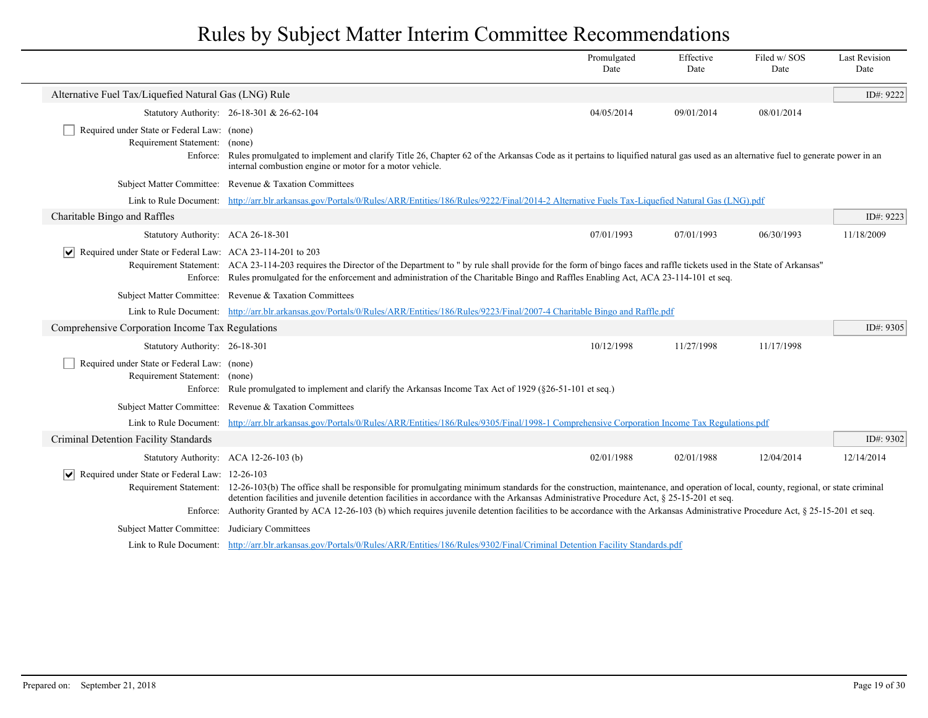|                                                                                          |                                                                                                                                                                                                                                                                                                                                                                                                                                                                                                                                        | Promulgated<br>Date | Effective<br>Date | Filed w/SOS<br>Date | <b>Last Revision</b><br>Date |
|------------------------------------------------------------------------------------------|----------------------------------------------------------------------------------------------------------------------------------------------------------------------------------------------------------------------------------------------------------------------------------------------------------------------------------------------------------------------------------------------------------------------------------------------------------------------------------------------------------------------------------------|---------------------|-------------------|---------------------|------------------------------|
| Alternative Fuel Tax/Liquefied Natural Gas (LNG) Rule                                    |                                                                                                                                                                                                                                                                                                                                                                                                                                                                                                                                        |                     |                   |                     | ID#: 9222                    |
|                                                                                          | Statutory Authority: 26-18-301 & 26-62-104                                                                                                                                                                                                                                                                                                                                                                                                                                                                                             | 04/05/2014          | 09/01/2014        | 08/01/2014          |                              |
| Required under State or Federal Law: (none)<br>Requirement Statement: (none)<br>Enforce: | Rules promulgated to implement and clarify Title 26, Chapter 62 of the Arkansas Code as it pertains to liquified natural gas used as an alternative fuel to generate power in an<br>internal combustion engine or motor for a motor vehicle.                                                                                                                                                                                                                                                                                           |                     |                   |                     |                              |
|                                                                                          | Subject Matter Committee: Revenue & Taxation Committees                                                                                                                                                                                                                                                                                                                                                                                                                                                                                |                     |                   |                     |                              |
|                                                                                          | Link to Rule Document: http://arr.blr.arkansas.gov/Portals/0/Rules/ARR/Entities/186/Rules/9222/Final/2014-2 Alternative Fuels Tax-Liquefied Natural Gas (LNG).pdf                                                                                                                                                                                                                                                                                                                                                                      |                     |                   |                     |                              |
| Charitable Bingo and Raffles                                                             |                                                                                                                                                                                                                                                                                                                                                                                                                                                                                                                                        |                     |                   |                     | ID#: 9223                    |
| Statutory Authority: ACA 26-18-301                                                       |                                                                                                                                                                                                                                                                                                                                                                                                                                                                                                                                        | 07/01/1993          | 07/01/1993        | 06/30/1993          | 11/18/2009                   |
| Required under State or Federal Law: ACA 23-114-201 to 203                               | Requirement Statement: ACA 23-114-203 requires the Director of the Department to " by rule shall provide for the form of bingo faces and raffle tickets used in the State of Arkansas"<br>Enforce: Rules promulgated for the enforcement and administration of the Charitable Bingo and Raffles Enabling Act, ACA 23-114-101 et seq.                                                                                                                                                                                                   |                     |                   |                     |                              |
|                                                                                          | Subject Matter Committee: Revenue & Taxation Committees                                                                                                                                                                                                                                                                                                                                                                                                                                                                                |                     |                   |                     |                              |
|                                                                                          | Link to Rule Document: http://arr.blr.arkansas.gov/Portals/0/Rules/ARR/Entities/186/Rules/9223/Final/2007-4 Charitable Bingo and Raffle.pdf                                                                                                                                                                                                                                                                                                                                                                                            |                     |                   |                     |                              |
| Comprehensive Corporation Income Tax Regulations                                         |                                                                                                                                                                                                                                                                                                                                                                                                                                                                                                                                        |                     |                   |                     | ID#: 9305                    |
| Statutory Authority: 26-18-301                                                           |                                                                                                                                                                                                                                                                                                                                                                                                                                                                                                                                        | 10/12/1998          | 11/27/1998        | 11/17/1998          |                              |
| Required under State or Federal Law: (none)<br>Requirement Statement: (none)<br>Enforce: | Rule promulgated to implement and clarify the Arkansas Income Tax Act of 1929 ( $\S 26-51-101$ et seq.)                                                                                                                                                                                                                                                                                                                                                                                                                                |                     |                   |                     |                              |
|                                                                                          | Subject Matter Committee: Revenue & Taxation Committees                                                                                                                                                                                                                                                                                                                                                                                                                                                                                |                     |                   |                     |                              |
| Link to Rule Document:                                                                   | http://arr.blr.arkansas.gov/Portals/0/Rules/ARR/Entities/186/Rules/9305/Final/1998-1 Comprehensive Corporation Income Tax Regulations.pdf                                                                                                                                                                                                                                                                                                                                                                                              |                     |                   |                     |                              |
| Criminal Detention Facility Standards                                                    |                                                                                                                                                                                                                                                                                                                                                                                                                                                                                                                                        |                     |                   |                     | ID#: 9302                    |
|                                                                                          | Statutory Authority: ACA 12-26-103 (b)                                                                                                                                                                                                                                                                                                                                                                                                                                                                                                 | 02/01/1988          | 02/01/1988        | 12/04/2014          | 12/14/2014                   |
| $ \mathbf{v} $ Required under State or Federal Law: 12-26-103                            | Requirement Statement: 12-26-103(b) The office shall be responsible for promulgating minimum standards for the construction, maintenance, and operation of local, county, regional, or state criminal<br>detention facilities and juvenile detention facilities in accordance with the Arkansas Administrative Procedure Act, § 25-15-201 et seq.<br>Enforce: Authority Granted by ACA 12-26-103 (b) which requires juvenile detention facilities to be accordance with the Arkansas Administrative Procedure Act, § 25-15-201 et seq. |                     |                   |                     |                              |
| Subject Matter Committee: Judiciary Committees                                           |                                                                                                                                                                                                                                                                                                                                                                                                                                                                                                                                        |                     |                   |                     |                              |
|                                                                                          | Link to Rule Document: http://arr.blr.arkansas.gov/Portals/0/Rules/ARR/Entities/186/Rules/9302/Final/Criminal Detention Facility Standards.pdf                                                                                                                                                                                                                                                                                                                                                                                         |                     |                   |                     |                              |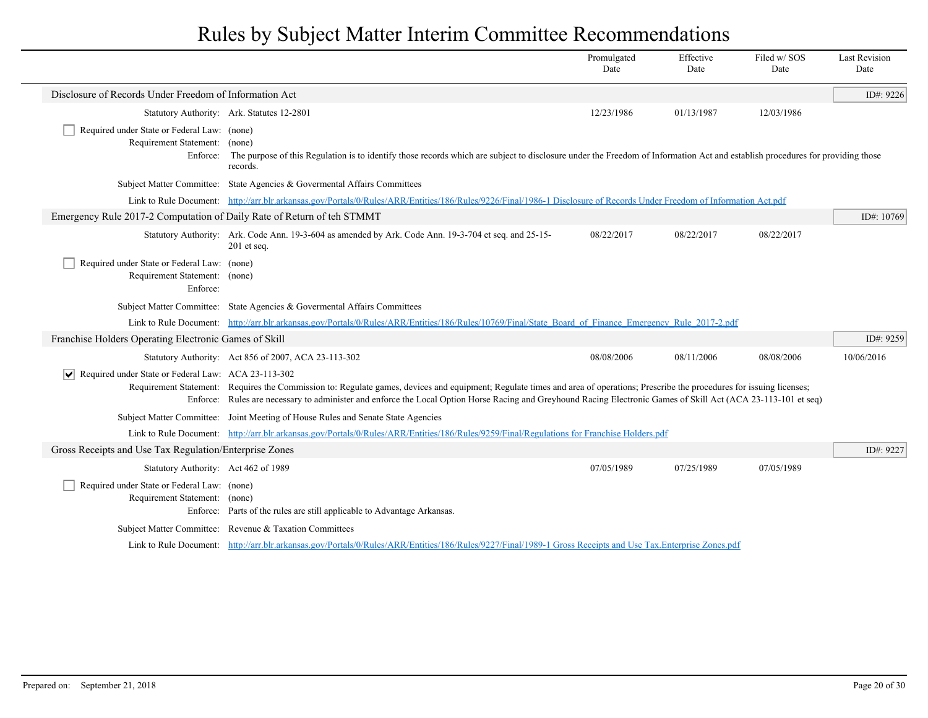|                                                                                          |                                                                                                                                                                                                                                                                                                                                                    | Promulgated<br>Date | Effective<br>Date | Filed w/SOS<br>Date | <b>Last Revision</b><br>Date |
|------------------------------------------------------------------------------------------|----------------------------------------------------------------------------------------------------------------------------------------------------------------------------------------------------------------------------------------------------------------------------------------------------------------------------------------------------|---------------------|-------------------|---------------------|------------------------------|
| Disclosure of Records Under Freedom of Information Act                                   |                                                                                                                                                                                                                                                                                                                                                    |                     |                   |                     | ID#: 9226                    |
|                                                                                          | Statutory Authority: Ark. Statutes 12-2801                                                                                                                                                                                                                                                                                                         | 12/23/1986          | 01/13/1987        | 12/03/1986          |                              |
| Required under State or Federal Law: (none)<br>Requirement Statement: (none)<br>Enforce: | The purpose of this Regulation is to identify those records which are subject to disclosure under the Freedom of Information Act and establish procedures for providing those<br>records.                                                                                                                                                          |                     |                   |                     |                              |
|                                                                                          | Subject Matter Committee: State Agencies & Governental Affairs Committees                                                                                                                                                                                                                                                                          |                     |                   |                     |                              |
|                                                                                          | Link to Rule Document: http://arr.blr.arkansas.gov/Portals/0/Rules/ARR/Entities/186/Rules/9226/Final/1986-1 Disclosure of Records Under Freedom of Information Act.pdf                                                                                                                                                                             |                     |                   |                     |                              |
| Emergency Rule 2017-2 Computation of Daily Rate of Return of teh STMMT                   |                                                                                                                                                                                                                                                                                                                                                    |                     |                   |                     | ID#: 10769                   |
|                                                                                          | Statutory Authority: Ark. Code Ann. 19-3-604 as amended by Ark. Code Ann. 19-3-704 et seq. and 25-15-<br>$201$ et seq.                                                                                                                                                                                                                             | 08/22/2017          | 08/22/2017        | 08/22/2017          |                              |
| Required under State or Federal Law: (none)<br>Requirement Statement: (none)<br>Enforce: |                                                                                                                                                                                                                                                                                                                                                    |                     |                   |                     |                              |
|                                                                                          | Subject Matter Committee: State Agencies & Governental Affairs Committees                                                                                                                                                                                                                                                                          |                     |                   |                     |                              |
|                                                                                          | Link to Rule Document: http://arr.blr.arkansas.gov/Portals/0/Rules/ARR/Entities/186/Rules/10769/Final/State Board of Finance Emergency Rule 2017-2.pdf                                                                                                                                                                                             |                     |                   |                     |                              |
| Franchise Holders Operating Electronic Games of Skill                                    |                                                                                                                                                                                                                                                                                                                                                    |                     |                   |                     | ID#: 9259                    |
|                                                                                          | Statutory Authority: Act 856 of 2007, ACA 23-113-302                                                                                                                                                                                                                                                                                               | 08/08/2006          | 08/11/2006        | 08/08/2006          | 10/06/2016                   |
| $\triangleright$ Required under State or Federal Law: ACA 23-113-302                     | Requirement Statement: Requires the Commission to: Regulate games, devices and equipment; Regulate times and area of operations; Prescribe the procedures for issuing licenses;<br>Enforce: Rules are necessary to administer and enforce the Local Option Horse Racing and Greyhound Racing Electronic Games of Skill Act (ACA 23-113-101 et seq) |                     |                   |                     |                              |
|                                                                                          | Subject Matter Committee: Joint Meeting of House Rules and Senate State Agencies                                                                                                                                                                                                                                                                   |                     |                   |                     |                              |
|                                                                                          | Link to Rule Document: http://arr.blr.arkansas.gov/Portals/0/Rules/ARR/Entities/186/Rules/9259/Final/Regulations for Franchise Holders.pdf                                                                                                                                                                                                         |                     |                   |                     |                              |
| Gross Receipts and Use Tax Regulation/Enterprise Zones                                   |                                                                                                                                                                                                                                                                                                                                                    |                     |                   |                     | ID#: $9227$                  |
| Statutory Authority: Act 462 of 1989                                                     |                                                                                                                                                                                                                                                                                                                                                    | 07/05/1989          | 07/25/1989        | 07/05/1989          |                              |
| Required under State or Federal Law: (none)<br>Requirement Statement: (none)             | Enforce: Parts of the rules are still applicable to Advantage Arkansas.                                                                                                                                                                                                                                                                            |                     |                   |                     |                              |
|                                                                                          | Subject Matter Committee: Revenue & Taxation Committees                                                                                                                                                                                                                                                                                            |                     |                   |                     |                              |
|                                                                                          | Link to Rule Document: http://arr.blr.arkansas.gov/Portals/0/Rules/ARR/Entities/186/Rules/9227/Final/1989-1 Gross Receipts and Use Tax.Enterprise Zones.pdf                                                                                                                                                                                        |                     |                   |                     |                              |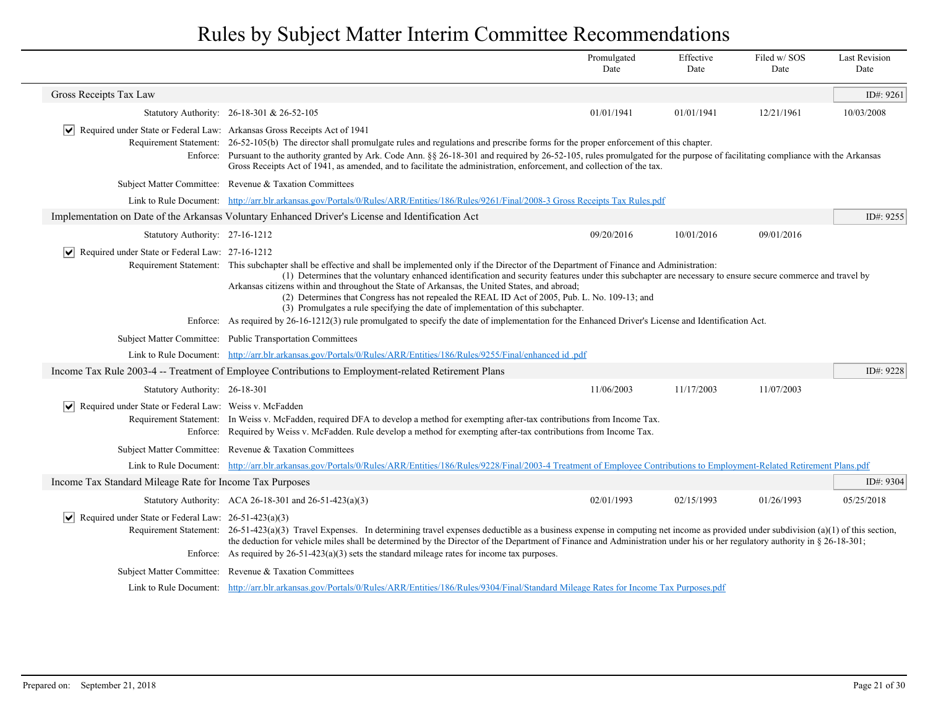|                                                                             |                                                                                                                                                                                                                                                                                                                                                                                                                                                                                                                                                                                                                                                                                                                                                                          | Promulgated<br>Date | Effective<br>Date | Filed w/SOS<br>Date | <b>Last Revision</b><br>Date |
|-----------------------------------------------------------------------------|--------------------------------------------------------------------------------------------------------------------------------------------------------------------------------------------------------------------------------------------------------------------------------------------------------------------------------------------------------------------------------------------------------------------------------------------------------------------------------------------------------------------------------------------------------------------------------------------------------------------------------------------------------------------------------------------------------------------------------------------------------------------------|---------------------|-------------------|---------------------|------------------------------|
| Gross Receipts Tax Law                                                      |                                                                                                                                                                                                                                                                                                                                                                                                                                                                                                                                                                                                                                                                                                                                                                          |                     |                   |                     | ID#: 9261                    |
|                                                                             | Statutory Authority: 26-18-301 & 26-52-105                                                                                                                                                                                                                                                                                                                                                                                                                                                                                                                                                                                                                                                                                                                               | 01/01/1941          | 01/01/1941        | 12/21/1961          | 10/03/2008                   |
| Required under State or Federal Law: Arkansas Gross Receipts Act of 1941    | Requirement Statement: 26-52-105(b) The director shall promulgate rules and regulations and prescribe forms for the proper enforcement of this chapter.<br>Enforce: Pursuant to the authority granted by Ark. Code Ann. §§ 26-18-301 and required by 26-52-105, rules promulgated for the purpose of facilitating compliance with the Arkansas<br>Gross Receipts Act of 1941, as amended, and to facilitate the administration, enforcement, and collection of the tax.                                                                                                                                                                                                                                                                                                  |                     |                   |                     |                              |
|                                                                             | Subject Matter Committee: Revenue & Taxation Committees                                                                                                                                                                                                                                                                                                                                                                                                                                                                                                                                                                                                                                                                                                                  |                     |                   |                     |                              |
|                                                                             | Link to Rule Document: http://arr.blr.arkansas.gov/Portals/0/Rules/ARR/Entities/186/Rules/9261/Final/2008-3 Gross Receipts Tax Rules.pdf                                                                                                                                                                                                                                                                                                                                                                                                                                                                                                                                                                                                                                 |                     |                   |                     |                              |
|                                                                             | Implementation on Date of the Arkansas Voluntary Enhanced Driver's License and Identification Act                                                                                                                                                                                                                                                                                                                                                                                                                                                                                                                                                                                                                                                                        |                     |                   |                     | ID#: 9255                    |
| Statutory Authority: 27-16-1212                                             |                                                                                                                                                                                                                                                                                                                                                                                                                                                                                                                                                                                                                                                                                                                                                                          | 09/20/2016          | 10/01/2016        | 09/01/2016          |                              |
| $\triangleright$ Required under State or Federal Law: 27-16-1212            | Requirement Statement: This subchapter shall be effective and shall be implemented only if the Director of the Department of Finance and Administration:<br>(1) Determines that the voluntary enhanced identification and security features under this subchapter are necessary to ensure secure commerce and travel by<br>Arkansas citizens within and throughout the State of Arkansas, the United States, and abroad;<br>(2) Determines that Congress has not repealed the REAL ID Act of 2005, Pub. L. No. 109-13; and<br>(3) Promulgates a rule specifying the date of implementation of this subchapter.<br>Enforce: As required by 26-16-1212(3) rule promulgated to specify the date of implementation for the Enhanced Driver's License and Identification Act. |                     |                   |                     |                              |
|                                                                             | Subject Matter Committee: Public Transportation Committees                                                                                                                                                                                                                                                                                                                                                                                                                                                                                                                                                                                                                                                                                                               |                     |                   |                     |                              |
|                                                                             | Link to Rule Document: http://arr.blr.arkansas.gov/Portals/0/Rules/ARR/Entities/186/Rules/9255/Final/enhanced id.pdf                                                                                                                                                                                                                                                                                                                                                                                                                                                                                                                                                                                                                                                     |                     |                   |                     |                              |
|                                                                             | Income Tax Rule 2003-4 -- Treatment of Employee Contributions to Employment-related Retirement Plans                                                                                                                                                                                                                                                                                                                                                                                                                                                                                                                                                                                                                                                                     |                     |                   |                     | ID#: 9228                    |
| Statutory Authority: 26-18-301                                              |                                                                                                                                                                                                                                                                                                                                                                                                                                                                                                                                                                                                                                                                                                                                                                          | 11/06/2003          | 11/17/2003        | 11/07/2003          |                              |
| $ \vee $ Required under State or Federal Law: Weiss v. McFadden<br>Enforce: | Requirement Statement: In Weiss v. McFadden, required DFA to develop a method for exempting after-tax contributions from Income Tax.<br>Required by Weiss v. McFadden. Rule develop a method for exempting after-tax contributions from Income Tax.                                                                                                                                                                                                                                                                                                                                                                                                                                                                                                                      |                     |                   |                     |                              |
|                                                                             | Subject Matter Committee: Revenue & Taxation Committees                                                                                                                                                                                                                                                                                                                                                                                                                                                                                                                                                                                                                                                                                                                  |                     |                   |                     |                              |
|                                                                             | Link to Rule Document: http://arr.blr.arkansas.gov/Portals/0/Rules/ARR/Entities/186/Rules/9228/Final/2003-4 Treatment of Employee Contributions to Employment-Related Retirement Plans.pdf                                                                                                                                                                                                                                                                                                                                                                                                                                                                                                                                                                               |                     |                   |                     |                              |
| Income Tax Standard Mileage Rate for Income Tax Purposes                    |                                                                                                                                                                                                                                                                                                                                                                                                                                                                                                                                                                                                                                                                                                                                                                          |                     |                   |                     | ID#: 9304                    |
|                                                                             | Statutory Authority: ACA 26-18-301 and 26-51-423(a)(3)                                                                                                                                                                                                                                                                                                                                                                                                                                                                                                                                                                                                                                                                                                                   | 02/01/1993          | 02/15/1993        | 01/26/1993          | 05/25/2018                   |
| $ \mathbf{v} $ Required under State or Federal Law: 26-51-423(a)(3)         | Requirement Statement: 26-51-423(a)(3) Travel Expenses. In determining travel expenses deductible as a business expense in computing net income as provided under subdivision (a)(1) of this section,<br>the deduction for vehicle miles shall be determined by the Director of the Department of Finance and Administration under his or her regulatory authority in § 26-18-301;<br>Enforce: As required by $26-51-423(a)(3)$ sets the standard mileage rates for income tax purposes.                                                                                                                                                                                                                                                                                 |                     |                   |                     |                              |
|                                                                             | Subject Matter Committee: Revenue & Taxation Committees                                                                                                                                                                                                                                                                                                                                                                                                                                                                                                                                                                                                                                                                                                                  |                     |                   |                     |                              |
|                                                                             | Link to Rule Document: http://arr.blr.arkansas.gov/Portals/0/Rules/ARR/Entities/186/Rules/9304/Final/Standard Mileage Rates for Income Tax Purposes.pdf                                                                                                                                                                                                                                                                                                                                                                                                                                                                                                                                                                                                                  |                     |                   |                     |                              |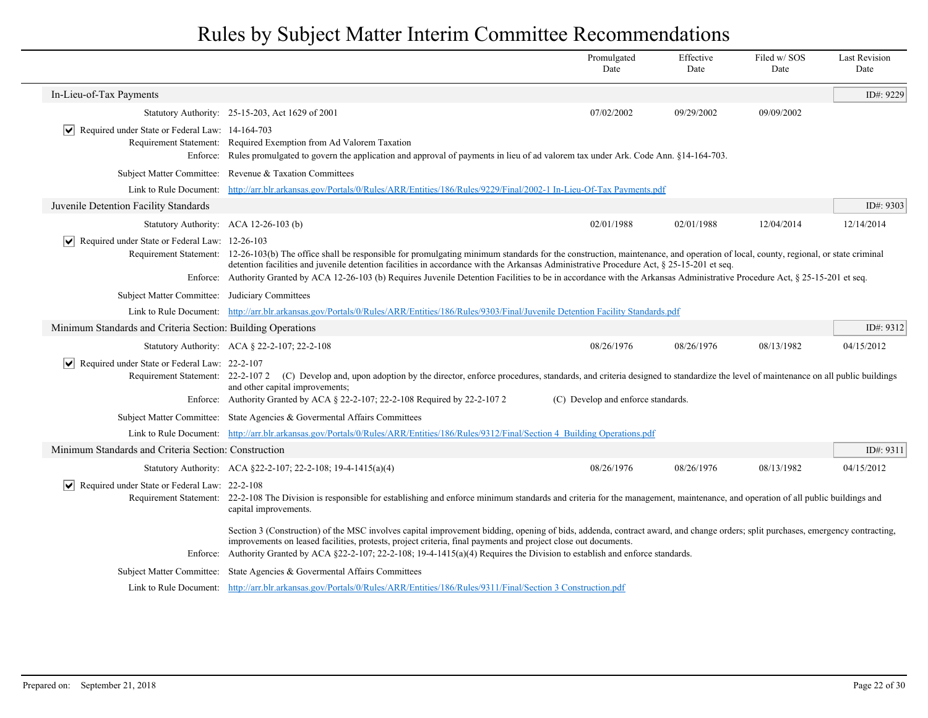|                                                                |                                                                                                                                                                                                                                                                                                                                                                                                                                                                                                                                     | Promulgated<br>Date                | Effective<br>Date | Filed w/SOS<br>Date | <b>Last Revision</b><br>Date |
|----------------------------------------------------------------|-------------------------------------------------------------------------------------------------------------------------------------------------------------------------------------------------------------------------------------------------------------------------------------------------------------------------------------------------------------------------------------------------------------------------------------------------------------------------------------------------------------------------------------|------------------------------------|-------------------|---------------------|------------------------------|
| In-Lieu-of-Tax Payments                                        |                                                                                                                                                                                                                                                                                                                                                                                                                                                                                                                                     |                                    |                   |                     | ID#: 9229                    |
|                                                                | Statutory Authority: 25-15-203, Act 1629 of 2001                                                                                                                                                                                                                                                                                                                                                                                                                                                                                    | 07/02/2002                         | 09/29/2002        | 09/09/2002          |                              |
| $ \mathbf{v} $ Required under State or Federal Law: 14-164-703 | Requirement Statement: Required Exemption from Ad Valorem Taxation<br>Enforce: Rules promulgated to govern the application and approval of payments in lieu of ad valorem tax under Ark. Code Ann. §14-164-703.                                                                                                                                                                                                                                                                                                                     |                                    |                   |                     |                              |
| <b>Subject Matter Committee:</b>                               | Revenue & Taxation Committees                                                                                                                                                                                                                                                                                                                                                                                                                                                                                                       |                                    |                   |                     |                              |
|                                                                | Link to Rule Document: http://arr.blr.arkansas.gov/Portals/0/Rules/ARR/Entities/186/Rules/9229/Final/2002-1 In-Lieu-Of-Tax Payments.pdf                                                                                                                                                                                                                                                                                                                                                                                             |                                    |                   |                     |                              |
| Juvenile Detention Facility Standards                          |                                                                                                                                                                                                                                                                                                                                                                                                                                                                                                                                     |                                    |                   |                     | ID#: 9303                    |
|                                                                | Statutory Authority: ACA 12-26-103 (b)                                                                                                                                                                                                                                                                                                                                                                                                                                                                                              | 02/01/1988                         | 02/01/1988        | 12/04/2014          | 12/14/2014                   |
| $ \mathbf{v} $ Required under State or Federal Law: 12-26-103  | Requirement Statement: 12-26-103(b) The office shall be responsible for promulgating minimum standards for the construction, maintenance, and operation of local, county, regional, or state criminal<br>detention facilities and juvenile detention facilities in accordance with the Arkansas Administrative Procedure Act, § 25-15-201 et seq.<br>Enforce: Authority Granted by ACA 12-26-103 (b) Requires Juvenile Detention Facilities to be in accordance with the Arkansas Administrative Procedure Act, § 25-15-201 et seq. |                                    |                   |                     |                              |
| Subject Matter Committee: Judiciary Committees                 |                                                                                                                                                                                                                                                                                                                                                                                                                                                                                                                                     |                                    |                   |                     |                              |
| Link to Rule Document:                                         | http://arr.blr.arkansas.gov/Portals/0/Rules/ARR/Entities/186/Rules/9303/Final/Juvenile Detention Facility Standards.pdf                                                                                                                                                                                                                                                                                                                                                                                                             |                                    |                   |                     |                              |
| Minimum Standards and Criteria Section: Building Operations    |                                                                                                                                                                                                                                                                                                                                                                                                                                                                                                                                     |                                    |                   |                     | ID#: 9312                    |
|                                                                | Statutory Authority: ACA § 22-2-107; 22-2-108                                                                                                                                                                                                                                                                                                                                                                                                                                                                                       | 08/26/1976                         | 08/26/1976        | 08/13/1982          | 04/15/2012                   |
| $ \mathbf{v} $ Required under State or Federal Law: 22-2-107   | Requirement Statement: 22-2-1072 (C) Develop and, upon adoption by the director, enforce procedures, standards, and criteria designed to standardize the level of maintenance on all public buildings<br>and other capital improvements;<br>Enforce: Authority Granted by ACA § 22-2-107; 22-2-108 Required by 22-2-107 2                                                                                                                                                                                                           | (C) Develop and enforce standards. |                   |                     |                              |
|                                                                | Subject Matter Committee: State Agencies & Governental Affairs Committees                                                                                                                                                                                                                                                                                                                                                                                                                                                           |                                    |                   |                     |                              |
|                                                                | Link to Rule Document: http://arr.blr.arkansas.gov/Portals/0/Rules/ARR/Entities/186/Rules/9312/Final/Section 4 Building Operations.pdf                                                                                                                                                                                                                                                                                                                                                                                              |                                    |                   |                     |                              |
| Minimum Standards and Criteria Section: Construction           |                                                                                                                                                                                                                                                                                                                                                                                                                                                                                                                                     |                                    |                   |                     | ID#: 9311                    |
|                                                                | Statutory Authority: ACA §22-2-107; 22-2-108; 19-4-1415(a)(4)                                                                                                                                                                                                                                                                                                                                                                                                                                                                       | 08/26/1976                         | 08/26/1976        | 08/13/1982          | 04/15/2012                   |
| $ \mathbf{v} $ Required under State or Federal Law: 22-2-108   | Requirement Statement: 22-2-108 The Division is responsible for establishing and enforce minimum standards and criteria for the management, maintenance, and operation of all public buildings and<br>capital improvements.                                                                                                                                                                                                                                                                                                         |                                    |                   |                     |                              |
| Enforce:                                                       | Section 3 (Construction) of the MSC involves capital improvement bidding, opening of bids, addenda, contract award, and change orders; split purchases, emergency contracting,<br>improvements on leased facilities, protests, project criteria, final payments and project close out documents.<br>Authority Granted by ACA §22-2-107; 22-2-108; 19-4-1415(a)(4) Requires the Division to establish and enforce standards.                                                                                                         |                                    |                   |                     |                              |
|                                                                | Subject Matter Committee: State Agencies & Governental Affairs Committees                                                                                                                                                                                                                                                                                                                                                                                                                                                           |                                    |                   |                     |                              |
|                                                                | Link to Rule Document: http://arr.blr.arkansas.gov/Portals/0/Rules/ARR/Entities/186/Rules/9311/Final/Section 3 Construction.pdf                                                                                                                                                                                                                                                                                                                                                                                                     |                                    |                   |                     |                              |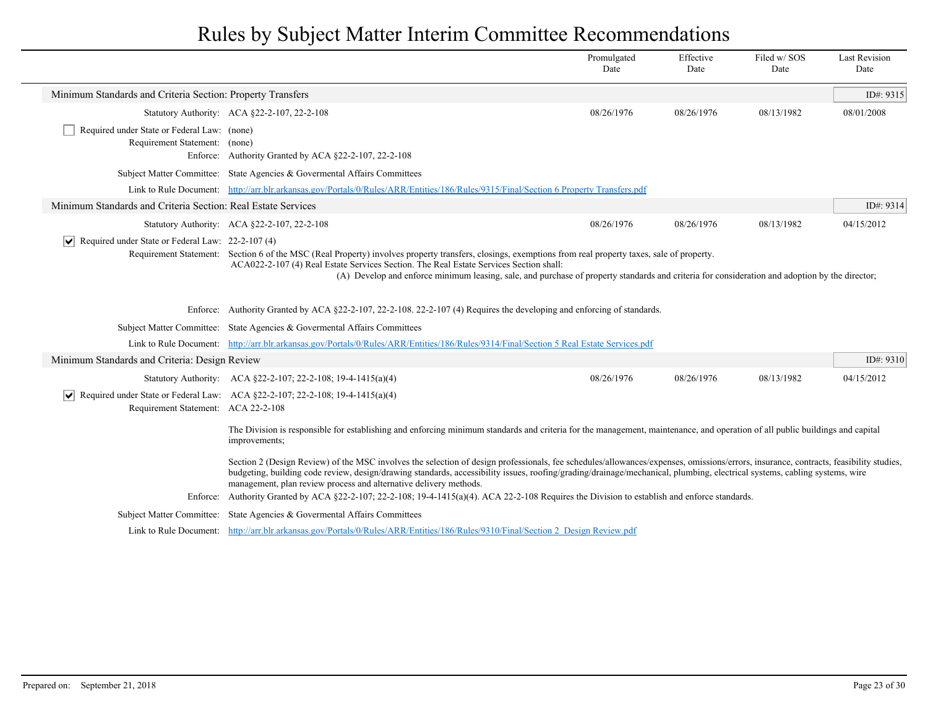|                                                                              |                                                                                                                                                                                                                                                                                                                                                                                                                                                                                                                                                                                          | Promulgated<br>Date | Effective<br>Date | Filed w/SOS<br>Date | <b>Last Revision</b><br>Date |
|------------------------------------------------------------------------------|------------------------------------------------------------------------------------------------------------------------------------------------------------------------------------------------------------------------------------------------------------------------------------------------------------------------------------------------------------------------------------------------------------------------------------------------------------------------------------------------------------------------------------------------------------------------------------------|---------------------|-------------------|---------------------|------------------------------|
| Minimum Standards and Criteria Section: Property Transfers                   |                                                                                                                                                                                                                                                                                                                                                                                                                                                                                                                                                                                          |                     |                   |                     | ID#: 9315                    |
|                                                                              | Statutory Authority: ACA §22-2-107, 22-2-108                                                                                                                                                                                                                                                                                                                                                                                                                                                                                                                                             | 08/26/1976          | 08/26/1976        | 08/13/1982          | 08/01/2008                   |
| Required under State or Federal Law: (none)<br>Requirement Statement: (none) | Enforce: Authority Granted by ACA §22-2-107, 22-2-108                                                                                                                                                                                                                                                                                                                                                                                                                                                                                                                                    |                     |                   |                     |                              |
|                                                                              | Subject Matter Committee: State Agencies & Governental Affairs Committees                                                                                                                                                                                                                                                                                                                                                                                                                                                                                                                |                     |                   |                     |                              |
|                                                                              | Link to Rule Document: http://arr.blr.arkansas.gov/Portals/0/Rules/ARR/Entities/186/Rules/9315/Final/Section 6 Property Transfers.pdf                                                                                                                                                                                                                                                                                                                                                                                                                                                    |                     |                   |                     |                              |
| Minimum Standards and Criteria Section: Real Estate Services                 |                                                                                                                                                                                                                                                                                                                                                                                                                                                                                                                                                                                          |                     |                   |                     | ID#: 9314                    |
|                                                                              | Statutory Authority: ACA §22-2-107, 22-2-108                                                                                                                                                                                                                                                                                                                                                                                                                                                                                                                                             | 08/26/1976          | 08/26/1976        | 08/13/1982          | 04/15/2012                   |
| Required under State or Federal Law: 22-2-107 (4)                            | Requirement Statement: Section 6 of the MSC (Real Property) involves property transfers, closings, exemptions from real property taxes, sale of property.<br>ACA022-2-107 (4) Real Estate Services Section. The Real Estate Services Section shall:<br>(A) Develop and enforce minimum leasing, sale, and purchase of property standards and criteria for consideration and adoption by the director;                                                                                                                                                                                    |                     |                   |                     |                              |
|                                                                              | Enforce: Authority Granted by ACA §22-2-107, 22-2-108. 22-2-107 (4) Requires the developing and enforcing of standards.                                                                                                                                                                                                                                                                                                                                                                                                                                                                  |                     |                   |                     |                              |
|                                                                              | Subject Matter Committee: State Agencies & Governental Affairs Committees                                                                                                                                                                                                                                                                                                                                                                                                                                                                                                                |                     |                   |                     |                              |
|                                                                              | Link to Rule Document: http://arr.blr.arkansas.gov/Portals/0/Rules/ARR/Entities/186/Rules/9314/Final/Section 5 Real Estate Services.pdf                                                                                                                                                                                                                                                                                                                                                                                                                                                  |                     |                   |                     |                              |
| Minimum Standards and Criteria: Design Review                                |                                                                                                                                                                                                                                                                                                                                                                                                                                                                                                                                                                                          |                     |                   |                     | ID#: 9310                    |
|                                                                              | Statutory Authority: ACA §22-2-107; 22-2-108; 19-4-1415(a)(4)                                                                                                                                                                                                                                                                                                                                                                                                                                                                                                                            | 08/26/1976          | 08/26/1976        | 08/13/1982          | 04/15/2012                   |
| Requirement Statement: ACA 22-2-108                                          | $ \mathbf{v} $ Required under State or Federal Law: ACA §22-2-107; 22-2-108; 19-4-1415(a)(4)                                                                                                                                                                                                                                                                                                                                                                                                                                                                                             |                     |                   |                     |                              |
|                                                                              | The Division is responsible for establishing and enforcing minimum standards and criteria for the management, maintenance, and operation of all public buildings and capital<br>improvements;                                                                                                                                                                                                                                                                                                                                                                                            |                     |                   |                     |                              |
|                                                                              | Section 2 (Design Review) of the MSC involves the selection of design professionals, fee schedules/allowances/expenses, omissions/errors, insurance, contracts, feasibility studies,<br>budgeting, building code review, design/drawing standards, accessibility issues, roofing/grading/drainage/mechanical, plumbing, electrical systems, cabling systems, wire<br>management, plan review process and alternative delivery methods.<br>Enforce: Authority Granted by ACA §22-2-107; 22-2-108; 19-4-1415(a)(4). ACA 22-2-108 Requires the Division to establish and enforce standards. |                     |                   |                     |                              |
|                                                                              |                                                                                                                                                                                                                                                                                                                                                                                                                                                                                                                                                                                          |                     |                   |                     |                              |
|                                                                              | Subject Matter Committee: State Agencies & Governmental Affairs Committees                                                                                                                                                                                                                                                                                                                                                                                                                                                                                                               |                     |                   |                     |                              |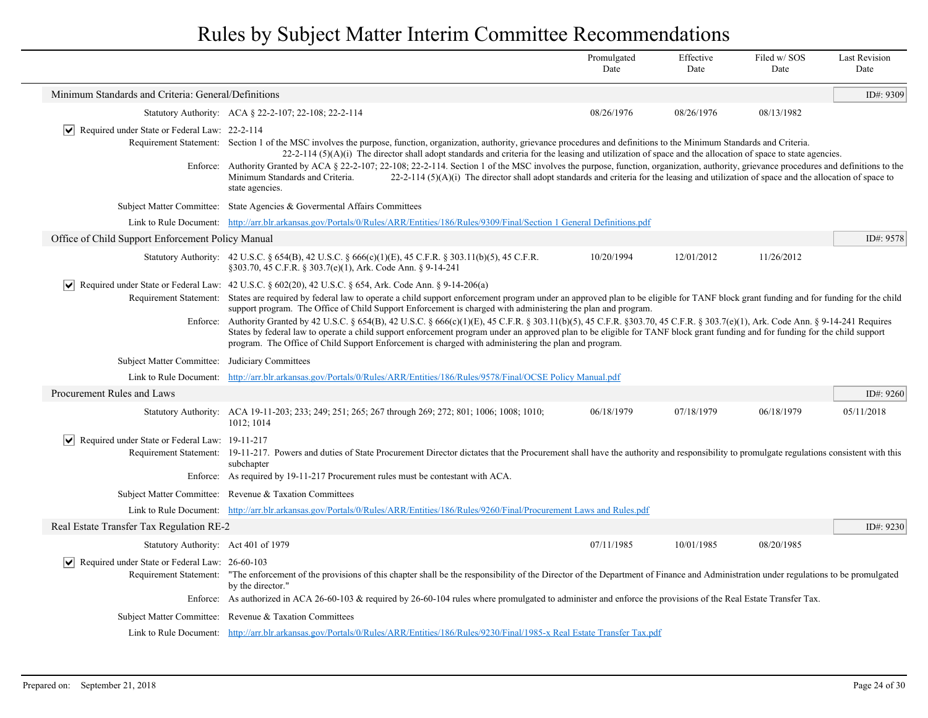|                                                               |                                                                                                                                                                                                                                                                                                                                                                                                                                                                                | Promulgated<br>Date | Effective<br>Date | Filed w/ SOS<br>Date | <b>Last Revision</b><br>Date |
|---------------------------------------------------------------|--------------------------------------------------------------------------------------------------------------------------------------------------------------------------------------------------------------------------------------------------------------------------------------------------------------------------------------------------------------------------------------------------------------------------------------------------------------------------------|---------------------|-------------------|----------------------|------------------------------|
| Minimum Standards and Criteria: General/Definitions           |                                                                                                                                                                                                                                                                                                                                                                                                                                                                                |                     |                   |                      | ID#: 9309                    |
|                                                               | Statutory Authority: ACA § 22-2-107; 22-108; 22-2-114                                                                                                                                                                                                                                                                                                                                                                                                                          | 08/26/1976          | 08/26/1976        | 08/13/1982           |                              |
| $ \mathbf{v} $ Required under State or Federal Law: 22-2-114  | Requirement Statement: Section 1 of the MSC involves the purpose, function, organization, authority, grievance procedures and definitions to the Minimum Standards and Criteria.<br>$22-2-114$ (5)(A)(i) The director shall adopt standards and criteria for the leasing and utilization of space and the allocation of space to state agencies.                                                                                                                               |                     |                   |                      |                              |
|                                                               | Enforce: Authority Granted by ACA § 22-2-107; 22-108; 22-2-114. Section 1 of the MSC involves the purpose, function, organization, authority, grievance procedures and definitions to the<br>$22-2-114(5)(A)(i)$ The director shall adopt standards and criteria for the leasing and utilization of space and the allocation of space to<br>Minimum Standards and Criteria.<br>state agencies.                                                                                 |                     |                   |                      |                              |
|                                                               | Subject Matter Committee: State Agencies & Governental Affairs Committees                                                                                                                                                                                                                                                                                                                                                                                                      |                     |                   |                      |                              |
|                                                               | Link to Rule Document: http://arr.blr.arkansas.gov/Portals/0/Rules/ARR/Entities/186/Rules/9309/Final/Section 1 General Definitions.pdf                                                                                                                                                                                                                                                                                                                                         |                     |                   |                      |                              |
| Office of Child Support Enforcement Policy Manual             |                                                                                                                                                                                                                                                                                                                                                                                                                                                                                |                     |                   |                      | ID#: 9578                    |
|                                                               | Statutory Authority: 42 U.S.C. § 654(B), 42 U.S.C. § 666(c)(1)(E), 45 C.F.R. § 303.11(b)(5), 45 C.F.R.<br>§303.70, 45 C.F.R. § 303.7(e)(1), Ark. Code Ann. § 9-14-241                                                                                                                                                                                                                                                                                                          | 10/20/1994          | 12/01/2012        | 11/26/2012           |                              |
| $ \bm{\mathsf{v}} $                                           | Required under State or Federal Law: 42 U.S.C. § 602(20), 42 U.S.C. § 654, Ark. Code Ann. § 9-14-206(a)                                                                                                                                                                                                                                                                                                                                                                        |                     |                   |                      |                              |
|                                                               | Requirement Statement: States are required by federal law to operate a child support enforcement program under an approved plan to be eligible for TANF block grant funding and for funding for the child<br>support program. The Office of Child Support Enforcement is charged with administering the plan and program.                                                                                                                                                      |                     |                   |                      |                              |
|                                                               | Enforce: Authority Granted by 42 U.S.C. § 654(B), 42 U.S.C. § 666(c)(1)(E), 45 C.F.R. § 303.11(b)(5), 45 C.F.R. § 303.70, 45 C.F.R. § 303.7(e)(1), Ark. Code Ann. § 9-14-241 Requires<br>States by federal law to operate a child support enforcement program under an approved plan to be eligible for TANF block grant funding and for funding for the child support<br>program. The Office of Child Support Enforcement is charged with administering the plan and program. |                     |                   |                      |                              |
| Subject Matter Committee: Judiciary Committees                |                                                                                                                                                                                                                                                                                                                                                                                                                                                                                |                     |                   |                      |                              |
|                                                               | Link to Rule Document: http://arr.blr.arkansas.gov/Portals/0/Rules/ARR/Entities/186/Rules/9578/Final/OCSE Policy Manual.pdf                                                                                                                                                                                                                                                                                                                                                    |                     |                   |                      |                              |
| Procurement Rules and Laws                                    |                                                                                                                                                                                                                                                                                                                                                                                                                                                                                |                     |                   |                      | ID#: 9260                    |
|                                                               | Statutory Authority: ACA 19-11-203; 233; 249; 251; 265; 267 through 269; 272; 801; 1006; 1008; 1010;<br>1012; 1014                                                                                                                                                                                                                                                                                                                                                             | 06/18/1979          | 07/18/1979        | 06/18/1979           | 05/11/2018                   |
| $ \mathbf{v} $ Required under State or Federal Law: 19-11-217 |                                                                                                                                                                                                                                                                                                                                                                                                                                                                                |                     |                   |                      |                              |
|                                                               | Requirement Statement: 19-11-217. Powers and duties of State Procurement Director dictates that the Procurement shall have the authority and responsibility to promulgate regulations consistent with this<br>subchapter                                                                                                                                                                                                                                                       |                     |                   |                      |                              |
|                                                               | Enforce: As required by 19-11-217 Procurement rules must be contestant with ACA.                                                                                                                                                                                                                                                                                                                                                                                               |                     |                   |                      |                              |
|                                                               | Subject Matter Committee: Revenue & Taxation Committees                                                                                                                                                                                                                                                                                                                                                                                                                        |                     |                   |                      |                              |
|                                                               | Link to Rule Document: http://arr.blr.arkansas.gov/Portals/0/Rules/ARR/Entities/186/Rules/9260/Final/Procurement Laws and Rules.pdf                                                                                                                                                                                                                                                                                                                                            |                     |                   |                      |                              |
| Real Estate Transfer Tax Regulation RE-2                      |                                                                                                                                                                                                                                                                                                                                                                                                                                                                                |                     |                   |                      | ID#: 9230                    |
| Statutory Authority: Act 401 of 1979                          |                                                                                                                                                                                                                                                                                                                                                                                                                                                                                | 07/11/1985          | 10/01/1985        | 08/20/1985           |                              |
| $ \mathbf{v} $ Required under State or Federal Law: 26-60-103 | Requirement Statement: "The enforcement of the provisions of this chapter shall be the responsibility of the Director of the Department of Finance and Administration under regulations to be promulgated<br>by the director."                                                                                                                                                                                                                                                 |                     |                   |                      |                              |
|                                                               | Enforce: As authorized in ACA 26-60-103 & required by 26-60-104 rules where promulgated to administer and enforce the provisions of the Real Estate Transfer Tax.                                                                                                                                                                                                                                                                                                              |                     |                   |                      |                              |
|                                                               | Subject Matter Committee: Revenue & Taxation Committees                                                                                                                                                                                                                                                                                                                                                                                                                        |                     |                   |                      |                              |
|                                                               | Link to Rule Document: http://arr.blr.arkansas.gov/Portals/0/Rules/ARR/Entities/186/Rules/9230/Final/1985-x Real Estate Transfer Tax.pdf                                                                                                                                                                                                                                                                                                                                       |                     |                   |                      |                              |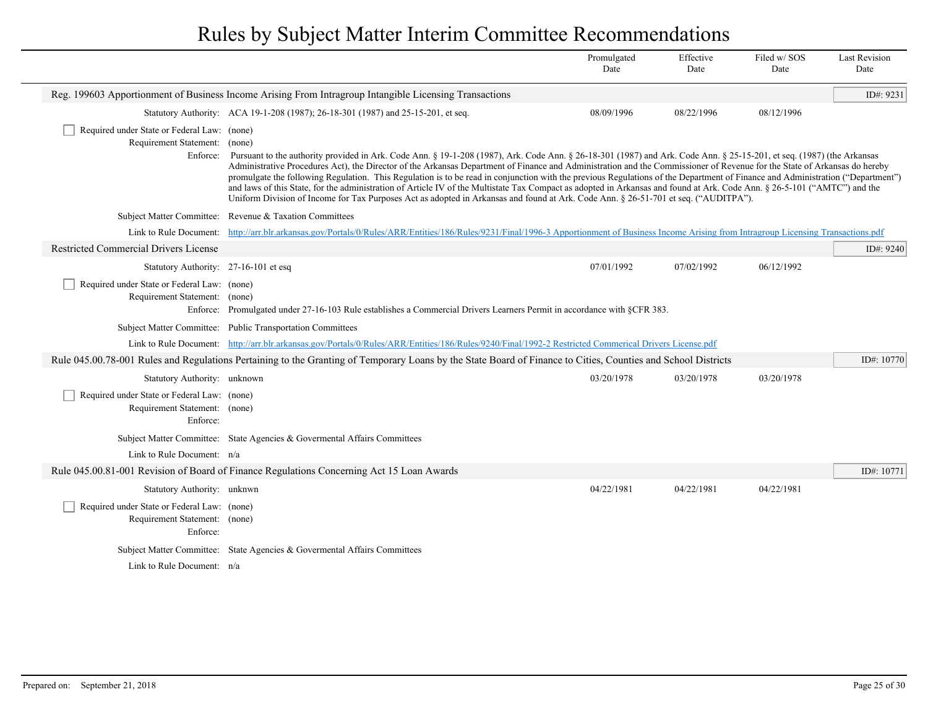|                                                                                          |                                                                                                                                                                                                                                                                                                                                                                                                                                                                                                                                                                                                                                                                                                                                                                                                                                                                     | Promulgated<br>Date | Effective<br>Date | Filed w/SOS<br>Date | <b>Last Revision</b><br>Date |
|------------------------------------------------------------------------------------------|---------------------------------------------------------------------------------------------------------------------------------------------------------------------------------------------------------------------------------------------------------------------------------------------------------------------------------------------------------------------------------------------------------------------------------------------------------------------------------------------------------------------------------------------------------------------------------------------------------------------------------------------------------------------------------------------------------------------------------------------------------------------------------------------------------------------------------------------------------------------|---------------------|-------------------|---------------------|------------------------------|
|                                                                                          | Reg. 199603 Apportionment of Business Income Arising From Intragroup Intangible Licensing Transactions                                                                                                                                                                                                                                                                                                                                                                                                                                                                                                                                                                                                                                                                                                                                                              |                     |                   |                     | ID#: 9231                    |
|                                                                                          | Statutory Authority: ACA 19-1-208 (1987); 26-18-301 (1987) and 25-15-201, et seq.                                                                                                                                                                                                                                                                                                                                                                                                                                                                                                                                                                                                                                                                                                                                                                                   | 08/09/1996          | 08/22/1996        | 08/12/1996          |                              |
| Required under State or Federal Law: (none)<br>Requirement Statement:<br>Enforce:        | (none)<br>Pursuant to the authority provided in Ark. Code Ann. § 19-1-208 (1987), Ark. Code Ann. § 26-18-301 (1987) and Ark. Code Ann. § 25-15-201, et seq. (1987) (the Arkansas<br>Administrative Procedures Act), the Director of the Arkansas Department of Finance and Administration and the Commissioner of Revenue for the State of Arkansas do hereby<br>promulgate the following Regulation. This Regulation is to be read in conjunction with the previous Regulations of the Department of Finance and Administration ("Department")<br>and laws of this State, for the administration of Article IV of the Multistate Tax Compact as adopted in Arkansas and found at Ark. Code Ann. § 26-5-101 ("AMTC") and the<br>Uniform Division of Income for Tax Purposes Act as adopted in Arkansas and found at Ark. Code Ann. § 26-51-701 et seq. ("AUDITPA"). |                     |                   |                     |                              |
|                                                                                          | Subject Matter Committee: Revenue & Taxation Committees                                                                                                                                                                                                                                                                                                                                                                                                                                                                                                                                                                                                                                                                                                                                                                                                             |                     |                   |                     |                              |
| Link to Rule Document:                                                                   | http://arr.blr.arkansas.gov/Portals/0/Rules/ARR/Entities/186/Rules/9231/Final/1996-3 Apportionment of Business Income Arising from Intragroup Licensing Transactions.pdf                                                                                                                                                                                                                                                                                                                                                                                                                                                                                                                                                                                                                                                                                            |                     |                   |                     |                              |
| Restricted Commercial Drivers License                                                    |                                                                                                                                                                                                                                                                                                                                                                                                                                                                                                                                                                                                                                                                                                                                                                                                                                                                     |                     |                   |                     | ID#: 9240                    |
| Statutory Authority: 27-16-101 et esq                                                    |                                                                                                                                                                                                                                                                                                                                                                                                                                                                                                                                                                                                                                                                                                                                                                                                                                                                     | 07/01/1992          | 07/02/1992        | 06/12/1992          |                              |
| Required under State or Federal Law: (none)<br>Requirement Statement: (none)             | Enforce: Promulgated under 27-16-103 Rule establishes a Commercial Drivers Learners Permit in accordance with §CFR 383.                                                                                                                                                                                                                                                                                                                                                                                                                                                                                                                                                                                                                                                                                                                                             |                     |                   |                     |                              |
|                                                                                          | Subject Matter Committee: Public Transportation Committees                                                                                                                                                                                                                                                                                                                                                                                                                                                                                                                                                                                                                                                                                                                                                                                                          |                     |                   |                     |                              |
|                                                                                          | Link to Rule Document: http://arr.blr.arkansas.gov/Portals/0/Rules/ARR/Entities/186/Rules/9240/Final/1992-2 Restricted Commerical Drivers License.pdf                                                                                                                                                                                                                                                                                                                                                                                                                                                                                                                                                                                                                                                                                                               |                     |                   |                     |                              |
|                                                                                          | Rule 045.00.78-001 Rules and Regulations Pertaining to the Granting of Temporary Loans by the State Board of Finance to Cities, Counties and School Districts                                                                                                                                                                                                                                                                                                                                                                                                                                                                                                                                                                                                                                                                                                       |                     |                   |                     | ID#: 10770                   |
| Statutory Authority: unknown                                                             |                                                                                                                                                                                                                                                                                                                                                                                                                                                                                                                                                                                                                                                                                                                                                                                                                                                                     | 03/20/1978          | 03/20/1978        | 03/20/1978          |                              |
| Required under State or Federal Law: (none)<br>Requirement Statement: (none)<br>Enforce: |                                                                                                                                                                                                                                                                                                                                                                                                                                                                                                                                                                                                                                                                                                                                                                                                                                                                     |                     |                   |                     |                              |
|                                                                                          | Subject Matter Committee: State Agencies & Governental Affairs Committees                                                                                                                                                                                                                                                                                                                                                                                                                                                                                                                                                                                                                                                                                                                                                                                           |                     |                   |                     |                              |
| Link to Rule Document: $n/a$                                                             |                                                                                                                                                                                                                                                                                                                                                                                                                                                                                                                                                                                                                                                                                                                                                                                                                                                                     |                     |                   |                     |                              |
|                                                                                          | Rule 045.00.81-001 Revision of Board of Finance Regulations Concerning Act 15 Loan Awards                                                                                                                                                                                                                                                                                                                                                                                                                                                                                                                                                                                                                                                                                                                                                                           |                     |                   |                     | ID#: 10771                   |
| Statutory Authority: unknwn                                                              |                                                                                                                                                                                                                                                                                                                                                                                                                                                                                                                                                                                                                                                                                                                                                                                                                                                                     | 04/22/1981          | 04/22/1981        | 04/22/1981          |                              |
| Required under State or Federal Law: (none)<br>Requirement Statement: (none)<br>Enforce: |                                                                                                                                                                                                                                                                                                                                                                                                                                                                                                                                                                                                                                                                                                                                                                                                                                                                     |                     |                   |                     |                              |
|                                                                                          | Subject Matter Committee: State Agencies & Governental Affairs Committees                                                                                                                                                                                                                                                                                                                                                                                                                                                                                                                                                                                                                                                                                                                                                                                           |                     |                   |                     |                              |
| Link to Rule Document: n/a                                                               |                                                                                                                                                                                                                                                                                                                                                                                                                                                                                                                                                                                                                                                                                                                                                                                                                                                                     |                     |                   |                     |                              |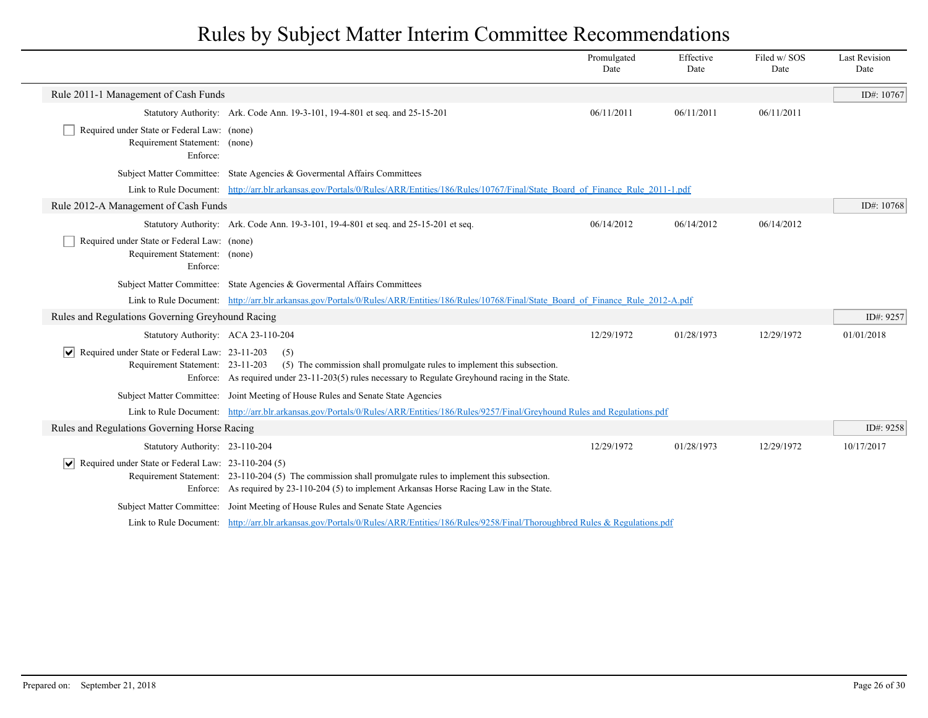|                                                                                                           |                                                                                                                                                                                                          | Promulgated<br>Date | Effective<br>Date | Filed w/SOS<br>Date | <b>Last Revision</b><br>Date |
|-----------------------------------------------------------------------------------------------------------|----------------------------------------------------------------------------------------------------------------------------------------------------------------------------------------------------------|---------------------|-------------------|---------------------|------------------------------|
| Rule 2011-1 Management of Cash Funds                                                                      |                                                                                                                                                                                                          |                     |                   |                     | ID#: 10767                   |
|                                                                                                           | Statutory Authority: Ark. Code Ann. 19-3-101, 19-4-801 et seq. and 25-15-201                                                                                                                             | 06/11/2011          | 06/11/2011        | 06/11/2011          |                              |
| Required under State or Federal Law: (none)<br>Requirement Statement: (none)<br>Enforce:                  |                                                                                                                                                                                                          |                     |                   |                     |                              |
|                                                                                                           | Subject Matter Committee: State Agencies & Governental Affairs Committees                                                                                                                                |                     |                   |                     |                              |
|                                                                                                           | Link to Rule Document: http://arr.blr.arkansas.gov/Portals/0/Rules/ARR/Entities/186/Rules/10767/Final/State Board of Finance Rule 2011-1.pdf                                                             |                     |                   |                     |                              |
| Rule 2012-A Management of Cash Funds                                                                      |                                                                                                                                                                                                          |                     |                   |                     | ID#: 10768                   |
|                                                                                                           | Statutory Authority: Ark. Code Ann. 19-3-101, 19-4-801 et seq. and 25-15-201 et seq.                                                                                                                     | 06/14/2012          | 06/14/2012        | 06/14/2012          |                              |
| Required under State or Federal Law: (none)<br>Requirement Statement: (none)<br>Enforce:                  |                                                                                                                                                                                                          |                     |                   |                     |                              |
|                                                                                                           | Subject Matter Committee: State Agencies & Governmental Affairs Committees                                                                                                                               |                     |                   |                     |                              |
|                                                                                                           | Link to Rule Document: http://arr.blr.arkansas.gov/Portals/0/Rules/ARR/Entities/186/Rules/10768/Final/State Board of Finance Rule 2012-A.pdf                                                             |                     |                   |                     |                              |
| Rules and Regulations Governing Greyhound Racing                                                          |                                                                                                                                                                                                          |                     |                   |                     | ID#: 9257                    |
| Statutory Authority: ACA 23-110-204                                                                       |                                                                                                                                                                                                          | 12/29/1972          | 01/28/1973        | 12/29/1972          | 01/01/2018                   |
| Required under State or Federal Law: 23-11-203<br>$ \bm{\mathsf{v}} $<br>Requirement Statement: 23-11-203 | (5)<br>(5) The commission shall promulgate rules to implement this subsection.<br>Enforce: As required under 23-11-203(5) rules necessary to Regulate Greyhound racing in the State.                     |                     |                   |                     |                              |
|                                                                                                           | Subject Matter Committee: Joint Meeting of House Rules and Senate State Agencies                                                                                                                         |                     |                   |                     |                              |
|                                                                                                           | Link to Rule Document: http://arr.blr.arkansas.gov/Portals/0/Rules/ARR/Entities/186/Rules/9257/Final/Greyhound Rules and Regulations.pdf                                                                 |                     |                   |                     |                              |
| Rules and Regulations Governing Horse Racing                                                              |                                                                                                                                                                                                          |                     |                   |                     | ID#: 9258                    |
| Statutory Authority: 23-110-204                                                                           |                                                                                                                                                                                                          | 12/29/1972          | 01/28/1973        | 12/29/1972          | 10/17/2017                   |
| Required under State or Federal Law: 23-110-204 (5)<br>$ \mathsf{v} $                                     | Requirement Statement: 23-110-204 (5) The commission shall promulgate rules to implement this subsection.<br>Enforce: As required by 23-110-204 (5) to implement Arkansas Horse Racing Law in the State. |                     |                   |                     |                              |
|                                                                                                           | Subject Matter Committee: Joint Meeting of House Rules and Senate State Agencies                                                                                                                         |                     |                   |                     |                              |
|                                                                                                           | Link to Rule Document: http://arr.blr.arkansas.gov/Portals/0/Rules/ARR/Entities/186/Rules/9258/Final/Thoroughbred Rules & Regulations.pdf                                                                |                     |                   |                     |                              |

 $\overline{\phantom{a}}$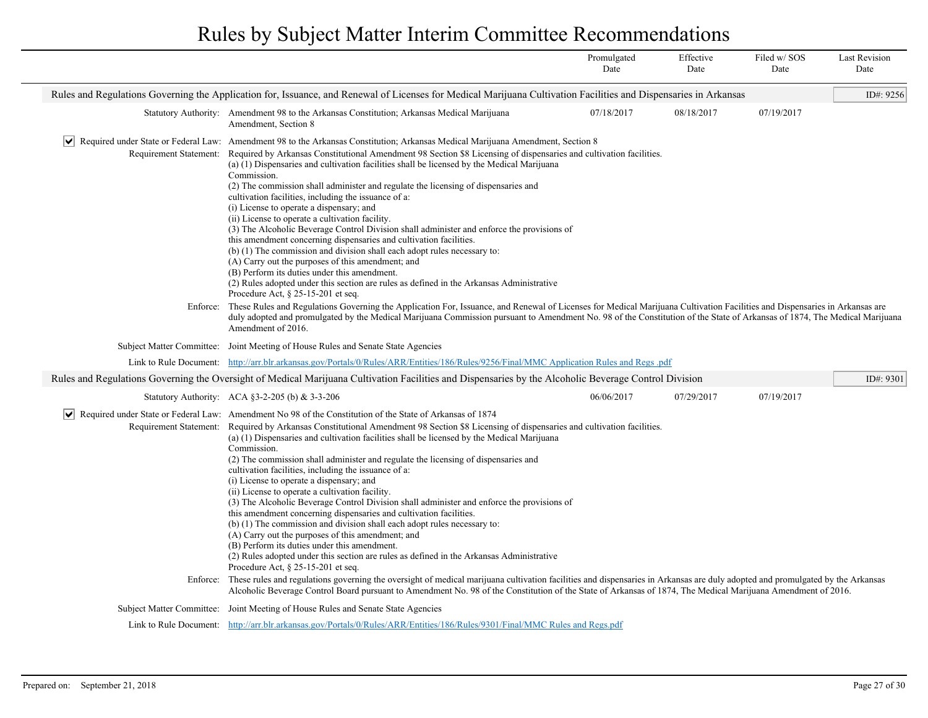|                        |                                                                                                                                                                                                                                                                                                                                                                                                                                                                                                                                                                                                                                                                                                                                                                                                                                                                                                                                                                                                                                                                                                    | Promulgated<br>Date | Effective<br>Date | Filed w/SOS<br>Date | <b>Last Revision</b><br>Date |  |  |
|------------------------|----------------------------------------------------------------------------------------------------------------------------------------------------------------------------------------------------------------------------------------------------------------------------------------------------------------------------------------------------------------------------------------------------------------------------------------------------------------------------------------------------------------------------------------------------------------------------------------------------------------------------------------------------------------------------------------------------------------------------------------------------------------------------------------------------------------------------------------------------------------------------------------------------------------------------------------------------------------------------------------------------------------------------------------------------------------------------------------------------|---------------------|-------------------|---------------------|------------------------------|--|--|
|                        | Rules and Regulations Governing the Application for, Issuance, and Renewal of Licenses for Medical Marijuana Cultivation Facilities and Dispensaries in Arkansas                                                                                                                                                                                                                                                                                                                                                                                                                                                                                                                                                                                                                                                                                                                                                                                                                                                                                                                                   |                     |                   |                     |                              |  |  |
|                        | Statutory Authority: Amendment 98 to the Arkansas Constitution; Arkansas Medical Marijuana<br>Amendment, Section 8                                                                                                                                                                                                                                                                                                                                                                                                                                                                                                                                                                                                                                                                                                                                                                                                                                                                                                                                                                                 | 07/18/2017          | 08/18/2017        | 07/19/2017          |                              |  |  |
| $ \vee $               | Required under State or Federal Law: Amendment 98 to the Arkansas Constitution; Arkansas Medical Marijuana Amendment, Section 8                                                                                                                                                                                                                                                                                                                                                                                                                                                                                                                                                                                                                                                                                                                                                                                                                                                                                                                                                                    |                     |                   |                     |                              |  |  |
| Requirement Statement: | Required by Arkansas Constitutional Amendment 98 Section \$8 Licensing of dispensaries and cultivation facilities.<br>(a) (1) Dispensaries and cultivation facilities shall be licensed by the Medical Marijuana<br>Commission.<br>(2) The commission shall administer and regulate the licensing of dispensaries and<br>cultivation facilities, including the issuance of a:<br>(i) License to operate a dispensary; and<br>(ii) License to operate a cultivation facility.<br>(3) The Alcoholic Beverage Control Division shall administer and enforce the provisions of<br>this amendment concerning dispensaries and cultivation facilities.<br>(b) (1) The commission and division shall each adopt rules necessary to:<br>(A) Carry out the purposes of this amendment; and<br>(B) Perform its duties under this amendment.<br>(2) Rules adopted under this section are rules as defined in the Arkansas Administrative<br>Procedure Act, $\S$ 25-15-201 et seq.                                                                                                                             |                     |                   |                     |                              |  |  |
| Enforce:               | These Rules and Regulations Governing the Application For, Issuance, and Renewal of Licenses for Medical Marijuana Cultivation Facilities and Dispensaries in Arkansas are<br>duly adopted and promulgated by the Medical Marijuana Commission pursuant to Amendment No. 98 of the Constitution of the State of Arkansas of 1874, The Medical Marijuana<br>Amendment of 2016.                                                                                                                                                                                                                                                                                                                                                                                                                                                                                                                                                                                                                                                                                                                      |                     |                   |                     |                              |  |  |
|                        | Subject Matter Committee: Joint Meeting of House Rules and Senate State Agencies                                                                                                                                                                                                                                                                                                                                                                                                                                                                                                                                                                                                                                                                                                                                                                                                                                                                                                                                                                                                                   |                     |                   |                     |                              |  |  |
|                        | Link to Rule Document: http://arr.blr.arkansas.gov/Portals/0/Rules/ARR/Entities/186/Rules/9256/Final/MMC Application Rules and Regs.pdf                                                                                                                                                                                                                                                                                                                                                                                                                                                                                                                                                                                                                                                                                                                                                                                                                                                                                                                                                            |                     |                   |                     |                              |  |  |
|                        | Rules and Regulations Governing the Oversight of Medical Marijuana Cultivation Facilities and Dispensaries by the Alcoholic Beverage Control Division                                                                                                                                                                                                                                                                                                                                                                                                                                                                                                                                                                                                                                                                                                                                                                                                                                                                                                                                              |                     |                   |                     | ID#: 9301                    |  |  |
|                        | Statutory Authority: ACA §3-2-205 (b) & 3-3-206                                                                                                                                                                                                                                                                                                                                                                                                                                                                                                                                                                                                                                                                                                                                                                                                                                                                                                                                                                                                                                                    | 06/06/2017          | 07/29/2017        | 07/19/2017          |                              |  |  |
| Requirement Statement: | $ \mathbf{v} $ Required under State or Federal Law: Amendment No 98 of the Constitution of the State of Arkansas of 1874<br>Required by Arkansas Constitutional Amendment 98 Section \$8 Licensing of dispensaries and cultivation facilities.<br>(a) (1) Dispensaries and cultivation facilities shall be licensed by the Medical Marijuana<br>Commission.<br>(2) The commission shall administer and regulate the licensing of dispensaries and<br>cultivation facilities, including the issuance of a:<br>(i) License to operate a dispensary; and<br>(ii) License to operate a cultivation facility.<br>(3) The Alcoholic Beverage Control Division shall administer and enforce the provisions of<br>this amendment concerning dispensaries and cultivation facilities.<br>(b) (1) The commission and division shall each adopt rules necessary to:<br>(A) Carry out the purposes of this amendment; and<br>(B) Perform its duties under this amendment.<br>(2) Rules adopted under this section are rules as defined in the Arkansas Administrative<br>Procedure Act, $\S$ 25-15-201 et seq. |                     |                   |                     |                              |  |  |
| Enforce:               | These rules and regulations governing the oversight of medical marijuana cultivation facilities and dispensaries in Arkansas are duly adopted and promulgated by the Arkansas<br>Alcoholic Beverage Control Board pursuant to Amendment No. 98 of the Constitution of the State of Arkansas of 1874, The Medical Marijuana Amendment of 2016.                                                                                                                                                                                                                                                                                                                                                                                                                                                                                                                                                                                                                                                                                                                                                      |                     |                   |                     |                              |  |  |
|                        | Subject Matter Committee: Joint Meeting of House Rules and Senate State Agencies                                                                                                                                                                                                                                                                                                                                                                                                                                                                                                                                                                                                                                                                                                                                                                                                                                                                                                                                                                                                                   |                     |                   |                     |                              |  |  |
|                        | Link to Rule Document: http://arr.blr.arkansas.gov/Portals/0/Rules/ARR/Entities/186/Rules/9301/Final/MMC Rules and Regs.pdf                                                                                                                                                                                                                                                                                                                                                                                                                                                                                                                                                                                                                                                                                                                                                                                                                                                                                                                                                                        |                     |                   |                     |                              |  |  |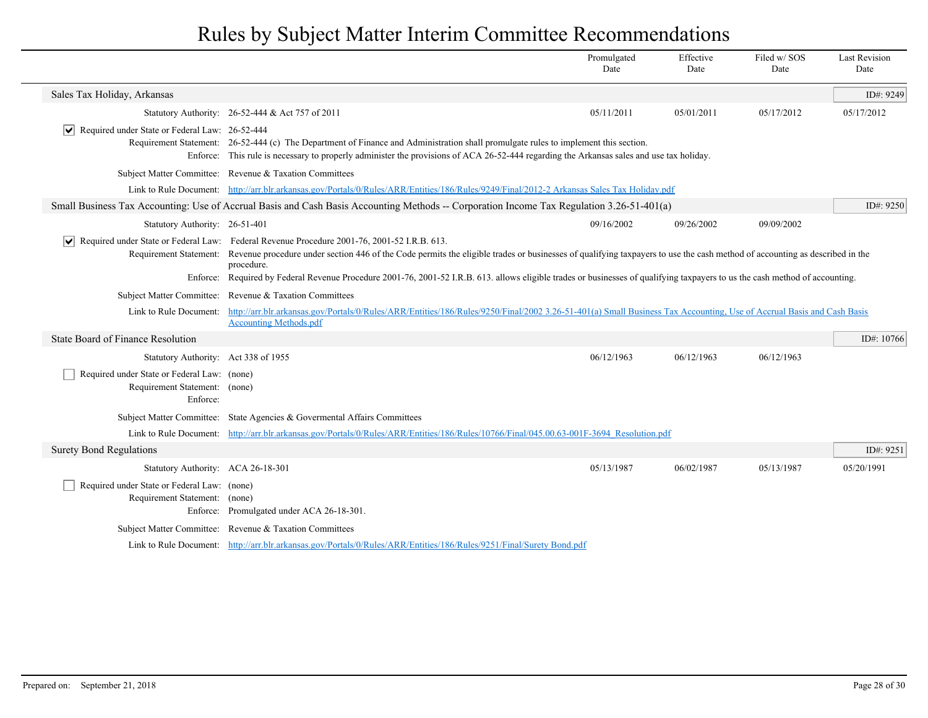|                                                                                          |                                                                                                                                                                                                                                                                                                                                                                                                                                                                                                       | Promulgated<br>Date | Effective<br>Date | Filed w/SOS<br>Date | <b>Last Revision</b><br>Date |  |  |
|------------------------------------------------------------------------------------------|-------------------------------------------------------------------------------------------------------------------------------------------------------------------------------------------------------------------------------------------------------------------------------------------------------------------------------------------------------------------------------------------------------------------------------------------------------------------------------------------------------|---------------------|-------------------|---------------------|------------------------------|--|--|
| Sales Tax Holiday, Arkansas                                                              |                                                                                                                                                                                                                                                                                                                                                                                                                                                                                                       |                     |                   |                     | ID#: 9249                    |  |  |
|                                                                                          | Statutory Authority: 26-52-444 & Act 757 of 2011                                                                                                                                                                                                                                                                                                                                                                                                                                                      | 05/11/2011          | 05/01/2011        | 05/17/2012          | 05/17/2012                   |  |  |
| V  Required under State or Federal Law: 26-52-444                                        | Requirement Statement: 26-52-444 (c) The Department of Finance and Administration shall promulgate rules to implement this section.<br>Enforce: This rule is necessary to properly administer the provisions of ACA 26-52-444 regarding the Arkansas sales and use tax holiday.                                                                                                                                                                                                                       |                     |                   |                     |                              |  |  |
|                                                                                          | Subject Matter Committee: Revenue & Taxation Committees                                                                                                                                                                                                                                                                                                                                                                                                                                               |                     |                   |                     |                              |  |  |
|                                                                                          | Link to Rule Document: http://arr.blr.arkansas.gov/Portals/0/Rules/ARR/Entities/186/Rules/9249/Final/2012-2 Arkansas Sales Tax Holiday.pdf                                                                                                                                                                                                                                                                                                                                                            |                     |                   |                     |                              |  |  |
|                                                                                          | Small Business Tax Accounting: Use of Accrual Basis and Cash Basis Accounting Methods -- Corporation Income Tax Regulation 3.26-51-401(a)                                                                                                                                                                                                                                                                                                                                                             |                     |                   |                     | ID#: 9250                    |  |  |
| Statutory Authority: 26-51-401                                                           |                                                                                                                                                                                                                                                                                                                                                                                                                                                                                                       | 09/16/2002          | 09/26/2002        | 09/09/2002          |                              |  |  |
| Enforce:                                                                                 | $ \mathbf{v} $ Required under State or Federal Law: Federal Revenue Procedure 2001-76, 2001-52 I.R.B. 613.<br>Requirement Statement: Revenue procedure under section 446 of the Code permits the eligible trades or businesses of qualifying taxpayers to use the cash method of accounting as described in the<br>procedure.<br>Required by Federal Revenue Procedure 2001-76, 2001-52 I.R.B. 613. allows eligible trades or businesses of qualifying taxpayers to us the cash method of accounting. |                     |                   |                     |                              |  |  |
|                                                                                          | Subject Matter Committee: Revenue & Taxation Committees                                                                                                                                                                                                                                                                                                                                                                                                                                               |                     |                   |                     |                              |  |  |
| Link to Rule Document:                                                                   | http://arr.blr.arkansas.gov/Portals/0/Rules/ARR/Entities/186/Rules/9250/Final/2002 3.26-51-401(a) Small Business Tax Accounting, Use of Accrual Basis and Cash Basis<br><b>Accounting Methods.pdf</b>                                                                                                                                                                                                                                                                                                 |                     |                   |                     |                              |  |  |
| State Board of Finance Resolution                                                        |                                                                                                                                                                                                                                                                                                                                                                                                                                                                                                       |                     |                   |                     | ID#: 10766                   |  |  |
| Statutory Authority: Act 338 of 1955                                                     |                                                                                                                                                                                                                                                                                                                                                                                                                                                                                                       | 06/12/1963          | 06/12/1963        | 06/12/1963          |                              |  |  |
| Required under State or Federal Law: (none)<br>Requirement Statement: (none)<br>Enforce: |                                                                                                                                                                                                                                                                                                                                                                                                                                                                                                       |                     |                   |                     |                              |  |  |
|                                                                                          | Subject Matter Committee: State Agencies & Governental Affairs Committees                                                                                                                                                                                                                                                                                                                                                                                                                             |                     |                   |                     |                              |  |  |
|                                                                                          | Link to Rule Document: http://arr.blr.arkansas.gov/Portals/0/Rules/ARR/Entities/186/Rules/10766/Final/045.00.63-001F-3694 Resolution.pdf                                                                                                                                                                                                                                                                                                                                                              |                     |                   |                     |                              |  |  |
| <b>Surety Bond Regulations</b>                                                           |                                                                                                                                                                                                                                                                                                                                                                                                                                                                                                       |                     |                   |                     | ID#: 9251                    |  |  |
| Statutory Authority: ACA 26-18-301                                                       |                                                                                                                                                                                                                                                                                                                                                                                                                                                                                                       | 05/13/1987          | 06/02/1987        | 05/13/1987          | 05/20/1991                   |  |  |
| Required under State or Federal Law: (none)<br>Requirement Statement: (none)             | Enforce: Promulgated under ACA 26-18-301.                                                                                                                                                                                                                                                                                                                                                                                                                                                             |                     |                   |                     |                              |  |  |
|                                                                                          | Subject Matter Committee: Revenue & Taxation Committees                                                                                                                                                                                                                                                                                                                                                                                                                                               |                     |                   |                     |                              |  |  |
|                                                                                          | Link to Rule Document: http://arr.blr.arkansas.gov/Portals/0/Rules/ARR/Entities/186/Rules/9251/Final/Surety Bond.pdf                                                                                                                                                                                                                                                                                                                                                                                  |                     |                   |                     |                              |  |  |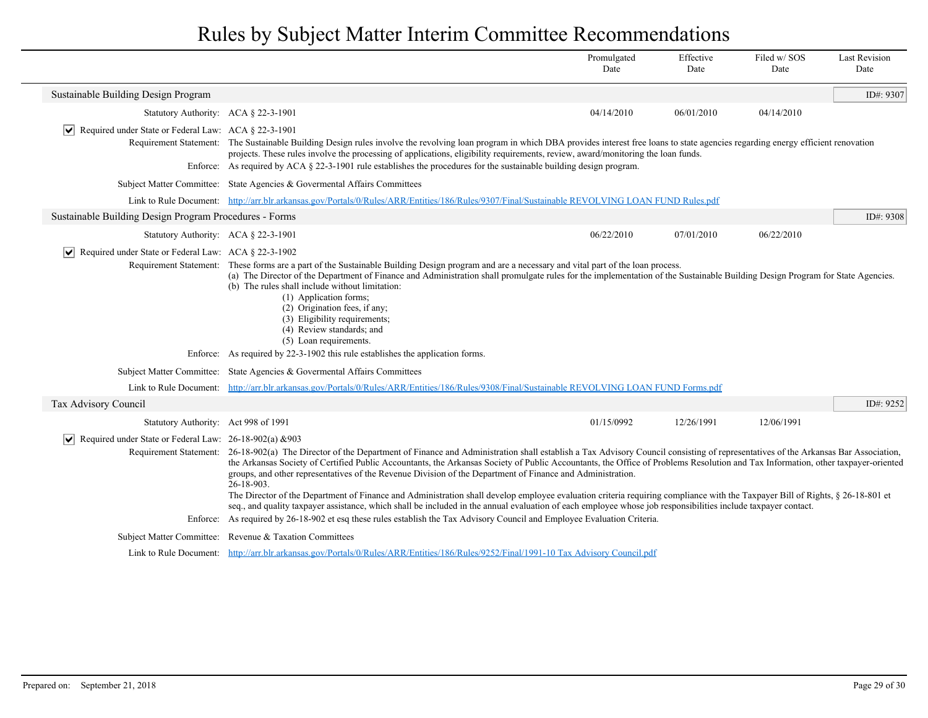|                                                                                        |                                                                                                                                                                                                                                                                                                                                                                                                                                                                                                                                                                                                                                                                                                                                                                                                                                                                                                                                                                                                       | Promulgated<br>Date | Effective<br>Date | Filed w/SOS<br>Date | <b>Last Revision</b><br>Date |
|----------------------------------------------------------------------------------------|-------------------------------------------------------------------------------------------------------------------------------------------------------------------------------------------------------------------------------------------------------------------------------------------------------------------------------------------------------------------------------------------------------------------------------------------------------------------------------------------------------------------------------------------------------------------------------------------------------------------------------------------------------------------------------------------------------------------------------------------------------------------------------------------------------------------------------------------------------------------------------------------------------------------------------------------------------------------------------------------------------|---------------------|-------------------|---------------------|------------------------------|
| Sustainable Building Design Program                                                    |                                                                                                                                                                                                                                                                                                                                                                                                                                                                                                                                                                                                                                                                                                                                                                                                                                                                                                                                                                                                       |                     |                   |                     | ID#: $9307$                  |
| Statutory Authority: ACA § 22-3-1901                                                   |                                                                                                                                                                                                                                                                                                                                                                                                                                                                                                                                                                                                                                                                                                                                                                                                                                                                                                                                                                                                       | 04/14/2010          | 06/01/2010        | 04/14/2010          |                              |
| $ \mathbf{v} $ Required under State or Federal Law: ACA § 22-3-1901                    |                                                                                                                                                                                                                                                                                                                                                                                                                                                                                                                                                                                                                                                                                                                                                                                                                                                                                                                                                                                                       |                     |                   |                     |                              |
|                                                                                        | Requirement Statement: The Sustainable Building Design rules involve the revolving loan program in which DBA provides interest free loans to state agencies regarding energy efficient renovation                                                                                                                                                                                                                                                                                                                                                                                                                                                                                                                                                                                                                                                                                                                                                                                                     |                     |                   |                     |                              |
|                                                                                        | projects. These rules involve the processing of applications, eligibility requirements, review, award/monitoring the loan funds.<br>Enforce: As required by ACA § 22-3-1901 rule establishes the procedures for the sustainable building design program.                                                                                                                                                                                                                                                                                                                                                                                                                                                                                                                                                                                                                                                                                                                                              |                     |                   |                     |                              |
|                                                                                        | Subject Matter Committee: State Agencies & Governental Affairs Committees                                                                                                                                                                                                                                                                                                                                                                                                                                                                                                                                                                                                                                                                                                                                                                                                                                                                                                                             |                     |                   |                     |                              |
|                                                                                        | Link to Rule Document: http://arr.blr.arkansas.gov/Portals/0/Rules/ARR/Entities/186/Rules/9307/Final/Sustainable REVOLVING LOAN FUND Rules.pdf                                                                                                                                                                                                                                                                                                                                                                                                                                                                                                                                                                                                                                                                                                                                                                                                                                                        |                     |                   |                     |                              |
| Sustainable Building Design Program Procedures - Forms                                 |                                                                                                                                                                                                                                                                                                                                                                                                                                                                                                                                                                                                                                                                                                                                                                                                                                                                                                                                                                                                       |                     |                   |                     | ID#: 9308                    |
| Statutory Authority: ACA § 22-3-1901                                                   |                                                                                                                                                                                                                                                                                                                                                                                                                                                                                                                                                                                                                                                                                                                                                                                                                                                                                                                                                                                                       | 06/22/2010          | 07/01/2010        | 06/22/2010          |                              |
| Required under State or Federal Law: ACA § 22-3-1902<br>$\vert\bm{\mathsf{v}}\vert$    | Requirement Statement: These forms are a part of the Sustainable Building Design program and are a necessary and vital part of the loan process.<br>(a) The Director of the Department of Finance and Administration shall promulgate rules for the implementation of the Sustainable Building Design Program for State Agencies.<br>(b) The rules shall include without limitation:<br>(1) Application forms;<br>(2) Origination fees, if any;<br>(3) Eligibility requirements;<br>(4) Review standards; and<br>(5) Loan requirements.<br>Enforce: As required by 22-3-1902 this rule establishes the application forms.                                                                                                                                                                                                                                                                                                                                                                             |                     |                   |                     |                              |
|                                                                                        | Subject Matter Committee: State Agencies & Governental Affairs Committees                                                                                                                                                                                                                                                                                                                                                                                                                                                                                                                                                                                                                                                                                                                                                                                                                                                                                                                             |                     |                   |                     |                              |
|                                                                                        | Link to Rule Document: http://arr.blr.arkansas.gov/Portals/0/Rules/ARR/Entities/186/Rules/9308/Final/Sustainable REVOLVING LOAN FUND Forms.pdf                                                                                                                                                                                                                                                                                                                                                                                                                                                                                                                                                                                                                                                                                                                                                                                                                                                        |                     |                   |                     |                              |
| Tax Advisory Council                                                                   |                                                                                                                                                                                                                                                                                                                                                                                                                                                                                                                                                                                                                                                                                                                                                                                                                                                                                                                                                                                                       |                     |                   |                     | ID#: 9252                    |
| Statutory Authority: Act 998 of 1991                                                   |                                                                                                                                                                                                                                                                                                                                                                                                                                                                                                                                                                                                                                                                                                                                                                                                                                                                                                                                                                                                       | 01/15/0992          | 12/26/1991        | 12/06/1991          |                              |
| Required under State or Federal Law: 26-18-902(a) & 903<br>$\vert\bm{\mathsf{v}}\vert$ | Requirement Statement: 26-18-902(a) The Director of the Department of Finance and Administration shall establish a Tax Advisory Council consisting of representatives of the Arkansas Bar Association,<br>the Arkansas Society of Certified Public Accountants, the Arkansas Society of Public Accountants, the Office of Problems Resolution and Tax Information, other taxpayer-oriented<br>groups, and other representatives of the Revenue Division of the Department of Finance and Administration.<br>26-18-903.<br>The Director of the Department of Finance and Administration shall develop employee evaluation criteria requiring compliance with the Taxpayer Bill of Rights, § 26-18-801 et<br>seq., and quality taxpayer assistance, which shall be included in the annual evaluation of each employee whose job responsibilities include taxpayer contact.<br>Enforce: As required by 26-18-902 et esq these rules establish the Tax Advisory Council and Employee Evaluation Criteria. |                     |                   |                     |                              |
|                                                                                        | Subject Matter Committee: Revenue & Taxation Committees                                                                                                                                                                                                                                                                                                                                                                                                                                                                                                                                                                                                                                                                                                                                                                                                                                                                                                                                               |                     |                   |                     |                              |
|                                                                                        | Link to Rule Document: http://arr.blr.arkansas.gov/Portals/0/Rules/ARR/Entities/186/Rules/9252/Final/1991-10 Tax Advisory Council.pdf                                                                                                                                                                                                                                                                                                                                                                                                                                                                                                                                                                                                                                                                                                                                                                                                                                                                 |                     |                   |                     |                              |